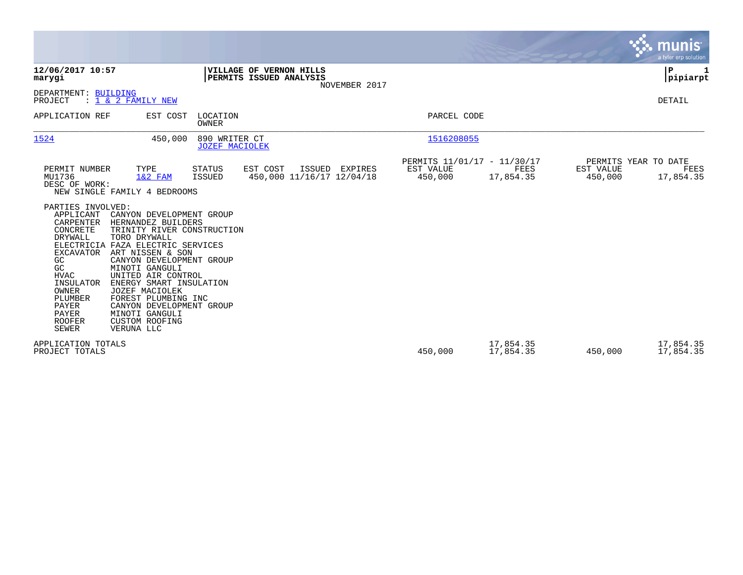|                                                                                                                                                                                                                                                                                                                                      |                                                                                                                                                                                                                                                                                                                                                             |                                        |                                                    |                |                                                     |                        |                                              | <b>munis</b><br>a tyler erp solution |
|--------------------------------------------------------------------------------------------------------------------------------------------------------------------------------------------------------------------------------------------------------------------------------------------------------------------------------------|-------------------------------------------------------------------------------------------------------------------------------------------------------------------------------------------------------------------------------------------------------------------------------------------------------------------------------------------------------------|----------------------------------------|----------------------------------------------------|----------------|-----------------------------------------------------|------------------------|----------------------------------------------|--------------------------------------|
| 12/06/2017 10:57<br>marygi                                                                                                                                                                                                                                                                                                           |                                                                                                                                                                                                                                                                                                                                                             |                                        | VILLAGE OF VERNON HILLS<br>PERMITS ISSUED ANALYSIS | NOVEMBER 2017  |                                                     |                        |                                              | P<br> pipiarpt                       |
| DEPARTMENT: BUILDING<br>PROJECT                                                                                                                                                                                                                                                                                                      | $: 1 \& 2$ FAMILY NEW                                                                                                                                                                                                                                                                                                                                       |                                        |                                                    |                |                                                     |                        |                                              | DETAIL                               |
| APPLICATION REF                                                                                                                                                                                                                                                                                                                      | EST COST                                                                                                                                                                                                                                                                                                                                                    | LOCATION<br>OWNER                      |                                                    |                | PARCEL CODE                                         |                        |                                              |                                      |
| 1524                                                                                                                                                                                                                                                                                                                                 | 450,000                                                                                                                                                                                                                                                                                                                                                     | 890 WRITER CT<br><b>JOZEF MACIOLEK</b> |                                                    |                | 1516208055                                          |                        |                                              |                                      |
| PERMIT NUMBER<br>MU1736<br>DESC OF WORK:<br>NEW SINGLE FAMILY 4 BEDROOMS<br>PARTIES INVOLVED:<br>APPLICANT<br>CARPENTER<br>CONCRETE<br>DRYWALL<br>ELECTRICIA FAZA ELECTRIC SERVICES<br><b>EXCAVATOR</b><br>GC<br>GC<br><b>HVAC</b><br>INSULATOR<br>OWNER<br>PLUMBER<br><b>PAYER</b><br><b>PAYER</b><br><b>ROOFER</b><br><b>SEWER</b> | TYPE<br>$1&2$ FAM<br>CANYON DEVELOPMENT GROUP<br>HERNANDEZ BUILDERS<br>TRINITY RIVER CONSTRUCTION<br>TORO DRYWALL<br>ART NISSEN & SON<br>CANYON DEVELOPMENT GROUP<br>MINOTI GANGULI<br>UNITED AIR CONTROL<br>ENERGY SMART INSULATION<br>JOZEF MACIOLEK<br>FOREST PLUMBING INC<br>CANYON DEVELOPMENT GROUP<br>MINOTI GANGULI<br>CUSTOM ROOFING<br>VERUNA LLC | STATUS<br>ISSUED                       | EST COST<br>450,000 11/16/17 12/04/18              | ISSUED EXPIRES | PERMITS 11/01/17 - 11/30/17<br>EST VALUE<br>450,000 | FEES<br>17,854.35      | PERMITS YEAR TO DATE<br>EST VALUE<br>450,000 | FEES<br>17,854.35                    |
| APPLICATION TOTALS<br>PROJECT TOTALS                                                                                                                                                                                                                                                                                                 |                                                                                                                                                                                                                                                                                                                                                             |                                        |                                                    |                | 450,000                                             | 17,854.35<br>17,854.35 | 450,000                                      | 17,854.35<br>17,854.35               |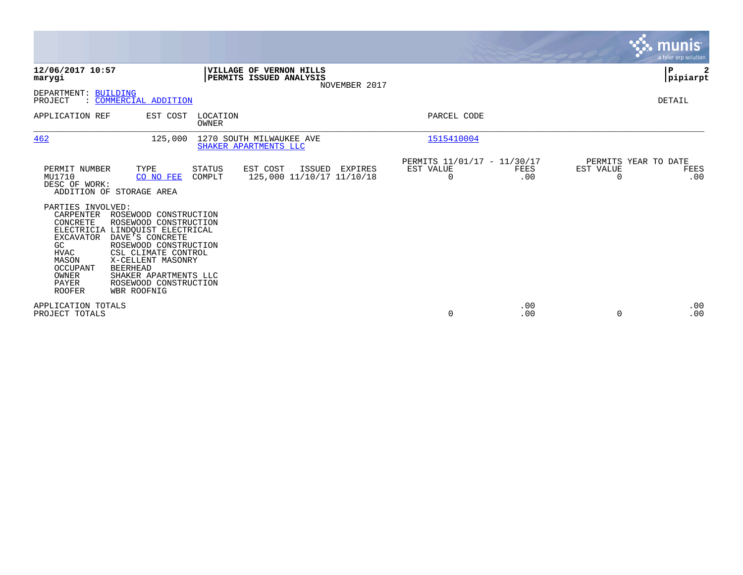|                                                                                                                                                                                                                                                           |                                                                                                                                              |                                                    |               |                                                      |             |                       | munis<br>a tyler erp solution.      |
|-----------------------------------------------------------------------------------------------------------------------------------------------------------------------------------------------------------------------------------------------------------|----------------------------------------------------------------------------------------------------------------------------------------------|----------------------------------------------------|---------------|------------------------------------------------------|-------------|-----------------------|-------------------------------------|
| 12/06/2017 10:57<br>marygi                                                                                                                                                                                                                                |                                                                                                                                              | VILLAGE OF VERNON HILLS<br>PERMITS ISSUED ANALYSIS | NOVEMBER 2017 |                                                      |             |                       | P<br>pipiarpt                       |
| DEPARTMENT: BUILDING<br>: COMMERCIAL ADDITION<br>PROJECT                                                                                                                                                                                                  |                                                                                                                                              |                                                    |               |                                                      |             |                       | DETAIL                              |
| APPLICATION REF                                                                                                                                                                                                                                           | LOCATION<br>EST COST<br>OWNER                                                                                                                |                                                    |               | PARCEL CODE                                          |             |                       |                                     |
| 462                                                                                                                                                                                                                                                       | 125,000                                                                                                                                      | 1270 SOUTH MILWAUKEE AVE<br>SHAKER APARTMENTS LLC  |               | 1515410004                                           |             |                       |                                     |
| PERMIT NUMBER<br>TYPE<br>MU1710<br>DESC OF WORK:<br>ADDITION OF STORAGE AREA                                                                                                                                                                              | STATUS<br>COMPLT<br>CO NO FEE                                                                                                                | EST COST<br>ISSUED<br>125,000 11/10/17 11/10/18    | EXPIRES       | PERMITS 11/01/17 - 11/30/17<br>EST VALUE<br>$\Omega$ | FEES<br>.00 | EST VALUE<br>$\Omega$ | PERMITS YEAR TO DATE<br>FEES<br>.00 |
| PARTIES INVOLVED:<br>CARPENTER ROSEWOOD CONSTRUCTION<br>CONCRETE<br>ELECTRICIA LINDQUIST ELECTRICAL<br>DAVE'S CONCRETE<br><b>EXCAVATOR</b><br>GC<br><b>HVAC</b><br>MASON<br>OCCUPANT<br><b>BEERHEAD</b><br>OWNER<br>PAYER<br><b>ROOFER</b><br>WBR ROOFNIG | ROSEWOOD CONSTRUCTION<br>ROSEWOOD CONSTRUCTION<br>CSL CLIMATE CONTROL<br>X-CELLENT MASONRY<br>SHAKER APARTMENTS LLC<br>ROSEWOOD CONSTRUCTION |                                                    |               |                                                      |             |                       |                                     |
| APPLICATION TOTALS<br>PROJECT TOTALS                                                                                                                                                                                                                      |                                                                                                                                              |                                                    |               | 0                                                    | .00<br>.00  | $\Omega$              | .00<br>.00                          |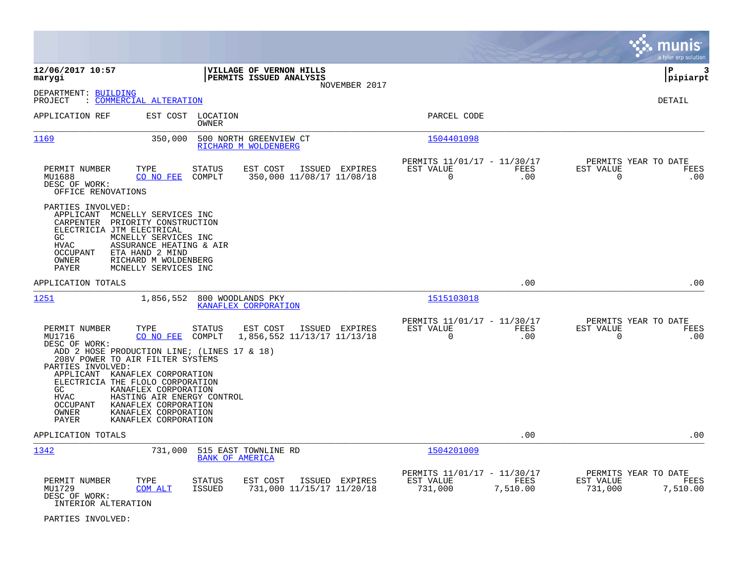|                                                                                                                                                                                                                                                                                                                                                                                                                                                                                                                             |                                                                                | munis<br>a tyler erp solution                                      |
|-----------------------------------------------------------------------------------------------------------------------------------------------------------------------------------------------------------------------------------------------------------------------------------------------------------------------------------------------------------------------------------------------------------------------------------------------------------------------------------------------------------------------------|--------------------------------------------------------------------------------|--------------------------------------------------------------------|
| 12/06/2017 10:57<br>VILLAGE OF VERNON HILLS<br>PERMITS ISSUED ANALYSIS<br>marygi<br>NOVEMBER 2017                                                                                                                                                                                                                                                                                                                                                                                                                           |                                                                                | lР<br>3<br>pipiarpt                                                |
| DEPARTMENT: BUILDING<br>: COMMERCIAL ALTERATION<br>PROJECT                                                                                                                                                                                                                                                                                                                                                                                                                                                                  |                                                                                | DETAIL                                                             |
| APPLICATION REF<br>EST COST<br>LOCATION<br>OWNER                                                                                                                                                                                                                                                                                                                                                                                                                                                                            | PARCEL CODE                                                                    |                                                                    |
| 1169<br>350,000<br>500 NORTH GREENVIEW CT<br>RICHARD M WOLDENBERG                                                                                                                                                                                                                                                                                                                                                                                                                                                           | 1504401098                                                                     |                                                                    |
| PERMIT NUMBER<br>STATUS<br>EST COST<br>ISSUED EXPIRES<br>TYPE<br>350,000 11/08/17 11/08/18<br>MU1688<br>CO NO FEE<br>COMPLT<br>DESC OF WORK:<br>OFFICE RENOVATIONS                                                                                                                                                                                                                                                                                                                                                          | PERMITS 11/01/17 - 11/30/17<br>EST VALUE<br>FEES<br>$\Omega$<br>.00            | PERMITS YEAR TO DATE<br>EST VALUE<br>FEES<br>$\overline{0}$<br>.00 |
| PARTIES INVOLVED:<br>APPLICANT MCNELLY SERVICES INC<br>PRIORITY CONSTRUCTION<br>CARPENTER<br>ELECTRICIA JTM ELECTRICAL<br>MCNELLY SERVICES INC<br>GC<br>ASSURANCE HEATING & AIR<br><b>HVAC</b><br>ETA HAND 2 MIND<br><b>OCCUPANT</b><br>OWNER<br>RICHARD M WOLDENBERG<br><b>PAYER</b><br>MCNELLY SERVICES INC                                                                                                                                                                                                               |                                                                                |                                                                    |
| APPLICATION TOTALS                                                                                                                                                                                                                                                                                                                                                                                                                                                                                                          | .00                                                                            | .00                                                                |
| 1251<br>1,856,552<br>800 WOODLANDS PKY<br>KANAFLEX CORPORATION                                                                                                                                                                                                                                                                                                                                                                                                                                                              | 1515103018                                                                     |                                                                    |
| TYPE<br><b>STATUS</b><br>EST COST<br>PERMIT NUMBER<br>ISSUED EXPIRES<br>MU1716<br>CO NO FEE<br>COMPLT<br>1,856,552 11/13/17 11/13/18<br>DESC OF WORK:<br>ADD 2 HOSE PRODUCTION LINE; (LINES 17 & 18)<br>208V POWER TO AIR FILTER SYSTEMS<br>PARTIES INVOLVED:<br>APPLICANT KANAFLEX CORPORATION<br>ELECTRICIA THE FLOLO CORPORATION<br>KANAFLEX CORPORATION<br>GC<br><b>HVAC</b><br>HASTING AIR ENERGY CONTROL<br><b>OCCUPANT</b><br>KANAFLEX CORPORATION<br>KANAFLEX CORPORATION<br>OWNER<br>PAYER<br>KANAFLEX CORPORATION | PERMITS 11/01/17 - 11/30/17<br>EST VALUE<br><b>FEES</b><br>$\mathbf 0$<br>.00  | PERMITS YEAR TO DATE<br>EST VALUE<br>FEES<br>$\mathbf 0$<br>.00    |
| APPLICATION TOTALS                                                                                                                                                                                                                                                                                                                                                                                                                                                                                                          | .00                                                                            | .00                                                                |
| 1342<br>731,000<br>515 EAST TOWNLINE RD<br><b>BANK OF AMERICA</b>                                                                                                                                                                                                                                                                                                                                                                                                                                                           | 1504201009                                                                     |                                                                    |
| PERMIT NUMBER<br>TYPE<br><b>STATUS</b><br>EST COST<br>ISSUED EXPIRES<br>MU1729<br>COM ALT<br><b>ISSUED</b><br>731,000 11/15/17 11/20/18<br>DESC OF WORK:<br>INTERIOR ALTERATION                                                                                                                                                                                                                                                                                                                                             | PERMITS 11/01/17 - 11/30/17<br>EST VALUE<br><b>FEES</b><br>731,000<br>7,510.00 | PERMITS YEAR TO DATE<br>EST VALUE<br>FEES<br>731,000<br>7,510.00   |

PARTIES INVOLVED: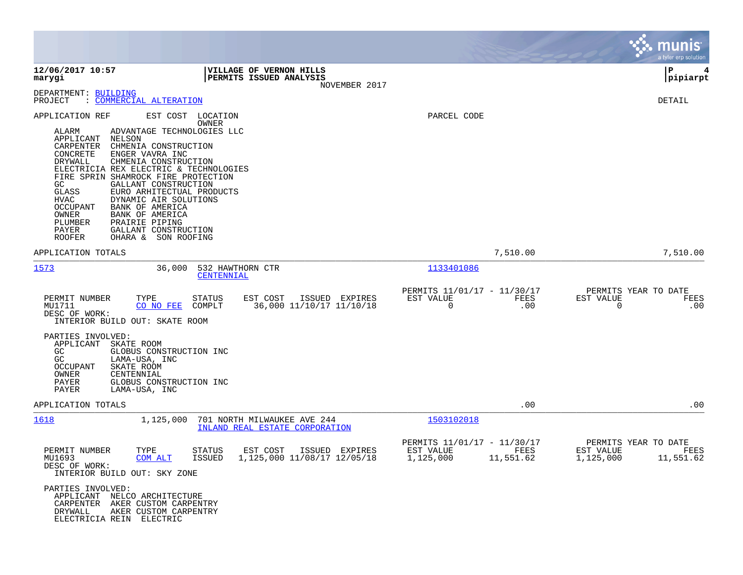|                                                                                                                                                                                                                                                                                                                                                                                                                                                                                                                                                                  |                                       |                                                                                |                                               |                   | munis<br>a tyler erp solution                                       |
|------------------------------------------------------------------------------------------------------------------------------------------------------------------------------------------------------------------------------------------------------------------------------------------------------------------------------------------------------------------------------------------------------------------------------------------------------------------------------------------------------------------------------------------------------------------|---------------------------------------|--------------------------------------------------------------------------------|-----------------------------------------------|-------------------|---------------------------------------------------------------------|
| 12/06/2017 10:57<br>marygi                                                                                                                                                                                                                                                                                                                                                                                                                                                                                                                                       |                                       | VILLAGE OF VERNON HILLS<br>PERMITS ISSUED ANALYSIS<br>NOVEMBER 2017            |                                               |                   | ΙP<br> pipiarpt                                                     |
| DEPARTMENT: BUILDING<br>PROJECT<br>: COMMERCIAL ALTERATION                                                                                                                                                                                                                                                                                                                                                                                                                                                                                                       |                                       |                                                                                |                                               |                   | DETAIL                                                              |
| APPLICATION REF<br>ALARM<br>ADVANTAGE TECHNOLOGIES LLC<br>APPLICANT<br>NELSON<br>CARPENTER<br>CHMENIA CONSTRUCTION<br>CONCRETE<br>ENGER VAVRA INC<br><b>DRYWALL</b><br>CHMENIA CONSTRUCTION<br>ELECTRICIA REX ELECTRIC & TECHNOLOGIES<br>FIRE SPRIN SHAMROCK FIRE PROTECTION<br>GC<br>GALLANT CONSTRUCTION<br>GLASS<br>EURO ARHITECTUAL PRODUCTS<br><b>HVAC</b><br>DYNAMIC AIR SOLUTIONS<br>BANK OF AMERICA<br><b>OCCUPANT</b><br>OWNER<br>BANK OF AMERICA<br>PLUMBER<br>PRAIRIE PIPING<br>PAYER<br>GALLANT CONSTRUCTION<br><b>ROOFER</b><br>OHARA & SON ROOFING | EST COST LOCATION<br>OWNER            |                                                                                | PARCEL CODE                                   |                   |                                                                     |
| APPLICATION TOTALS                                                                                                                                                                                                                                                                                                                                                                                                                                                                                                                                               |                                       |                                                                                |                                               | 7,510.00          | 7,510.00                                                            |
| 1573<br>36,000                                                                                                                                                                                                                                                                                                                                                                                                                                                                                                                                                   | 532 HAWTHORN CTR<br><b>CENTENNIAL</b> |                                                                                | 1133401086                                    |                   |                                                                     |
| PERMIT NUMBER<br>TYPE<br>MU1711<br>CO NO FEE<br>DESC OF WORK:<br>INTERIOR BUILD OUT: SKATE ROOM                                                                                                                                                                                                                                                                                                                                                                                                                                                                  | STATUS<br>COMPLT                      | EST COST<br>ISSUED EXPIRES<br>36,000 11/10/17 11/10/18                         | PERMITS 11/01/17 - 11/30/17<br>EST VALUE<br>0 | FEES<br>.00       | PERMITS YEAR TO DATE<br>EST VALUE<br>FEES<br>.00<br>0               |
| PARTIES INVOLVED:<br>APPLICANT<br>SKATE ROOM<br>GC<br>GLOBUS CONSTRUCTION INC<br>GC<br>LAMA-USA, INC<br><b>OCCUPANT</b><br>SKATE ROOM<br>OWNER<br>CENTENNIAL<br>PAYER<br>GLOBUS CONSTRUCTION INC<br>PAYER<br>LAMA-USA, INC                                                                                                                                                                                                                                                                                                                                       |                                       |                                                                                |                                               |                   |                                                                     |
| APPLICATION TOTALS                                                                                                                                                                                                                                                                                                                                                                                                                                                                                                                                               |                                       |                                                                                |                                               | .00               | .00                                                                 |
| <u> 1618</u><br>1,125,000                                                                                                                                                                                                                                                                                                                                                                                                                                                                                                                                        |                                       | 701 NORTH MILWAUKEE AVE 244<br>INLAND REAL ESTATE CORPORATION                  | 1503102018                                    |                   |                                                                     |
| PERMIT NUMBER<br>TYPE<br>MU1693<br><b>COM ALT</b><br>DESC OF WORK:<br>INTERIOR BUILD OUT: SKY ZONE                                                                                                                                                                                                                                                                                                                                                                                                                                                               | <b>STATUS</b>                         | EST COST<br>ISSUED EXPIRES<br>ISSUED 1, 125, 000 11/08/17 12/05/18 1, 125, 000 | PERMITS 11/01/17 - 11/30/17<br>EST VALUE      | FEES<br>11,551.62 | PERMITS YEAR TO DATE<br>FEES<br>EST VALUE<br>1,125,000<br>11,551.62 |
| PARTIES INVOLVED:<br>APPLICANT NELCO ARCHITECTURE<br>CARPENTER AKER CUSTOM CARPENTRY<br>AKER CUSTOM CARPENTRY<br>DRYWALL<br>ELECTRICIA REIN ELECTRIC                                                                                                                                                                                                                                                                                                                                                                                                             |                                       |                                                                                |                                               |                   |                                                                     |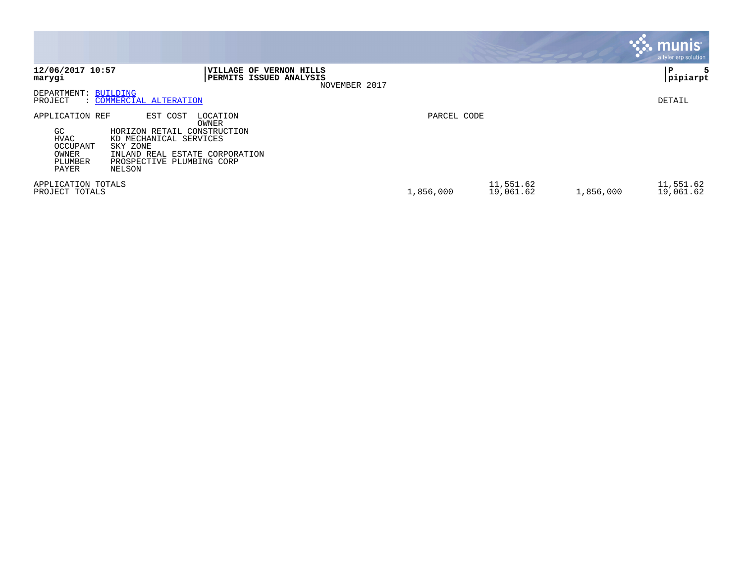|                                                                                |                                                                                                                                                                             |             |                        | <b>munis</b><br>a tyler erp solution |
|--------------------------------------------------------------------------------|-----------------------------------------------------------------------------------------------------------------------------------------------------------------------------|-------------|------------------------|--------------------------------------|
| 12/06/2017 10:57<br>marygi                                                     | <b>VILLAGE OF</b><br><b>VERNON HILLS</b><br><b>PERMITS ISSUED ANALYSIS</b><br>NOVEMBER 2017                                                                                 |             |                        | l P<br>5<br> pipiarpt                |
| DEPARTMENT: BUILDING<br>PROJECT                                                | : COMMERCIAL ALTERATION                                                                                                                                                     |             |                        | DETAIL                               |
| APPLICATION REF<br>GC.<br><b>HVAC</b><br>OCCUPANT<br>OWNER<br>PLUMBER<br>PAYER | LOCATION<br>EST COST<br>OWNER<br>HORIZON RETAIL CONSTRUCTION<br>KD MECHANICAL SERVICES<br>SKY ZONE<br>INLAND REAL ESTATE CORPORATION<br>PROSPECTIVE PLUMBING CORP<br>NELSON | PARCEL CODE |                        |                                      |
| APPLICATION TOTALS<br>PROJECT TOTALS                                           |                                                                                                                                                                             | 1,856,000   | 11,551.62<br>19,061.62 | 11,551.62<br>1,856,000<br>19,061.62  |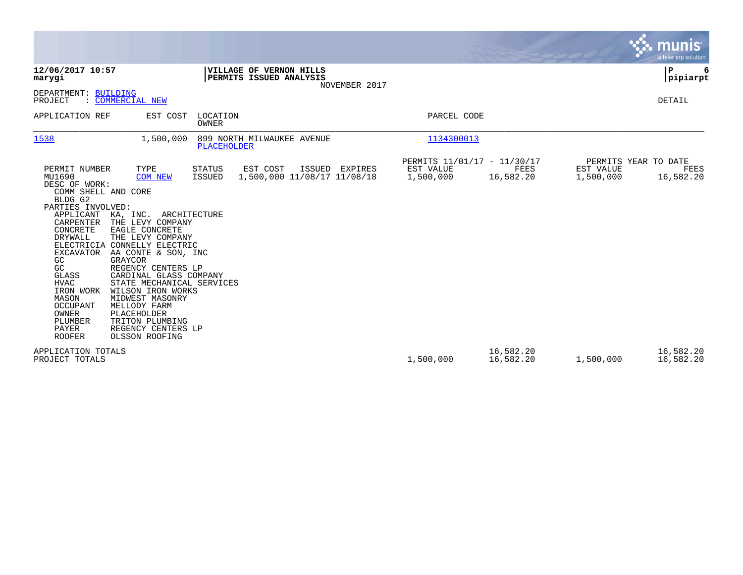|                                                                                                                                                                                                                                                                                                                      |                                                                                                                                                                                                                                                                                                                                                                                    |                         |                                                    |                |                                                       |                        |                        | munis<br>a tyler erp solution             |
|----------------------------------------------------------------------------------------------------------------------------------------------------------------------------------------------------------------------------------------------------------------------------------------------------------------------|------------------------------------------------------------------------------------------------------------------------------------------------------------------------------------------------------------------------------------------------------------------------------------------------------------------------------------------------------------------------------------|-------------------------|----------------------------------------------------|----------------|-------------------------------------------------------|------------------------|------------------------|-------------------------------------------|
| 12/06/2017 10:57<br>marygi                                                                                                                                                                                                                                                                                           |                                                                                                                                                                                                                                                                                                                                                                                    |                         | VILLAGE OF VERNON HILLS<br>PERMITS ISSUED ANALYSIS | NOVEMBER 2017  |                                                       |                        |                        | P<br>6<br> pipiarpt                       |
| DEPARTMENT: BUILDING<br>PROJECT                                                                                                                                                                                                                                                                                      | : COMMERCIAL NEW                                                                                                                                                                                                                                                                                                                                                                   |                         |                                                    |                |                                                       |                        |                        | DETAIL                                    |
| APPLICATION REF                                                                                                                                                                                                                                                                                                      | EST COST                                                                                                                                                                                                                                                                                                                                                                           | LOCATION<br>OWNER       |                                                    |                | PARCEL CODE                                           |                        |                        |                                           |
| 1538                                                                                                                                                                                                                                                                                                                 | 1,500,000                                                                                                                                                                                                                                                                                                                                                                          | <b>PLACEHOLDER</b>      | 899 NORTH MILWAUKEE AVENUE                         |                | 1134300013                                            |                        |                        |                                           |
| PERMIT NUMBER<br>MU1690<br>DESC OF WORK:<br>COMM SHELL AND CORE<br>BLDG G2<br>PARTIES INVOLVED:<br>APPLICANT<br>CARPENTER<br>CONCRETE<br><b>DRYWALL</b><br>ELECTRICIA<br><b>EXCAVATOR</b><br>GC<br>GC<br>GLASS<br><b>HVAC</b><br>IRON WORK<br>MASON<br><b>OCCUPANT</b><br>OWNER<br>PLUMBER<br>PAYER<br><b>ROOFER</b> | TYPE<br><b>COM NEW</b><br>KA, INC.<br>ARCHITECTURE<br>THE LEVY COMPANY<br>EAGLE CONCRETE<br>THE LEVY COMPANY<br>CONNELLY ELECTRIC<br>AA CONTE & SON, INC<br>GRAYCOR<br>REGENCY CENTERS LP<br>CARDINAL GLASS COMPANY<br>STATE MECHANICAL SERVICES<br>WILSON IRON WORKS<br>MIDWEST MASONRY<br>MELLODY FARM<br>PLACEHOLDER<br>TRITON PLUMBING<br>REGENCY CENTERS LP<br>OLSSON ROOFING | <b>STATUS</b><br>ISSUED | EST COST<br>1,500,000 11/08/17 11/08/18            | ISSUED EXPIRES | PERMITS 11/01/17 - 11/30/17<br>EST VALUE<br>1,500,000 | FEES<br>16,582.20      | EST VALUE<br>1,500,000 | PERMITS YEAR TO DATE<br>FEES<br>16,582.20 |
| APPLICATION TOTALS<br>PROJECT TOTALS                                                                                                                                                                                                                                                                                 |                                                                                                                                                                                                                                                                                                                                                                                    |                         |                                                    |                | 1,500,000                                             | 16,582.20<br>16,582.20 | 1,500,000              | 16,582.20<br>16,582.20                    |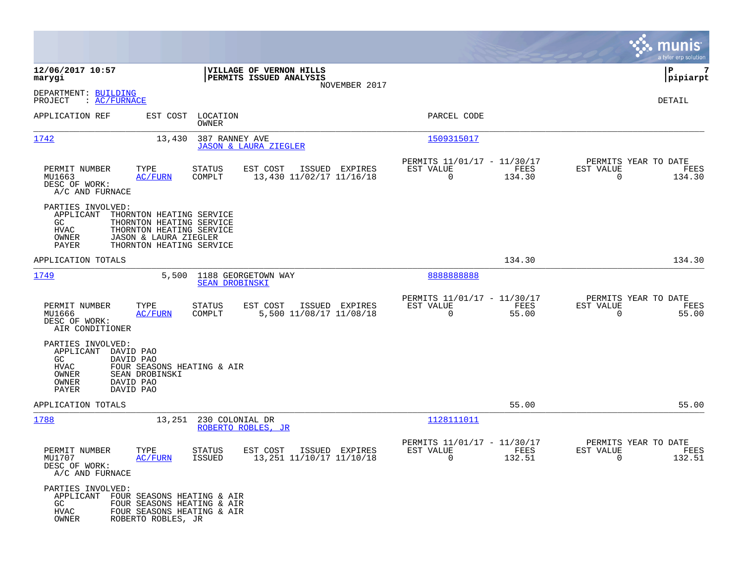|                                                                                                                                     |                                                                                                                                       |                            |                                                    |                |                                                                      |                |                                                     | munis<br>a tyler erp solution |
|-------------------------------------------------------------------------------------------------------------------------------------|---------------------------------------------------------------------------------------------------------------------------------------|----------------------------|----------------------------------------------------|----------------|----------------------------------------------------------------------|----------------|-----------------------------------------------------|-------------------------------|
| 12/06/2017 10:57<br>marygi                                                                                                          |                                                                                                                                       |                            | VILLAGE OF VERNON HILLS<br>PERMITS ISSUED ANALYSIS |                |                                                                      |                |                                                     | 7<br>IΡ<br> pipiarpt          |
| DEPARTMENT: BUILDING<br>: <u>AC/FURNACE</u><br>PROJECT                                                                              |                                                                                                                                       |                            |                                                    | NOVEMBER 2017  |                                                                      |                |                                                     | DETAIL                        |
| APPLICATION REF                                                                                                                     |                                                                                                                                       | EST COST LOCATION<br>OWNER |                                                    |                | PARCEL CODE                                                          |                |                                                     |                               |
| 1742                                                                                                                                | 13,430                                                                                                                                | 387 RANNEY AVE             | <b>JASON &amp; LAURA ZIEGLER</b>                   |                | 1509315017                                                           |                |                                                     |                               |
| PERMIT NUMBER<br>MU1663<br>DESC OF WORK:<br>A/C AND FURNACE                                                                         | TYPE<br>AC/FURN                                                                                                                       | <b>STATUS</b><br>COMPLT    | EST COST<br>13,430 11/02/17 11/16/18               | ISSUED EXPIRES | PERMITS 11/01/17 - 11/30/17<br>EST VALUE<br>$\overline{0}$           | FEES<br>134.30 | PERMITS YEAR TO DATE<br>EST VALUE<br>$\Omega$       | FEES<br>134.30                |
| PARTIES INVOLVED:<br>APPLICANT<br>GC<br>HVAC<br>OWNER<br>PAYER                                                                      | THORNTON HEATING SERVICE<br>THORNTON HEATING SERVICE<br>THORNTON HEATING SERVICE<br>JASON & LAURA ZIEGLER<br>THORNTON HEATING SERVICE |                            |                                                    |                |                                                                      |                |                                                     |                               |
| APPLICATION TOTALS                                                                                                                  |                                                                                                                                       |                            |                                                    |                |                                                                      | 134.30         |                                                     | 134.30                        |
| 1749                                                                                                                                | 5,500                                                                                                                                 | <b>SEAN DROBINSKI</b>      | 1188 GEORGETOWN WAY                                |                | 8888888888                                                           |                |                                                     |                               |
| PERMIT NUMBER<br>MU1666<br>DESC OF WORK:<br>AIR CONDITIONER                                                                         | TYPE<br><b>AC/FURN</b>                                                                                                                | STATUS<br>COMPLT           | EST COST<br>5,500 11/08/17 11/08/18                | ISSUED EXPIRES | PERMITS 11/01/17 - 11/30/17<br>EST VALUE<br>$\mathbf 0$              | FEES<br>55.00  | PERMITS YEAR TO DATE<br>EST VALUE<br>$\Omega$       | FEES<br>55.00                 |
| PARTIES INVOLVED:<br>APPLICANT<br>DAVID PAO<br>GC.<br>DAVID PAO<br>HVAC<br>OWNER<br>OWNER<br>DAVID PAO<br><b>PAYER</b><br>DAVID PAO | FOUR SEASONS HEATING & AIR<br>SEAN DROBINSKI                                                                                          |                            |                                                    |                |                                                                      |                |                                                     |                               |
| APPLICATION TOTALS                                                                                                                  |                                                                                                                                       |                            |                                                    |                |                                                                      | 55.00          |                                                     | 55.00                         |
| 1788                                                                                                                                | 13,251                                                                                                                                | 230 COLONIAL DR            | ROBERTO ROBLES, JR                                 |                | 1128111011                                                           |                |                                                     |                               |
| PERMIT NUMBER<br>MU1707<br>DESC OF WORK:<br>A/C AND FURNACE                                                                         | TYPE<br><b>AC/FURN</b>                                                                                                                | <b>STATUS</b><br>ISSUED    | EST COST<br>13, 251 11/10/17 11/10/18              | ISSUED EXPIRES | PERMITS 11/01/17 - 11/30/17<br>EST VALUE<br>$\overline{\phantom{0}}$ | FEES<br>132.51 | PERMITS YEAR TO DATE<br>EST VALUE<br>$\overline{0}$ | FEES<br>132.51                |
| PARTIES INVOLVED:<br>APPLICANT<br>GC<br>HVAC<br>OWNER                                                                               | FOUR SEASONS HEATING & AIR<br>FOUR SEASONS HEATING & AIR<br>FOUR SEASONS HEATING & AIR<br>ROBERTO ROBLES, JR                          |                            |                                                    |                |                                                                      |                |                                                     |                               |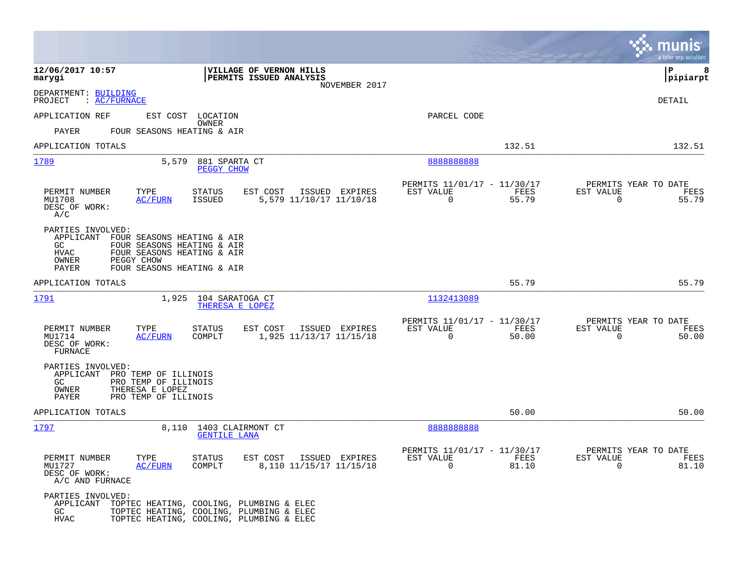|                                                             |                                                                                                                                              |                                                                                                                                  |                                                         |               |                                                  | a tyler erp solution  |
|-------------------------------------------------------------|----------------------------------------------------------------------------------------------------------------------------------------------|----------------------------------------------------------------------------------------------------------------------------------|---------------------------------------------------------|---------------|--------------------------------------------------|-----------------------|
| 12/06/2017 10:57<br>marygi                                  |                                                                                                                                              | VILLAGE OF VERNON HILLS<br>PERMITS ISSUED ANALYSIS<br>NOVEMBER 2017                                                              |                                                         |               |                                                  | l P<br>8<br> pipiarpt |
| DEPARTMENT: BUILDING<br>PROJECT<br>: <u>AC/FURNACE</u>      |                                                                                                                                              |                                                                                                                                  |                                                         |               |                                                  | DETAIL                |
| APPLICATION REF                                             | EST COST LOCATION                                                                                                                            |                                                                                                                                  | PARCEL CODE                                             |               |                                                  |                       |
| PAYER                                                       | OWNER<br>FOUR SEASONS HEATING & AIR                                                                                                          |                                                                                                                                  |                                                         |               |                                                  |                       |
| APPLICATION TOTALS                                          |                                                                                                                                              |                                                                                                                                  |                                                         | 132.51        |                                                  | 132.51                |
| 1789                                                        | 5,579                                                                                                                                        | 881 SPARTA CT<br><b>PEGGY CHOW</b>                                                                                               | 8888888888                                              |               |                                                  |                       |
| PERMIT NUMBER<br>MU1708<br>DESC OF WORK:<br>A/C             | TYPE<br>STATUS<br><b>ISSUED</b><br><b>AC/FURN</b>                                                                                            | EST COST<br>ISSUED EXPIRES<br>5,579 11/10/17 11/10/18                                                                            | PERMITS 11/01/17 - 11/30/17<br>EST VALUE<br>$\Omega$    | FEES<br>55.79 | PERMITS YEAR TO DATE<br>EST VALUE<br>$\Omega$    | FEES<br>55.79         |
| PARTIES INVOLVED:<br>GC.<br>HVAC<br>OWNER<br>PAYER          | APPLICANT FOUR SEASONS HEATING & AIR<br>FOUR SEASONS HEATING & AIR<br>FOUR SEASONS HEATING & AIR<br>PEGGY CHOW<br>FOUR SEASONS HEATING & AIR |                                                                                                                                  |                                                         |               |                                                  |                       |
| APPLICATION TOTALS                                          |                                                                                                                                              |                                                                                                                                  |                                                         | 55.79         |                                                  | 55.79                 |
| 1791                                                        | 1,925 104 SARATOGA CT                                                                                                                        | THERESA E LOPEZ                                                                                                                  | 1132413089                                              |               |                                                  |                       |
| PERMIT NUMBER<br>MU1714<br>DESC OF WORK:<br>FURNACE         | TYPE<br><b>STATUS</b><br>AC/FURN<br>COMPLT                                                                                                   | EST COST<br>ISSUED EXPIRES<br>1,925 11/13/17 11/15/18                                                                            | PERMITS 11/01/17 - 11/30/17<br>EST VALUE<br>$\mathbf 0$ | FEES<br>50.00 | PERMITS YEAR TO DATE<br>EST VALUE<br>$\mathbf 0$ | FEES<br>50.00         |
| PARTIES INVOLVED:<br>GC.<br>OWNER<br>PAYER                  | APPLICANT PRO TEMP OF ILLINOIS<br>PRO TEMP OF ILLINOIS<br>THERESA E LOPEZ<br>PRO TEMP OF ILLINOIS                                            |                                                                                                                                  |                                                         |               |                                                  |                       |
| APPLICATION TOTALS                                          |                                                                                                                                              |                                                                                                                                  |                                                         | 50.00         |                                                  | 50.00                 |
| 1797                                                        |                                                                                                                                              | 8,110 1403 CLAIRMONT CT<br><b>GENTILE LANA</b>                                                                                   | 8888888888                                              |               |                                                  |                       |
| PERMIT NUMBER<br>MU1727<br>DESC OF WORK:<br>A/C AND FURNACE | TYPE<br><b>STATUS</b><br>AC/FURN<br>COMPLT                                                                                                   | EST COST<br>ISSUED EXPIRES<br>8,110 11/15/17 11/15/18                                                                            | PERMITS 11/01/17 - 11/30/17<br>EST VALUE<br>$\mathbf 0$ | FEES<br>81.10 | PERMITS YEAR TO DATE<br>EST VALUE<br>$\mathbf 0$ | FEES<br>81.10         |
| PARTIES INVOLVED:<br>APPLICANT<br>GC<br><b>HVAC</b>         |                                                                                                                                              | TOPTEC HEATING, COOLING, PLUMBING & ELEC<br>TOPTEC HEATING, COOLING, PLUMBING & ELEC<br>TOPTEC HEATING, COOLING, PLUMBING & ELEC |                                                         |               |                                                  |                       |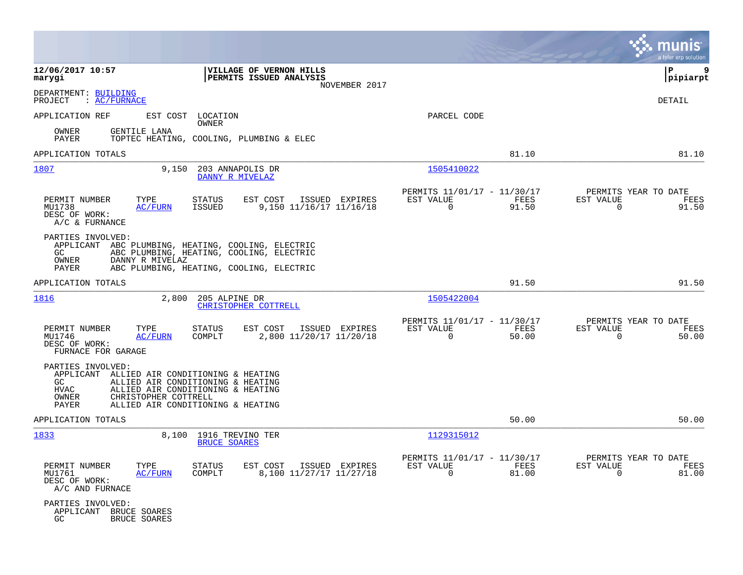|                                                                                                                                  |                                                                                                             |                                                                       | munis<br>a tyler erp solution                                     |
|----------------------------------------------------------------------------------------------------------------------------------|-------------------------------------------------------------------------------------------------------------|-----------------------------------------------------------------------|-------------------------------------------------------------------|
| 12/06/2017 10:57<br>marygi                                                                                                       | VILLAGE OF VERNON HILLS<br>PERMITS ISSUED ANALYSIS<br>NOVEMBER 2017                                         |                                                                       | 9<br>ΙP<br>pipiarpt                                               |
| DEPARTMENT: BUILDING<br>PROJECT<br>: AC/FURNACE                                                                                  |                                                                                                             |                                                                       | <b>DETAIL</b>                                                     |
| APPLICATION REF                                                                                                                  | EST COST LOCATION<br><b>OWNER</b>                                                                           | PARCEL CODE                                                           |                                                                   |
| GENTILE LANA<br>OWNER<br>PAYER                                                                                                   | TOPTEC HEATING, COOLING, PLUMBING & ELEC                                                                    |                                                                       |                                                                   |
| APPLICATION TOTALS                                                                                                               |                                                                                                             | 81.10                                                                 | 81.10                                                             |
| 1807<br>9,150                                                                                                                    | 203 ANNAPOLIS DR<br>DANNY R MIVELAZ                                                                         | 1505410022                                                            |                                                                   |
| PERMIT NUMBER<br>TYPE<br>MU1738<br>AC/FURN<br>DESC OF WORK:<br>A/C & FURNANCE                                                    | EST COST<br>STATUS<br>ISSUED EXPIRES<br>9,150 11/16/17 11/16/18<br>ISSUED                                   | PERMITS 11/01/17 - 11/30/17<br>EST VALUE<br>FEES<br>$\Omega$<br>91.50 | PERMITS YEAR TO DATE<br>EST VALUE<br>FEES<br>$\Omega$<br>91.50    |
| PARTIES INVOLVED:<br>APPLICANT ABC PLUMBING, HEATING, COOLING, ELECTRIC<br>GC.<br>OWNER<br>DANNY R MIVELAZ<br>PAYER              | ABC PLUMBING, HEATING, COOLING, ELECTRIC<br>ABC PLUMBING, HEATING, COOLING, ELECTRIC                        |                                                                       |                                                                   |
| APPLICATION TOTALS                                                                                                               |                                                                                                             | 91.50                                                                 | 91.50                                                             |
| <u> 1816</u><br>2,800                                                                                                            | 205 ALPINE DR<br>CHRISTOPHER COTTRELL                                                                       | 1505422004                                                            |                                                                   |
| PERMIT NUMBER<br>TYPE<br>MU1746<br><b>AC/FURN</b><br>DESC OF WORK:<br>FURNACE FOR GARAGE                                         | <b>STATUS</b><br>EST COST<br>ISSUED EXPIRES<br>2,800 11/20/17 11/20/18<br>COMPLT                            | PERMITS 11/01/17 - 11/30/17<br>EST VALUE<br>FEES<br>$\Omega$<br>50.00 | PERMITS YEAR TO DATE<br>EST VALUE<br>FEES<br>$\mathbf 0$<br>50.00 |
| PARTIES INVOLVED:<br>APPLICANT ALLIED AIR CONDITIONING & HEATING<br>GC.<br><b>HVAC</b><br>CHRISTOPHER COTTRELL<br>OWNER<br>PAYER | ALLIED AIR CONDITIONING & HEATING<br>ALLIED AIR CONDITIONING & HEATING<br>ALLIED AIR CONDITIONING & HEATING |                                                                       |                                                                   |
| APPLICATION TOTALS                                                                                                               |                                                                                                             | 50.00                                                                 | 50.00                                                             |
| 1833                                                                                                                             | 8,100 1916 TREVINO TER<br><b>BRUCE SOARES</b>                                                               | 1129315012                                                            |                                                                   |
| PERMIT NUMBER<br>TYPE<br>MU1761<br><b>AC/FURN</b><br>DESC OF WORK:<br>A/C AND FURNACE                                            | STATUS<br>EST COST<br>ISSUED EXPIRES<br>8,100 11/27/17 11/27/18<br>COMPLT                                   | PERMITS 11/01/17 - 11/30/17<br>EST VALUE<br>FEES<br>0<br>81.00        | PERMITS YEAR TO DATE<br>EST VALUE<br>FEES<br>81.00<br>0           |
| PARTIES INVOLVED:<br>APPLICANT BRUCE SOARES<br>GC<br>BRUCE SOARES                                                                |                                                                                                             |                                                                       |                                                                   |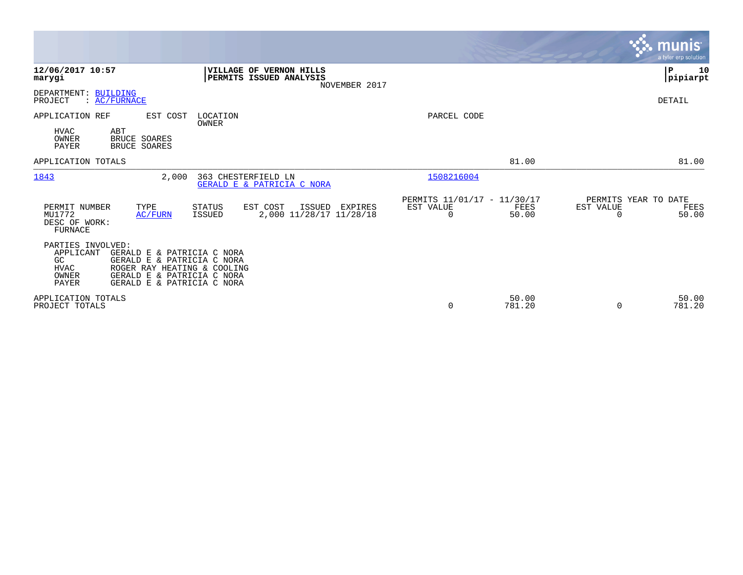|                                                                                                                                                                                                                              |                                                                                     |                                               |                 |                                        | <b>munis</b><br>a tyler erp solution |
|------------------------------------------------------------------------------------------------------------------------------------------------------------------------------------------------------------------------------|-------------------------------------------------------------------------------------|-----------------------------------------------|-----------------|----------------------------------------|--------------------------------------|
| 12/06/2017 10:57<br>marygi                                                                                                                                                                                                   | VILLAGE OF VERNON HILLS<br>PERMITS ISSUED ANALYSIS<br>NOVEMBER 2017                 |                                               |                 |                                        | P<br>10<br> pipiarpt                 |
| DEPARTMENT: BUILDING<br>: AC/FURNACE<br>PROJECT                                                                                                                                                                              |                                                                                     |                                               |                 |                                        | DETAIL                               |
| APPLICATION REF<br>EST COST<br><b>HVAC</b><br>ABT<br>OWNER<br><b>BRUCE SOARES</b><br><b>PAYER</b><br><b>BRUCE SOARES</b>                                                                                                     | LOCATION<br>OWNER                                                                   | PARCEL CODE                                   |                 |                                        |                                      |
| APPLICATION TOTALS                                                                                                                                                                                                           |                                                                                     |                                               | 81.00           |                                        | 81.00                                |
| 1843<br>2,000                                                                                                                                                                                                                | 363 CHESTERFIELD LN<br>GERALD E & PATRICIA C NORA                                   | 1508216004                                    |                 |                                        |                                      |
| PERMIT NUMBER<br>TYPE<br>MU1772<br>AC/FURN<br>DESC OF WORK:<br><b>FURNACE</b>                                                                                                                                                | EST COST<br>ISSUED<br>STATUS<br>EXPIRES<br>2,000 11/28/17 11/28/18<br><b>ISSUED</b> | PERMITS 11/01/17 - 11/30/17<br>EST VALUE<br>0 | FEES<br>50.00   | PERMITS YEAR TO DATE<br>EST VALUE<br>O | FEES<br>50.00                        |
| PARTIES INVOLVED:<br>APPLICANT<br>GERALD E & PATRICIA C NORA<br>GC<br>GERALD E & PATRICIA C NORA<br><b>HVAC</b><br>ROGER RAY HEATING & COOLING<br>OWNER<br>GERALD E & PATRICIA C NORA<br>PAYER<br>GERALD E & PATRICIA C NORA |                                                                                     |                                               |                 |                                        |                                      |
| APPLICATION TOTALS<br>PROJECT TOTALS                                                                                                                                                                                         |                                                                                     | 0                                             | 50.00<br>781.20 | 0                                      | 50.00<br>781.20                      |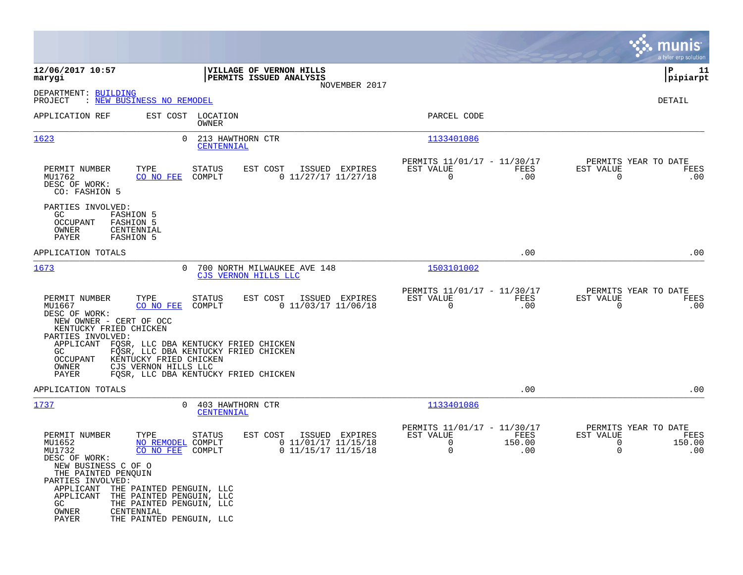|                                                                                                                                                                                                                                                                                                                                                 |                                                                                                                                                                                                 |                                                            |                       | munis<br>a tyler erp solution                    |                       |
|-------------------------------------------------------------------------------------------------------------------------------------------------------------------------------------------------------------------------------------------------------------------------------------------------------------------------------------------------|-------------------------------------------------------------------------------------------------------------------------------------------------------------------------------------------------|------------------------------------------------------------|-----------------------|--------------------------------------------------|-----------------------|
| 12/06/2017 10:57<br>marygi                                                                                                                                                                                                                                                                                                                      | VILLAGE OF VERNON HILLS<br>PERMITS ISSUED ANALYSIS                                                                                                                                              |                                                            |                       | IΡ                                               | 11<br> pipiarpt       |
| DEPARTMENT: BUILDING<br>: NEW BUSINESS NO REMODEL<br>PROJECT                                                                                                                                                                                                                                                                                    | NOVEMBER 2017                                                                                                                                                                                   |                                                            |                       | DETAIL                                           |                       |
| EST COST LOCATION<br>APPLICATION REF                                                                                                                                                                                                                                                                                                            | OWNER                                                                                                                                                                                           | PARCEL CODE                                                |                       |                                                  |                       |
| 1623<br>$\Omega$                                                                                                                                                                                                                                                                                                                                | 213 HAWTHORN CTR<br>CENTENNIAL                                                                                                                                                                  | 1133401086                                                 |                       |                                                  |                       |
| TYPE<br>PERMIT NUMBER<br>MU1762<br>CO NO FEE<br>DESC OF WORK:<br>CO: FASHION 5                                                                                                                                                                                                                                                                  | EST COST<br>STATUS<br>ISSUED EXPIRES<br>$0$ 11/27/17 11/27/18<br>COMPLT                                                                                                                         | PERMITS 11/01/17 - 11/30/17<br>EST VALUE<br>$\overline{0}$ | FEES<br>.00           | PERMITS YEAR TO DATE<br>EST VALUE<br>$\Omega$    | FEES<br>.00           |
| PARTIES INVOLVED:<br>GC.<br><b>FASHION 5</b><br>OCCUPANT<br><b>FASHION 5</b><br>OWNER<br>CENTENNIAL<br>PAYER<br><b>FASHION 5</b>                                                                                                                                                                                                                |                                                                                                                                                                                                 |                                                            |                       |                                                  |                       |
| APPLICATION TOTALS                                                                                                                                                                                                                                                                                                                              |                                                                                                                                                                                                 |                                                            | .00                   |                                                  | .00                   |
| 1673<br>0                                                                                                                                                                                                                                                                                                                                       | 700 NORTH MILWAUKEE AVE 148<br>CJS VERNON HILLS LLC                                                                                                                                             | 1503101002                                                 |                       |                                                  |                       |
| PERMIT NUMBER<br>TYPE<br>MU1667<br>CO NO FEE<br>DESC OF WORK:<br>NEW OWNER - CERT OF OCC<br>KENTUCKY FRIED CHICKEN<br>PARTIES INVOLVED:<br>APPLICANT<br>GC<br>KENTUCKY FRIED CHICKEN<br>OCCUPANT<br>OWNER<br>CJS VERNON HILLS LLC<br>PAYER                                                                                                      | EST COST<br>ISSUED EXPIRES<br>STATUS<br>COMPLT<br>$0$ 11/03/17 11/06/18<br>FQSR, LLC DBA KENTUCKY FRIED CHICKEN<br>FOSR, LLC DBA KENTUCKY FRIED CHICKEN<br>FOSR, LLC DBA KENTUCKY FRIED CHICKEN | PERMITS 11/01/17 - 11/30/17<br>EST VALUE<br>$\mathbf 0$    | FEES<br>.00           | PERMITS YEAR TO DATE<br>EST VALUE<br>$\mathbf 0$ | FEES<br>.00           |
| APPLICATION TOTALS                                                                                                                                                                                                                                                                                                                              |                                                                                                                                                                                                 |                                                            | .00                   |                                                  | .00                   |
| 1737<br>$\Omega$                                                                                                                                                                                                                                                                                                                                | 403 HAWTHORN CTR<br>CENTENNIAL                                                                                                                                                                  | 1133401086                                                 |                       |                                                  |                       |
| TYPE<br>PERMIT NUMBER<br>MU1652<br>NO REMODEL COMPLT<br>MU1732<br>CO NO FEE<br>DESC OF WORK:<br>NEW BUSINESS C OF O<br>THE PAINTED PENQUIN<br>PARTIES INVOLVED:<br>APPLICANT<br>THE PAINTED PENGUIN, LLC<br>APPLICANT<br>THE PAINTED PENGUIN, LLC<br>GC<br>THE PAINTED PENGUIN, LLC<br>OWNER<br>CENTENNIAL<br>PAYER<br>THE PAINTED PENGUIN, LLC | EST COST<br>STATUS<br>ISSUED EXPIRES<br>$0$ 11/01/17 11/15/18<br>$0$ 11/15/17 11/15/18<br>COMPLT                                                                                                | PERMITS 11/01/17 - 11/30/17<br>EST VALUE<br>0<br>0         | FEES<br>150.00<br>.00 | PERMITS YEAR TO DATE<br>EST VALUE<br>0<br>0      | FEES<br>150.00<br>.00 |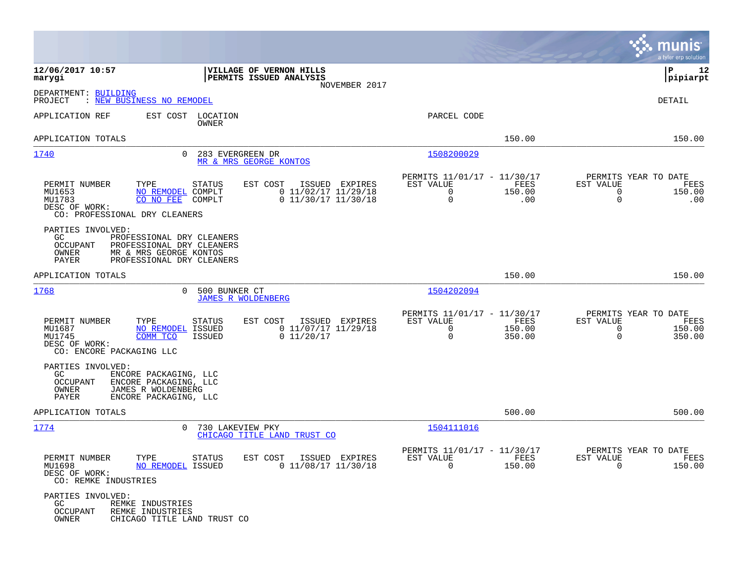|                                                                                |                                                                                                               |                                                                              |                                                      |                          |                                                       | munis<br>a tyler erp solution |
|--------------------------------------------------------------------------------|---------------------------------------------------------------------------------------------------------------|------------------------------------------------------------------------------|------------------------------------------------------|--------------------------|-------------------------------------------------------|-------------------------------|
| 12/06/2017 10:57<br>marygi                                                     |                                                                                                               | VILLAGE OF VERNON HILLS<br>PERMITS ISSUED ANALYSIS<br>NOVEMBER 2017          |                                                      |                          |                                                       | 12<br>IΡ<br> pipiarpt         |
| DEPARTMENT: BUILDING<br>PROJECT                                                | : NEW BUSINESS NO REMODEL                                                                                     |                                                                              |                                                      |                          |                                                       | DETAIL                        |
| APPLICATION REF                                                                | EST COST LOCATION<br>OWNER                                                                                    |                                                                              | PARCEL CODE                                          |                          |                                                       |                               |
| APPLICATION TOTALS                                                             |                                                                                                               |                                                                              |                                                      | 150.00                   |                                                       | 150.00                        |
| 1740                                                                           | $\Omega$                                                                                                      | 283 EVERGREEN DR<br>MR & MRS GEORGE KONTOS                                   | 1508200029                                           |                          |                                                       |                               |
| PERMIT NUMBER<br>MU1653<br>MU1783<br>DESC OF WORK:                             | TYPE<br><b>STATUS</b><br>NO REMODEL COMPLT<br>CO NO FEE<br>COMPLT<br>CO: PROFESSIONAL DRY CLEANERS            | EST COST<br>ISSUED EXPIRES<br>$0$ 11/02/17 11/29/18<br>$0$ 11/30/17 11/30/18 | PERMITS 11/01/17 - 11/30/17<br>EST VALUE<br>0<br>0   | FEES<br>150.00<br>.00    | PERMITS YEAR TO DATE<br>EST VALUE<br>0<br>$\mathbf 0$ | FEES<br>150.00<br>.00         |
| PARTIES INVOLVED:<br>GC<br>OCCUPANT<br>OWNER<br>PAYER                          | PROFESSIONAL DRY CLEANERS<br>PROFESSIONAL DRY CLEANERS<br>MR & MRS GEORGE KONTOS<br>PROFESSIONAL DRY CLEANERS |                                                                              |                                                      |                          |                                                       |                               |
| APPLICATION TOTALS                                                             |                                                                                                               |                                                                              |                                                      | 150.00                   |                                                       | 150.00                        |
| 1768                                                                           | 500 BUNKER CT<br>0                                                                                            | <b>JAMES R WOLDENBERG</b>                                                    | 1504202094                                           |                          |                                                       |                               |
| PERMIT NUMBER<br>MU1687<br>MU1745<br>DESC OF WORK:<br>CO: ENCORE PACKAGING LLC | TYPE<br>STATUS<br><b>NO REMODEL ISSUED</b><br>COMM TCO<br><b>ISSUED</b>                                       | EST COST<br>ISSUED EXPIRES<br>0 11/07/17 11/29/18<br>0 11/20/17              | PERMITS 11/01/17 - 11/30/17<br>EST VALUE<br>0<br>0   | FEES<br>150.00<br>350.00 | PERMITS YEAR TO DATE<br>EST VALUE<br>0<br>$\Omega$    | FEES<br>150.00<br>350.00      |
| PARTIES INVOLVED:<br>GC.<br>OCCUPANT<br>OWNER<br>PAYER                         | ENCORE PACKAGING, LLC<br>ENCORE PACKAGING, LLC<br>JAMES R WOLDENBERG<br>ENCORE PACKAGING, LLC                 |                                                                              |                                                      |                          |                                                       |                               |
| APPLICATION TOTALS                                                             |                                                                                                               |                                                                              |                                                      | 500.00                   |                                                       | 500.00                        |
| 1774                                                                           | $\Omega$                                                                                                      | 730 LAKEVIEW PKY<br>CHICAGO TITLE LAND TRUST CO                              | 1504111016                                           |                          |                                                       |                               |
| PERMIT NUMBER<br>MU1698<br>DESC OF WORK:<br>CO: REMKE INDUSTRIES               | TYPE STATUS<br>NO REMODEL ISSUED                                                                              | EST COST ISSUED EXPIRES<br>$0$ 11/08/17 11/30/18                             | PERMITS 11/01/17 - 11/30/17<br>EST VALUE<br>$\Omega$ | FEES<br>150.00           | PERMITS YEAR TO DATE<br>EST VALUE<br>$\Omega$         | FEES<br>150.00                |
| PARTIES INVOLVED:<br>GC<br><b>OCCUPANT</b><br>OWNER                            | REMKE INDUSTRIES<br>REMKE INDUSTRIES<br>CHICAGO TITLE LAND TRUST CO                                           |                                                                              |                                                      |                          |                                                       |                               |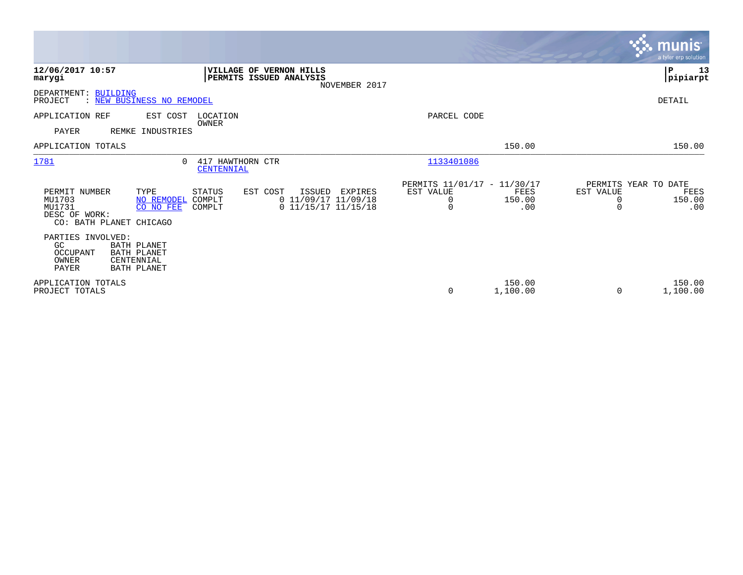|                                                                                                                                              |                                                                                                                      |                                                           |                       |                                                    | <b>munis</b><br>a tyler erp solution |
|----------------------------------------------------------------------------------------------------------------------------------------------|----------------------------------------------------------------------------------------------------------------------|-----------------------------------------------------------|-----------------------|----------------------------------------------------|--------------------------------------|
| 12/06/2017 10:57<br>marygi                                                                                                                   | VILLAGE OF VERNON HILLS<br>PERMITS ISSUED ANALYSIS<br>NOVEMBER 2017                                                  |                                                           |                       |                                                    | P<br>13<br> pipiarpt                 |
| DEPARTMENT:<br><b>BUILDING</b><br>: NEW BUSINESS NO REMODEL<br>PROJECT                                                                       |                                                                                                                      |                                                           |                       |                                                    | DETAIL                               |
| APPLICATION REF<br>EST COST<br><b>PAYER</b><br>REMKE INDUSTRIES                                                                              | LOCATION<br>OWNER                                                                                                    | PARCEL CODE                                               |                       |                                                    |                                      |
| APPLICATION TOTALS                                                                                                                           |                                                                                                                      |                                                           | 150.00                |                                                    | 150.00                               |
| 1781<br>$\Omega$                                                                                                                             | 417 HAWTHORN CTR<br>CENTENNIAL                                                                                       | 1133401086                                                |                       |                                                    |                                      |
| PERMIT NUMBER<br>TYPE<br>MU1703<br>NO REMODEL<br>MU1731<br>CO NO FEE<br>DESC OF WORK:<br>CO: BATH PLANET CHICAGO                             | <b>STATUS</b><br>EST COST<br>ISSUED<br>EXPIRES<br>$0$ 11/09/17 11/09/18<br>COMPLT<br>$0$ 11/15/17 11/15/18<br>COMPLT | PERMITS 11/01/17 - 11/30/17<br>EST VALUE<br>0<br>$\Omega$ | FEES<br>150.00<br>.00 | PERMITS YEAR TO DATE<br>EST VALUE<br>0<br>$\Omega$ | FEES<br>150.00<br>.00                |
| PARTIES INVOLVED:<br><b>BATH PLANET</b><br>GC<br>OCCUPANT<br><b>BATH PLANET</b><br>OWNER<br>CENTENNIAL<br><b>PAYER</b><br><b>BATH PLANET</b> |                                                                                                                      |                                                           |                       |                                                    |                                      |
| APPLICATION TOTALS<br>PROJECT TOTALS                                                                                                         |                                                                                                                      | 0                                                         | 150.00<br>1,100.00    | $\Omega$                                           | 150.00<br>1,100.00                   |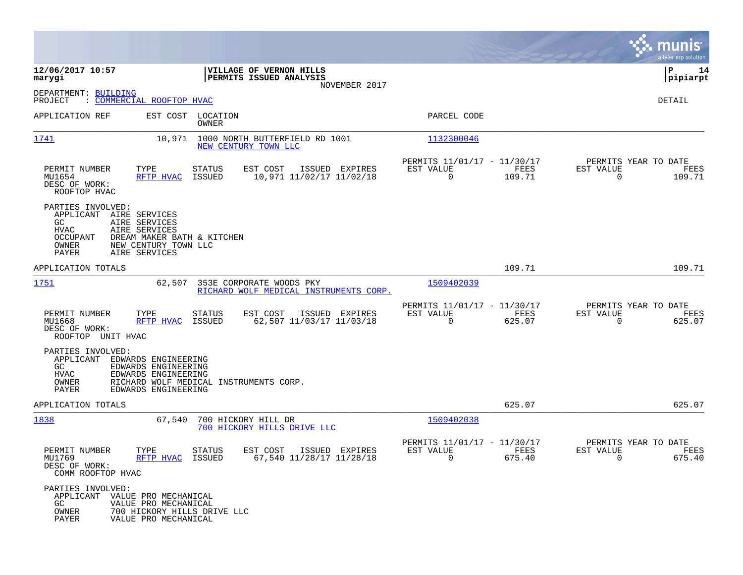|                                                                                                                                                                                                          |                                                                         |                                                                           | munis<br>a tyler erp solution                                         |
|----------------------------------------------------------------------------------------------------------------------------------------------------------------------------------------------------------|-------------------------------------------------------------------------|---------------------------------------------------------------------------|-----------------------------------------------------------------------|
| 12/06/2017 10:57<br>marygi                                                                                                                                                                               | VILLAGE OF VERNON HILLS<br>PERMITS ISSUED ANALYSIS<br>NOVEMBER 2017     |                                                                           | l P<br>14<br> pipiarpt                                                |
| DEPARTMENT: BUILDING<br>: COMMERCIAL ROOFTOP HVAC<br>PROJECT                                                                                                                                             |                                                                         |                                                                           | DETAIL                                                                |
| APPLICATION REF<br>EST COST LOCATION                                                                                                                                                                     | OWNER                                                                   | PARCEL CODE                                                               |                                                                       |
| 1741<br>10,971                                                                                                                                                                                           | 1000 NORTH BUTTERFIELD RD 1001<br>NEW CENTURY TOWN LLC                  | 1132300046                                                                |                                                                       |
| PERMIT NUMBER<br>TYPE<br>MU1654<br>RFTP HVAC<br>ISSUED<br>DESC OF WORK:<br>ROOFTOP HVAC                                                                                                                  | EST COST<br>ISSUED EXPIRES<br>STATUS<br>10,971 11/02/17 11/02/18        | PERMITS 11/01/17 - 11/30/17<br>EST VALUE<br>FEES<br>$\Omega$<br>109.71    | PERMITS YEAR TO DATE<br>EST VALUE<br>FEES<br>$\overline{0}$<br>109.71 |
| PARTIES INVOLVED:<br>APPLICANT AIRE SERVICES<br>GC<br>AIRE SERVICES<br><b>HVAC</b><br>AIRE SERVICES<br>OCCUPANT<br>DREAM MAKER BATH & KITCHEN<br>OWNER<br>NEW CENTURY TOWN LLC<br>PAYER<br>AIRE SERVICES |                                                                         |                                                                           |                                                                       |
| APPLICATION TOTALS                                                                                                                                                                                       |                                                                         | 109.71                                                                    | 109.71                                                                |
| 1751<br>62,507                                                                                                                                                                                           | 353E CORPORATE WOODS PKY<br>RICHARD WOLF MEDICAL INSTRUMENTS CORP.      | 1509402039                                                                |                                                                       |
| PERMIT NUMBER<br>TYPE<br>RFTP HVAC<br>MU1668<br>ISSUED<br>DESC OF WORK:<br>ROOFTOP UNIT HVAC                                                                                                             | EST COST<br>ISSUED EXPIRES<br>STATUS<br>62,507 11/03/17 11/03/18        | PERMITS 11/01/17 - 11/30/17<br>FEES<br>EST VALUE<br>$\mathbf 0$<br>625.07 | PERMITS YEAR TO DATE<br>EST VALUE<br>FEES<br>$\overline{0}$<br>625.07 |
| PARTIES INVOLVED:<br>APPLICANT EDWARDS ENGINEERING<br>GC<br>EDWARDS ENGINEERING<br>HVAC<br>EDWARDS ENGINEERING<br>RICHARD WOLF MEDICAL INSTRUMENTS CORP.<br>OWNER<br>PAYER<br>EDWARDS ENGINEERING        |                                                                         |                                                                           |                                                                       |
| APPLICATION TOTALS                                                                                                                                                                                       |                                                                         | 625.07                                                                    | 625.07                                                                |
| 1838<br>67,540                                                                                                                                                                                           | 700 HICKORY HILL DR<br>700 HICKORY HILLS DRIVE LLC                      | 1509402038                                                                |                                                                       |
| PERMIT NUMBER<br>TYPE<br>MU1769<br>RFTP HVAC<br>ISSUED<br>DESC OF WORK:<br>COMM ROOFTOP HVAC                                                                                                             | EST COST<br><b>STATUS</b><br>ISSUED EXPIRES<br>67,540 11/28/17 11/28/18 | PERMITS 11/01/17 - 11/30/17<br>EST VALUE<br>FEES<br>$\Omega$<br>675.40    | PERMITS YEAR TO DATE<br>EST VALUE<br>FEES<br>$\Omega$<br>675.40       |
| PARTIES INVOLVED:<br>APPLICANT<br>VALUE PRO MECHANICAL<br>GC.<br>VALUE PRO MECHANICAL<br>OWNER<br>700 HICKORY HILLS DRIVE LLC<br>PAYER<br>VALUE PRO MECHANICAL                                           |                                                                         |                                                                           |                                                                       |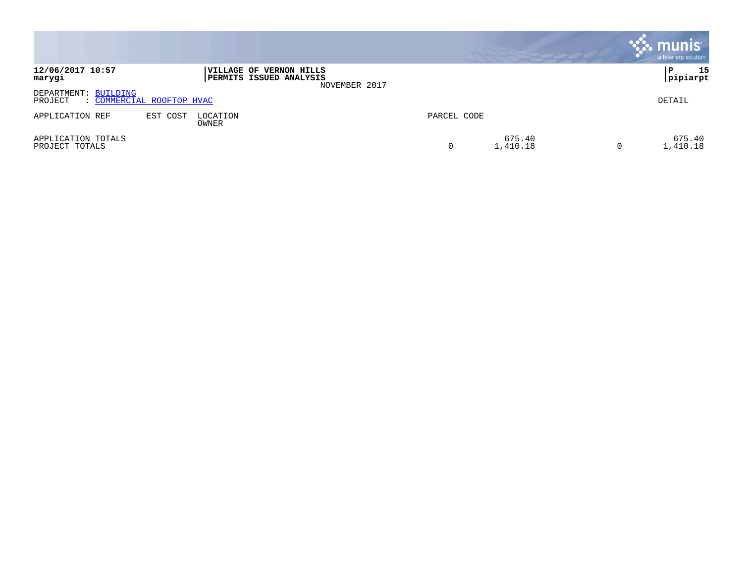|                                      |                           |                   |                                                                            |             |                    | $\mathbf{\ddot{.}}\mathbf{.}$ munis<br>a tyler erp solution |
|--------------------------------------|---------------------------|-------------------|----------------------------------------------------------------------------|-------------|--------------------|-------------------------------------------------------------|
| 12/06/2017 10:57<br>marygi           |                           |                   | VILLAGE OF VERNON HILLS<br><b>PERMITS ISSUED ANALYSIS</b><br>NOVEMBER 2017 |             |                    | 15<br> pipiarpt                                             |
| DEPARTMENT: BUILDING<br>PROJECT      | : COMMERCIAL ROOFTOP HVAC |                   |                                                                            |             |                    | DETAIL                                                      |
| APPLICATION REF                      | EST COST                  | LOCATION<br>OWNER |                                                                            | PARCEL CODE |                    |                                                             |
| APPLICATION TOTALS<br>PROJECT TOTALS |                           |                   |                                                                            | 0           | 675.40<br>1,410.18 | 675.40<br>1,410.18                                          |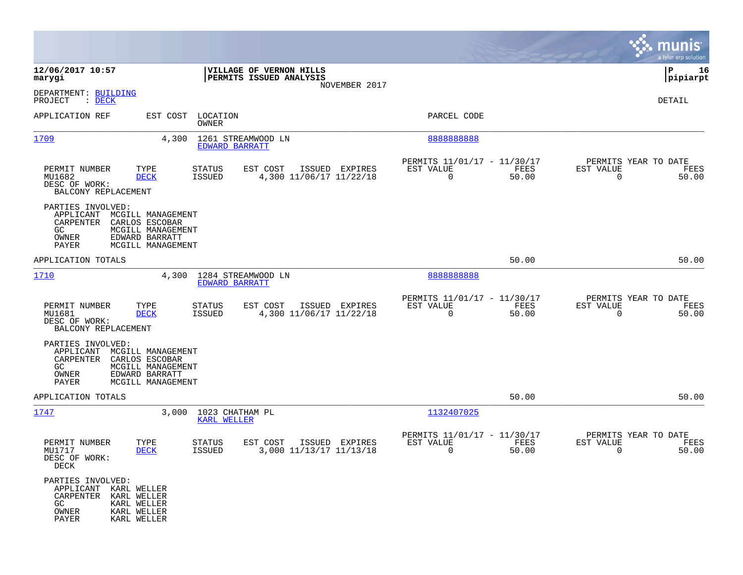|                                                                            |                                                                                                 |                                       |                                                       |               |                                                            |               |                                                  | munis<br>a tyler erp solution |
|----------------------------------------------------------------------------|-------------------------------------------------------------------------------------------------|---------------------------------------|-------------------------------------------------------|---------------|------------------------------------------------------------|---------------|--------------------------------------------------|-------------------------------|
| 12/06/2017 10:57<br>marygi                                                 |                                                                                                 |                                       | VILLAGE OF VERNON HILLS<br>PERMITS ISSUED ANALYSIS    |               |                                                            |               |                                                  | P<br>16<br> pipiarpt          |
| DEPARTMENT: BUILDING<br>PROJECT<br>$\therefore$ DECK                       |                                                                                                 |                                       |                                                       | NOVEMBER 2017 |                                                            |               |                                                  | DETAIL                        |
| APPLICATION REF                                                            | EST COST                                                                                        | LOCATION<br>OWNER                     |                                                       |               | PARCEL CODE                                                |               |                                                  |                               |
| 1709                                                                       | 4,300                                                                                           | EDWARD BARRATT                        | 1261 STREAMWOOD LN                                    |               | 888888888                                                  |               |                                                  |                               |
| PERMIT NUMBER<br>MU1682<br>DESC OF WORK:<br>BALCONY REPLACEMENT            | TYPE<br><b>DECK</b>                                                                             | <b>STATUS</b><br><b>ISSUED</b>        | EST COST<br>ISSUED EXPIRES<br>4,300 11/06/17 11/22/18 |               | PERMITS 11/01/17 - 11/30/17<br>EST VALUE<br>$\mathbf 0$    | FEES<br>50.00 | PERMITS YEAR TO DATE<br>EST VALUE<br>$\mathbf 0$ | FEES<br>50.00                 |
| PARTIES INVOLVED:<br>APPLICANT<br>CARPENTER<br>GC.<br>OWNER<br>PAYER       | MCGILL MANAGEMENT<br>CARLOS ESCOBAR<br>MCGILL MANAGEMENT<br>EDWARD BARRATT<br>MCGILL MANAGEMENT |                                       |                                                       |               |                                                            |               |                                                  |                               |
| APPLICATION TOTALS                                                         |                                                                                                 |                                       |                                                       |               |                                                            | 50.00         |                                                  | 50.00                         |
| 1710                                                                       | 4,300                                                                                           | <b>EDWARD BARRATT</b>                 | 1284 STREAMWOOD LN                                    |               | 8888888888                                                 |               |                                                  |                               |
| PERMIT NUMBER<br>MU1681<br>DESC OF WORK:<br>BALCONY REPLACEMENT            | TYPE<br><b>DECK</b>                                                                             | <b>STATUS</b><br><b>ISSUED</b>        | EST COST<br>ISSUED EXPIRES<br>4,300 11/06/17 11/22/18 |               | PERMITS 11/01/17 - 11/30/17<br>EST VALUE<br>$\overline{0}$ | FEES<br>50.00 | PERMITS YEAR TO DATE<br>EST VALUE<br>$\mathbf 0$ | FEES<br>50.00                 |
| PARTIES INVOLVED:<br>APPLICANT<br>CARPENTER<br>GC<br>OWNER<br><b>PAYER</b> | MCGILL MANAGEMENT<br>CARLOS ESCOBAR<br>MCGILL MANAGEMENT<br>EDWARD BARRATT<br>MCGILL MANAGEMENT |                                       |                                                       |               |                                                            |               |                                                  |                               |
| APPLICATION TOTALS                                                         |                                                                                                 |                                       |                                                       |               |                                                            | 50.00         |                                                  | 50.00                         |
| 1747                                                                       | 3,000                                                                                           | 1023 CHATHAM PL<br><b>KARL WELLER</b> |                                                       |               | 1132407025                                                 |               |                                                  |                               |
| PERMIT NUMBER<br>MU1717<br>DESC OF WORK:<br>DECK                           | TYPE<br>DECK                                                                                    | STATUS<br>ISSUED                      | EST COST<br>ISSUED EXPIRES<br>3,000 11/13/17 11/13/18 |               | PERMITS 11/01/17 - 11/30/17<br>EST VALUE<br>0              | FEES<br>50.00 | PERMITS YEAR TO DATE<br>EST VALUE<br>0           | FEES<br>50.00                 |
| PARTIES INVOLVED:<br>APPLICANT<br>CARPENTER<br>GC.<br>OWNER<br>PAYER       | KARL WELLER<br>KARL WELLER<br>KARL WELLER<br>KARL WELLER<br>KARL WELLER                         |                                       |                                                       |               |                                                            |               |                                                  |                               |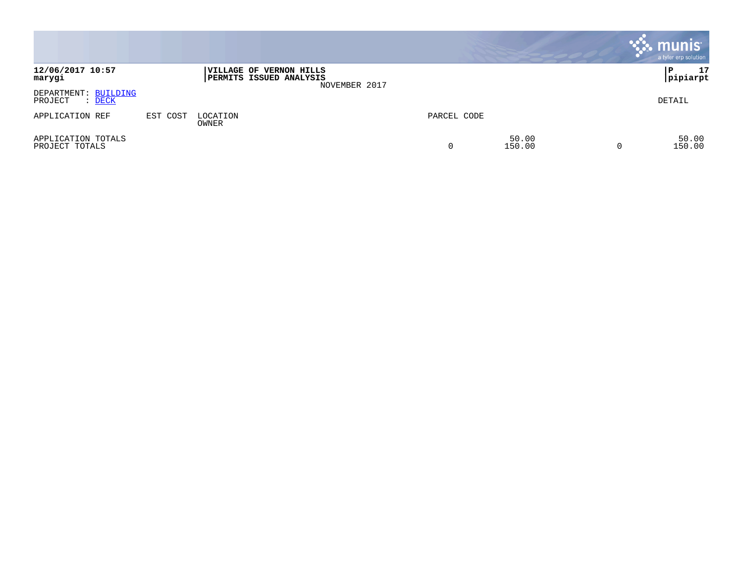|                                                  |          |                                                                  |               |             |                 | $\cdot$ munis $\cdot$<br>a tyler erp solution |
|--------------------------------------------------|----------|------------------------------------------------------------------|---------------|-------------|-----------------|-----------------------------------------------|
| 12/06/2017 10:57<br>marygi                       |          | <b>VILLAGE OF VERNON HILLS</b><br><b>PERMITS ISSUED ANALYSIS</b> | NOVEMBER 2017 |             |                 | 17<br>P<br> pipiarpt                          |
| DEPARTMENT: BUILDING<br>PROJECT<br>: <u>DECK</u> |          |                                                                  |               |             |                 | DETAIL                                        |
| APPLICATION REF                                  | EST COST | LOCATION<br>OWNER                                                |               | PARCEL CODE |                 |                                               |
| APPLICATION TOTALS<br>PROJECT TOTALS             |          |                                                                  |               | 0           | 50.00<br>150.00 | 50.00<br>150.00                               |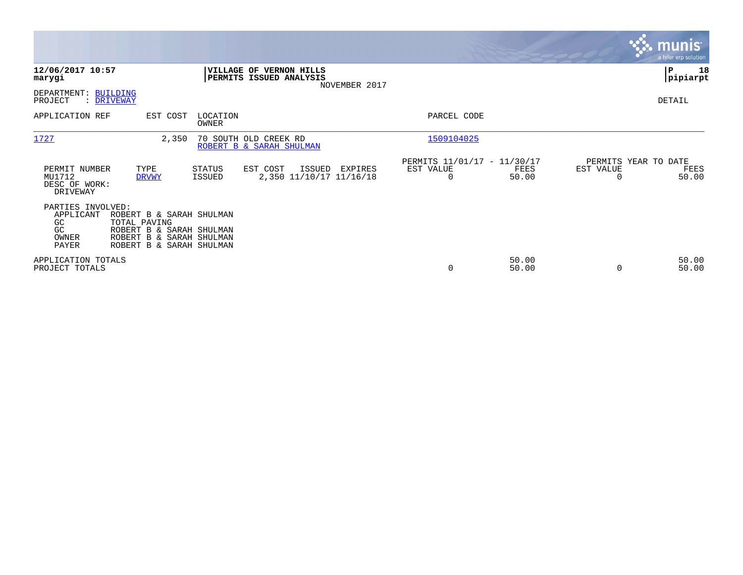|                                                               |                                                                                                                              |                   |                                                    |               |                                                      |                |                       | <b>munis</b><br>a tyler erp solution  |
|---------------------------------------------------------------|------------------------------------------------------------------------------------------------------------------------------|-------------------|----------------------------------------------------|---------------|------------------------------------------------------|----------------|-----------------------|---------------------------------------|
| 12/06/2017 10:57<br>marygi                                    |                                                                                                                              |                   | VILLAGE OF VERNON HILLS<br>PERMITS ISSUED ANALYSIS |               |                                                      |                |                       | P<br>18<br> pipiarpt                  |
| DEPARTMENT: BUILDING<br>PROJECT                               | : DRIVEWAY                                                                                                                   |                   |                                                    | NOVEMBER 2017 |                                                      |                |                       | DETAIL                                |
| APPLICATION REF                                               | EST COST                                                                                                                     | LOCATION<br>OWNER |                                                    |               | PARCEL CODE                                          |                |                       |                                       |
| 1727                                                          | 2,350                                                                                                                        |                   | 70 SOUTH OLD CREEK RD<br>ROBERT B & SARAH SHULMAN  |               | 1509104025                                           |                |                       |                                       |
| PERMIT NUMBER<br>MU1712<br>DESC OF WORK:<br>DRIVEWAY          | TYPE<br><b>DRVWY</b>                                                                                                         | STATUS<br>ISSUED  | EST COST<br>ISSUED<br>2,350 11/10/17 11/16/18      | EXPIRES       | PERMITS 11/01/17 - 11/30/17<br>EST VALUE<br>$\Omega$ | FEES<br>50.00  | EST VALUE<br>$\Omega$ | PERMITS YEAR TO DATE<br>FEES<br>50.00 |
| PARTIES INVOLVED:<br>APPLICANT<br>GC.<br>GC<br>OWNER<br>PAYER | ROBERT B & SARAH SHULMAN<br>TOTAL PAVING<br>ROBERT B & SARAH SHULMAN<br>ROBERT B & SARAH SHULMAN<br>ROBERT B & SARAH SHULMAN |                   |                                                    |               |                                                      |                |                       |                                       |
| APPLICATION TOTALS<br>PROJECT TOTALS                          |                                                                                                                              |                   |                                                    |               | $\mathbf 0$                                          | 50.00<br>50.00 | 0                     | 50.00<br>50.00                        |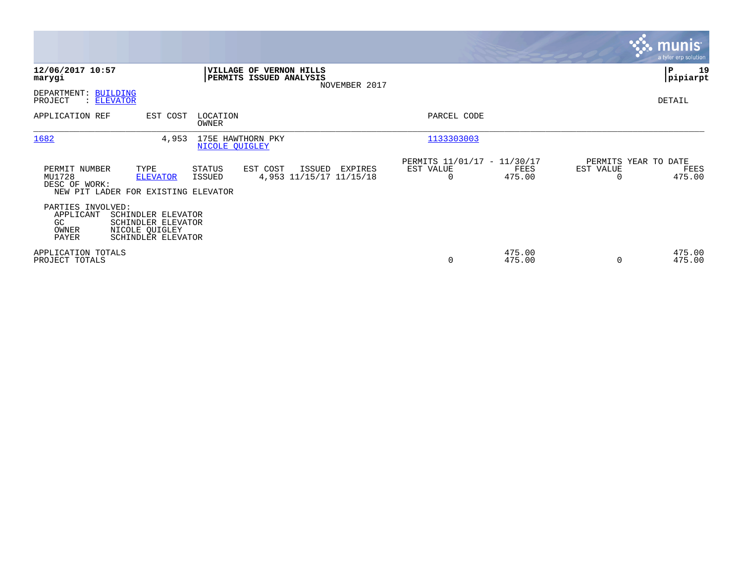|                                                                                         |                                                                |                                                    |               |                                               |                  |                                   | <b>munis</b><br>a tyler erp solution |
|-----------------------------------------------------------------------------------------|----------------------------------------------------------------|----------------------------------------------------|---------------|-----------------------------------------------|------------------|-----------------------------------|--------------------------------------|
| 12/06/2017 10:57<br>marygi                                                              |                                                                | VILLAGE OF VERNON HILLS<br>PERMITS ISSUED ANALYSIS | NOVEMBER 2017 |                                               |                  |                                   | ∣P<br>19<br> pipiarpt                |
| DEPARTMENT: BUILDING<br>PROJECT<br>: ELEVATOR                                           |                                                                |                                                    |               |                                               |                  |                                   | DETAIL                               |
| APPLICATION REF                                                                         | EST COST<br>LOCATION<br>OWNER                                  |                                                    |               | PARCEL CODE                                   |                  |                                   |                                      |
| 1682                                                                                    | 4,953<br>NICOLE QUIGLEY                                        | 175E HAWTHORN PKY                                  |               | 1133303003                                    |                  |                                   |                                      |
| PERMIT NUMBER<br>TYPE<br>MU1728<br>DESC OF WORK:<br>NEW PIT LADER FOR EXISTING ELEVATOR | STATUS<br><b>ELEVATOR</b><br>ISSUED                            | EST COST<br>ISSUED<br>4,953 11/15/17 11/15/18      | EXPIRES       | PERMITS 11/01/17 - 11/30/17<br>EST VALUE<br>0 | FEES<br>475.00   | PERMITS YEAR TO DATE<br>EST VALUE | FEES<br>475.00                       |
| PARTIES INVOLVED:<br>APPLICANT<br>GC.<br>OWNER<br>NICOLE QUIGLEY<br>PAYER               | SCHINDLER ELEVATOR<br>SCHINDLER ELEVATOR<br>SCHINDLER ELEVATOR |                                                    |               |                                               |                  |                                   |                                      |
| APPLICATION TOTALS<br>PROJECT TOTALS                                                    |                                                                |                                                    |               | 0                                             | 475.00<br>475.00 |                                   | 475.00<br>475.00                     |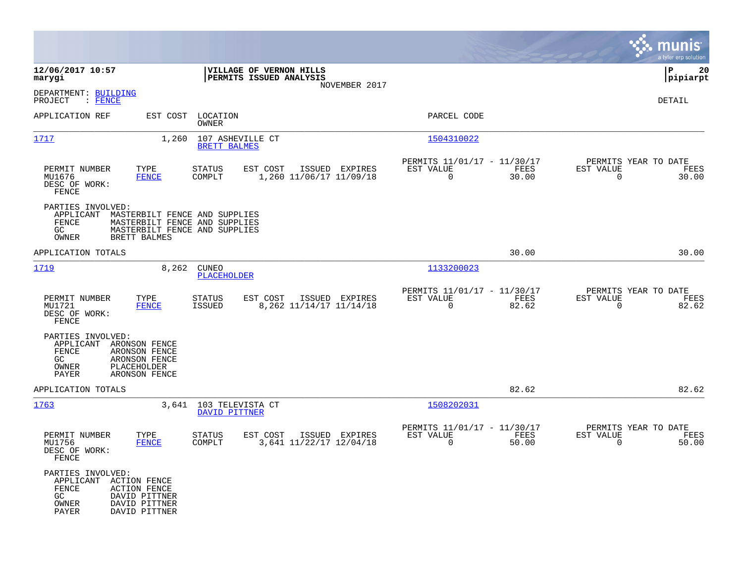|                                                                                                        |                                                                  |                                                                                                 |          |                                            |                                                         |               |                          | munis<br>a tyler erp solution         |
|--------------------------------------------------------------------------------------------------------|------------------------------------------------------------------|-------------------------------------------------------------------------------------------------|----------|--------------------------------------------|---------------------------------------------------------|---------------|--------------------------|---------------------------------------|
| 12/06/2017 10:57<br>marygi                                                                             |                                                                  | VILLAGE OF VERNON HILLS<br>PERMITS ISSUED ANALYSIS                                              |          | NOVEMBER 2017                              |                                                         |               |                          | lР<br>20<br> pipiarpt                 |
| DEPARTMENT: BUILDING<br>$:$ FENCE<br>PROJECT                                                           |                                                                  |                                                                                                 |          |                                            |                                                         |               |                          | <b>DETAIL</b>                         |
| APPLICATION REF                                                                                        | EST COST                                                         | LOCATION<br>OWNER                                                                               |          |                                            | PARCEL CODE                                             |               |                          |                                       |
| 1717                                                                                                   | 1,260                                                            | 107 ASHEVILLE CT<br><b>BRETT BALMES</b>                                                         |          |                                            | 1504310022                                              |               |                          |                                       |
| PERMIT NUMBER<br>MU1676<br>DESC OF WORK:<br>FENCE                                                      | TYPE<br><b>FENCE</b>                                             | STATUS<br>COMPLT                                                                                | EST COST | ISSUED EXPIRES<br>1,260 11/06/17 11/09/18  | PERMITS 11/01/17 - 11/30/17<br>EST VALUE<br>$\Omega$    | FEES<br>30.00 | EST VALUE<br>0           | PERMITS YEAR TO DATE<br>FEES<br>30.00 |
| PARTIES INVOLVED:<br>APPLICANT<br><b>FENCE</b><br>GC<br>OWNER<br>BRETT BALMES                          |                                                                  | MASTERBILT FENCE AND SUPPLIES<br>MASTERBILT FENCE AND SUPPLIES<br>MASTERBILT FENCE AND SUPPLIES |          |                                            |                                                         |               |                          |                                       |
| APPLICATION TOTALS                                                                                     |                                                                  |                                                                                                 |          |                                            |                                                         | 30.00         |                          | 30.00                                 |
| 1719                                                                                                   | 8,262                                                            | <b>CUNEO</b><br><b>PLACEHOLDER</b>                                                              |          |                                            | 1133200023                                              |               |                          |                                       |
| PERMIT NUMBER<br>MU1721<br>DESC OF WORK:<br>FENCE                                                      | TYPE<br><b>FENCE</b>                                             | <b>STATUS</b><br>ISSUED                                                                         | EST COST | ISSUED EXPIRES<br>8, 262 11/14/17 11/14/18 | PERMITS 11/01/17 - 11/30/17<br>EST VALUE<br>$\mathbf 0$ | FEES<br>82.62 | EST VALUE<br>$\mathbf 0$ | PERMITS YEAR TO DATE<br>FEES<br>82.62 |
| PARTIES INVOLVED:<br>APPLICANT<br><b>FENCE</b><br>GC.<br>OWNER<br>PLACEHOLDER<br>PAYER                 | ARONSON FENCE<br>ARONSON FENCE<br>ARONSON FENCE<br>ARONSON FENCE |                                                                                                 |          |                                            |                                                         |               |                          |                                       |
| APPLICATION TOTALS                                                                                     |                                                                  |                                                                                                 |          |                                            |                                                         | 82.62         |                          | 82.62                                 |
| 1763                                                                                                   | 3,641                                                            | 103 TELEVISTA CT<br>DAVID PITTNER                                                               |          |                                            | 1508202031                                              |               |                          |                                       |
| PERMIT NUMBER<br>MU1756<br>DESC OF WORK:<br>FENCE                                                      | TYPE<br><b>FENCE</b>                                             | <b>STATUS</b><br>COMPLT                                                                         | EST COST | ISSUED EXPIRES<br>3,641 11/22/17 12/04/18  | PERMITS 11/01/17 - 11/30/17<br>EST VALUE<br>$\mathbf 0$ | FEES<br>50.00 | EST VALUE<br>0           | PERMITS YEAR TO DATE<br>FEES<br>50.00 |
| PARTIES INVOLVED:<br>APPLICANT<br>ACTION FENCE<br>FENCE<br><b>ACTION FENCE</b><br>GC<br>OWNER<br>PAYER | DAVID PITTNER<br>DAVID PITTNER<br>DAVID PITTNER                  |                                                                                                 |          |                                            |                                                         |               |                          |                                       |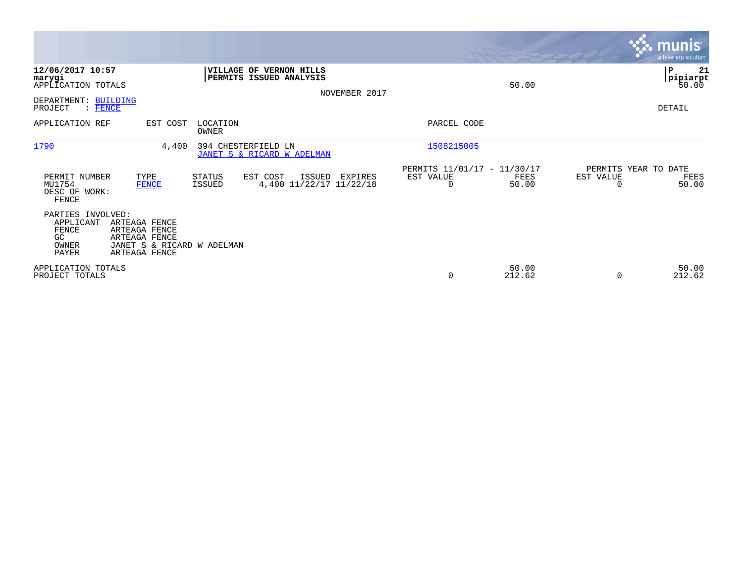|                                                                                                |                                                                                                |                         |                                                    |                |                                                      |                 |                                   | <b>munis</b><br>a tyler erp solution     |
|------------------------------------------------------------------------------------------------|------------------------------------------------------------------------------------------------|-------------------------|----------------------------------------------------|----------------|------------------------------------------------------|-----------------|-----------------------------------|------------------------------------------|
| 12/06/2017 10:57<br>marygi<br>APPLICATION TOTALS<br>DEPARTMENT: BUILDING<br>PROJECT<br>: FENCE |                                                                                                |                         | VILLAGE OF VERNON HILLS<br>PERMITS ISSUED ANALYSIS | NOVEMBER 2017  |                                                      | 50.00           |                                   | ∣P<br>21<br> pipiarpt<br>50.00<br>DETAIL |
| APPLICATION REF                                                                                | EST COST                                                                                       | LOCATION<br>OWNER       |                                                    |                | PARCEL CODE                                          |                 |                                   |                                          |
| 1790                                                                                           | 4,400                                                                                          |                         | 394 CHESTERFIELD LN<br>JANET S & RICARD W ADELMAN  |                | 1508215005                                           |                 |                                   |                                          |
| PERMIT NUMBER<br>MU1754<br>DESC OF WORK:<br>FENCE                                              | TYPE<br><b>FENCE</b>                                                                           | STATUS<br><b>ISSUED</b> | EST COST<br>ISSUED<br>4,400 11/22/17 11/22/18      | <b>EXPIRES</b> | PERMITS 11/01/17 - 11/30/17<br>EST VALUE<br>$\Omega$ | FEES<br>50.00   | PERMITS YEAR TO DATE<br>EST VALUE | FEES<br>50.00                            |
| PARTIES INVOLVED:<br>APPLICANT<br>FENCE<br>GC.<br>OWNER<br><b>PAYER</b>                        | ARTEAGA FENCE<br>ARTEAGA FENCE<br>ARTEAGA FENCE<br>JANET S & RICARD W ADELMAN<br>ARTEAGA FENCE |                         |                                                    |                |                                                      |                 |                                   |                                          |
| APPLICATION TOTALS<br>PROJECT TOTALS                                                           |                                                                                                |                         |                                                    |                | 0                                                    | 50.00<br>212.62 | $\Omega$                          | 50.00<br>212.62                          |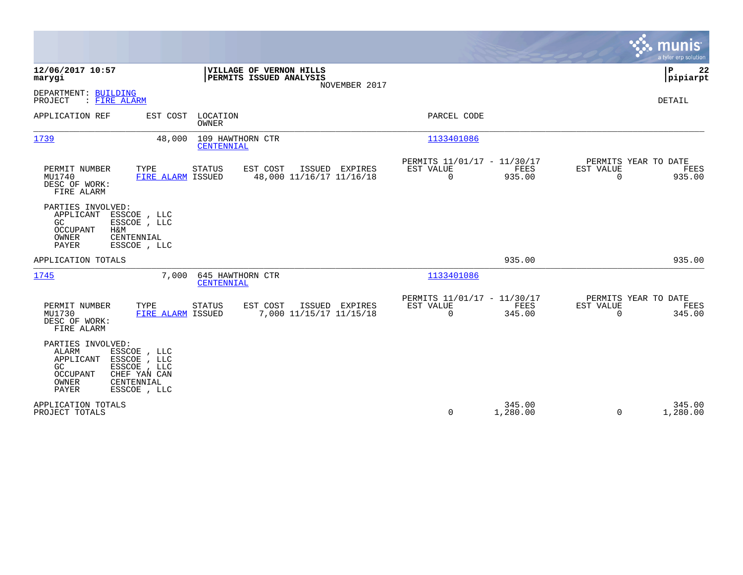|                                                                                                                                                                                  |                                                                                              |                                                                           | munis<br>a tyler erp solution                                      |
|----------------------------------------------------------------------------------------------------------------------------------------------------------------------------------|----------------------------------------------------------------------------------------------|---------------------------------------------------------------------------|--------------------------------------------------------------------|
| 12/06/2017 10:57<br>marygi                                                                                                                                                       | VILLAGE OF VERNON HILLS<br>PERMITS ISSUED ANALYSIS<br>NOVEMBER 2017                          |                                                                           | 22<br>ΙP<br> pipiarpt                                              |
| DEPARTMENT: BUILDING<br>PROJECT<br>: FIRE ALARM                                                                                                                                  |                                                                                              |                                                                           | <b>DETAIL</b>                                                      |
| APPLICATION REF                                                                                                                                                                  | EST COST LOCATION<br><b>OWNER</b>                                                            | PARCEL CODE                                                               |                                                                    |
| 1739                                                                                                                                                                             | 109 HAWTHORN CTR<br>48,000<br>CENTENNIAL                                                     | 1133401086                                                                |                                                                    |
| PERMIT NUMBER<br>TYPE<br>MU1740<br>DESC OF WORK:<br>FIRE ALARM                                                                                                                   | <b>STATUS</b><br>EST COST<br>ISSUED EXPIRES<br>FIRE ALARM ISSUED<br>48,000 11/16/17 11/16/18 | PERMITS 11/01/17 - 11/30/17<br>EST VALUE<br>FEES<br>$\mathbf 0$<br>935.00 | PERMITS YEAR TO DATE<br>EST VALUE<br>FEES<br>$\mathbf 0$<br>935.00 |
| PARTIES INVOLVED:<br>APPLICANT<br>ESSCOE , LLC<br>GC<br>ESSCOE , LLC<br>OCCUPANT<br>H&M<br>OWNER<br>CENTENNIAL<br>PAYER<br>ESSCOE , LLC                                          |                                                                                              |                                                                           |                                                                    |
| APPLICATION TOTALS                                                                                                                                                               |                                                                                              | 935.00                                                                    | 935.00                                                             |
| 1745                                                                                                                                                                             | 7,000<br>645 HAWTHORN CTR<br>CENTENNIAL                                                      | 1133401086                                                                |                                                                    |
| PERMIT NUMBER<br>TYPE<br>MU1730<br>DESC OF WORK:<br>FIRE ALARM                                                                                                                   | EST COST<br>ISSUED EXPIRES<br><b>STATUS</b><br>7,000 11/15/17 11/15/18<br>FIRE ALARM ISSUED  | PERMITS 11/01/17 - 11/30/17<br>EST VALUE<br>FEES<br>$\mathbf 0$<br>345.00 | PERMITS YEAR TO DATE<br>EST VALUE<br>FEES<br>$\mathbf 0$<br>345.00 |
| PARTIES INVOLVED:<br>ALARM<br>ESSCOE , LLC<br>ESSCOE , LLC<br>APPLICANT<br>GC<br>ESSCOE , LLC<br><b>OCCUPANT</b><br>CHEF YAN CAN<br>OWNER<br>CENTENNIAL<br>PAYER<br>ESSCOE , LLC |                                                                                              |                                                                           |                                                                    |
| APPLICATION TOTALS<br>PROJECT TOTALS                                                                                                                                             |                                                                                              | 345.00<br>0<br>1,280.00                                                   | 345.00<br>1,280.00<br>$\Omega$                                     |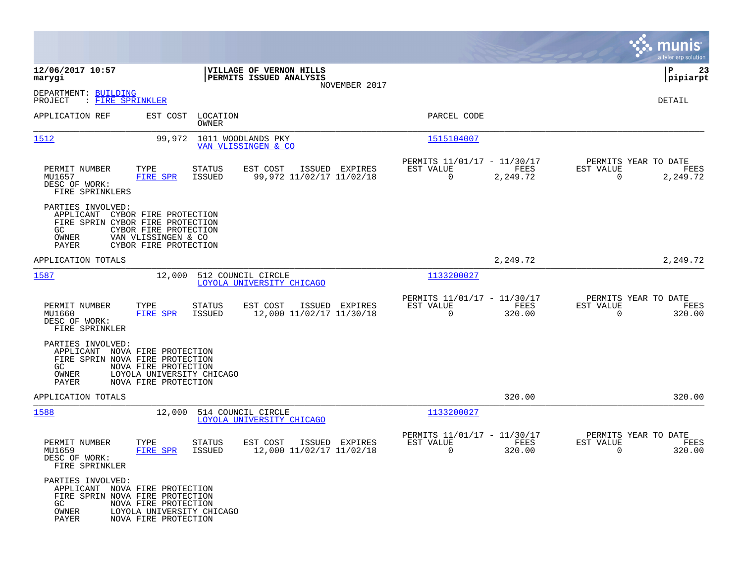|                                                                                                                        |                                                                                                |                         |                                                    |                |                                                         |                  |                                                  | munis<br>a tyler erp solution |
|------------------------------------------------------------------------------------------------------------------------|------------------------------------------------------------------------------------------------|-------------------------|----------------------------------------------------|----------------|---------------------------------------------------------|------------------|--------------------------------------------------|-------------------------------|
| 12/06/2017 10:57<br>marygi                                                                                             |                                                                                                |                         | VILLAGE OF VERNON HILLS<br>PERMITS ISSUED ANALYSIS |                |                                                         |                  |                                                  | ΙP<br>23<br> pipiarpt         |
| DEPARTMENT: BUILDING<br>: FIRE SPRINKLER<br>PROJECT                                                                    |                                                                                                |                         |                                                    | NOVEMBER 2017  |                                                         |                  |                                                  | DETAIL                        |
| APPLICATION REF                                                                                                        | EST COST                                                                                       | LOCATION<br>OWNER       |                                                    |                | PARCEL CODE                                             |                  |                                                  |                               |
| 1512                                                                                                                   | 99,972                                                                                         |                         | 1011 WOODLANDS PKY<br>VAN VLISSINGEN & CO          |                | 1515104007                                              |                  |                                                  |                               |
| PERMIT NUMBER<br>MU1657<br>DESC OF WORK:<br>FIRE SPRINKLERS                                                            | TYPE<br>FIRE SPR                                                                               | <b>STATUS</b><br>ISSUED | EST COST<br>99,972 11/02/17 11/02/18               | ISSUED EXPIRES | PERMITS 11/01/17 - 11/30/17<br>EST VALUE<br>$\mathbf 0$ | FEES<br>2,249.72 | PERMITS YEAR TO DATE<br>EST VALUE<br>$\mathbf 0$ | FEES<br>2,249.72              |
| PARTIES INVOLVED:<br>APPLICANT<br>FIRE SPRIN CYBOR FIRE PROTECTION<br>GC.<br>OWNER<br>PAYER                            | CYBOR FIRE PROTECTION<br>CYBOR FIRE PROTECTION<br>VAN VLISSINGEN & CO<br>CYBOR FIRE PROTECTION |                         |                                                    |                |                                                         |                  |                                                  |                               |
| APPLICATION TOTALS                                                                                                     |                                                                                                |                         |                                                    |                |                                                         | 2,249.72         |                                                  | 2,249.72                      |
| 1587                                                                                                                   | 12,000                                                                                         |                         | 512 COUNCIL CIRCLE<br>LOYOLA UNIVERSITY CHICAGO    |                | 1133200027                                              |                  |                                                  |                               |
| PERMIT NUMBER<br>MU1660<br>DESC OF WORK:<br>FIRE SPRINKLER                                                             | TYPE<br>FIRE SPR                                                                               | <b>STATUS</b><br>ISSUED | EST COST<br>12,000 11/02/17 11/30/18               | ISSUED EXPIRES | PERMITS 11/01/17 - 11/30/17<br>EST VALUE<br>$\mathbf 0$ | FEES<br>320.00   | PERMITS YEAR TO DATE<br>EST VALUE<br>$\mathbf 0$ | FEES<br>320.00                |
| PARTIES INVOLVED:<br>APPLICANT NOVA FIRE PROTECTION<br>FIRE SPRIN NOVA FIRE PROTECTION<br>GC.<br>OWNER<br><b>PAYER</b> | NOVA FIRE PROTECTION<br>LOYOLA UNIVERSITY CHICAGO<br>NOVA FIRE PROTECTION                      |                         |                                                    |                |                                                         |                  |                                                  |                               |
| APPLICATION TOTALS                                                                                                     |                                                                                                |                         |                                                    |                |                                                         | 320.00           |                                                  | 320.00                        |
| 1588                                                                                                                   | 12,000                                                                                         |                         | 514 COUNCIL CIRCLE<br>LOYOLA UNIVERSITY CHICAGO    |                | 1133200027                                              |                  |                                                  |                               |
| PERMIT NUMBER<br>MU1659<br>DESC OF WORK:<br>FIRE SPRINKLER                                                             | TYPE<br>FIRE SPR                                                                               | STATUS<br>ISSUED        | EST COST<br>12,000 11/02/17 11/02/18               | ISSUED EXPIRES | PERMITS 11/01/17 - 11/30/17<br>EST VALUE<br>0           | FEES<br>320.00   | PERMITS YEAR TO DATE<br>EST VALUE<br>0           | FEES<br>320.00                |
| PARTIES INVOLVED:<br>APPLICANT NOVA FIRE PROTECTION<br>FIRE SPRIN NOVA FIRE PROTECTION<br>GC<br>OWNER<br>PAYER         | NOVA FIRE PROTECTION<br>LOYOLA UNIVERSITY CHICAGO<br>NOVA FIRE PROTECTION                      |                         |                                                    |                |                                                         |                  |                                                  |                               |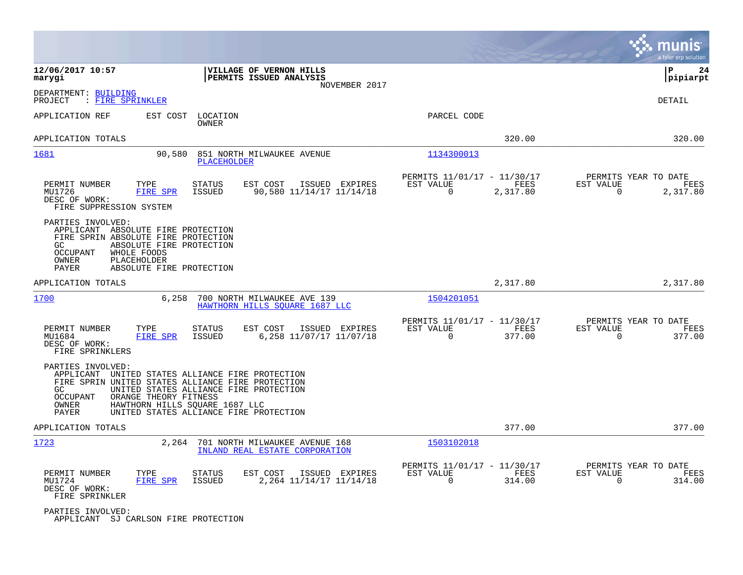|                                                                                                                                                                                                                                                                                                               |                                                                        | munis<br>a tyler erp solution                                        |
|---------------------------------------------------------------------------------------------------------------------------------------------------------------------------------------------------------------------------------------------------------------------------------------------------------------|------------------------------------------------------------------------|----------------------------------------------------------------------|
| 12/06/2017 10:57<br>VILLAGE OF VERNON HILLS<br>PERMITS ISSUED ANALYSIS<br>marygi<br>NOVEMBER 2017                                                                                                                                                                                                             |                                                                        | lР<br>24<br> pipiarpt                                                |
| DEPARTMENT: BUILDING<br>: FIRE SPRINKLER<br>PROJECT                                                                                                                                                                                                                                                           |                                                                        | DETAIL                                                               |
| APPLICATION REF<br>EST COST<br>LOCATION<br>OWNER                                                                                                                                                                                                                                                              | PARCEL CODE                                                            |                                                                      |
| APPLICATION TOTALS                                                                                                                                                                                                                                                                                            | 320.00                                                                 | 320.00                                                               |
| 1681<br>90,580<br>851 NORTH MILWAUKEE AVENUE<br><b>PLACEHOLDER</b>                                                                                                                                                                                                                                            | 1134300013                                                             |                                                                      |
| PERMIT NUMBER<br>EST COST<br>TYPE<br><b>STATUS</b><br>ISSUED EXPIRES<br>90,580 11/14/17 11/14/18<br>MU1726<br><b>FIRE SPR</b><br>ISSUED<br>DESC OF WORK:<br>FIRE SUPPRESSION SYSTEM                                                                                                                           | PERMITS 11/01/17 - 11/30/17<br>EST VALUE<br>FEES<br>0<br>2,317.80      | PERMITS YEAR TO DATE<br>EST VALUE<br>FEES<br>$\mathbf 0$<br>2,317.80 |
| PARTIES INVOLVED:<br>APPLICANT ABSOLUTE FIRE PROTECTION<br>FIRE SPRIN ABSOLUTE FIRE PROTECTION<br>GC.<br>ABSOLUTE FIRE PROTECTION<br><b>OCCUPANT</b><br>WHOLE FOODS<br>OWNER<br>PLACEHOLDER<br><b>PAYER</b><br>ABSOLUTE FIRE PROTECTION                                                                       |                                                                        |                                                                      |
| APPLICATION TOTALS                                                                                                                                                                                                                                                                                            | 2,317.80                                                               | 2,317.80                                                             |
| 1700<br>6,258<br>700 NORTH MILWAUKEE AVE 139<br>HAWTHORN HILLS SOUARE 1687 LLC                                                                                                                                                                                                                                | 1504201051                                                             |                                                                      |
| PERMIT NUMBER<br>TYPE<br><b>STATUS</b><br>EST COST<br>ISSUED EXPIRES<br>MU1684<br>FIRE SPR<br><b>ISSUED</b><br>6,258 11/07/17 11/07/18<br>DESC OF WORK:<br>FIRE SPRINKLERS                                                                                                                                    | PERMITS 11/01/17 - 11/30/17<br>EST VALUE<br>FEES<br>$\Omega$<br>377.00 | PERMITS YEAR TO DATE<br>EST VALUE<br>FEES<br>$\Omega$<br>377.00      |
| PARTIES INVOLVED:<br>APPLICANT UNITED STATES ALLIANCE FIRE PROTECTION<br>FIRE SPRIN UNITED STATES ALLIANCE FIRE PROTECTION<br>GC<br>UNITED STATES ALLIANCE FIRE PROTECTION<br>ORANGE THEORY FITNESS<br>OCCUPANT<br>OWNER<br>HAWTHORN HILLS SQUARE 1687 LLC<br>UNITED STATES ALLIANCE FIRE PROTECTION<br>PAYER |                                                                        |                                                                      |
| APPLICATION TOTALS                                                                                                                                                                                                                                                                                            | 377.00                                                                 | 377.00                                                               |
| 1723<br>2,264<br>701 NORTH MILWAUKEE AVENUE 168<br>INLAND REAL ESTATE CORPORATION                                                                                                                                                                                                                             | 1503102018                                                             |                                                                      |
| PERMIT NUMBER<br>TYPE<br><b>STATUS</b><br>EST COST<br>ISSUED EXPIRES<br><b>FIRE SPR</b><br>2, 264 11/14/17 11/14/18<br>MU1724<br>ISSUED<br>DESC OF WORK:<br>FIRE SPRINKLER                                                                                                                                    | PERMITS 11/01/17 - 11/30/17<br>EST VALUE<br>FEES<br>$\Omega$<br>314.00 | PERMITS YEAR TO DATE<br>EST VALUE<br>FEES<br>$\Omega$<br>314.00      |
| PARTIES INVOLVED:                                                                                                                                                                                                                                                                                             |                                                                        |                                                                      |

APPLICANT SJ CARLSON FIRE PROTECTION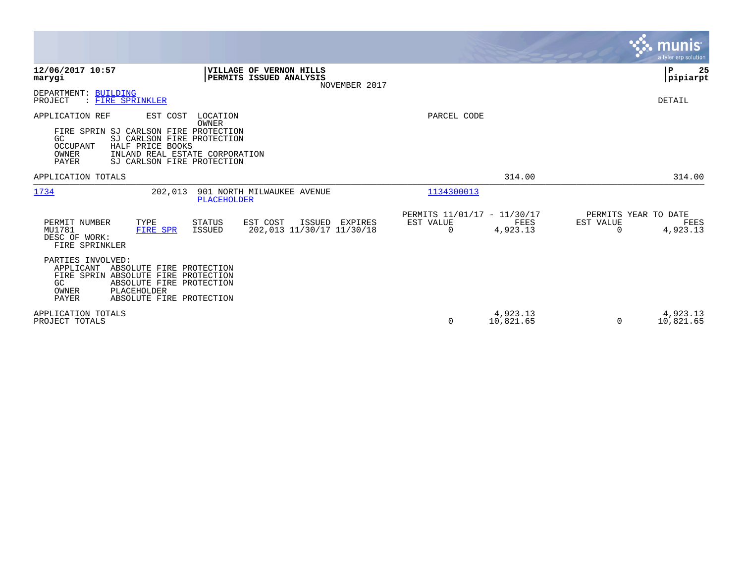|                                                                                                                                                                                                                             |                                                                                    |                                                                   | munis<br>a tyler erp solution.                             |
|-----------------------------------------------------------------------------------------------------------------------------------------------------------------------------------------------------------------------------|------------------------------------------------------------------------------------|-------------------------------------------------------------------|------------------------------------------------------------|
| 12/06/2017 10:57<br>marygi                                                                                                                                                                                                  | <b>VILLAGE OF VERNON HILLS</b><br>PERMITS ISSUED ANALYSIS<br>NOVEMBER 2017         |                                                                   | ∣P<br>25<br> pipiarpt                                      |
| DEPARTMENT: BUILDING<br>: FIRE SPRINKLER<br>PROJECT                                                                                                                                                                         |                                                                                    |                                                                   | DETAIL                                                     |
| APPLICATION REF<br>EST COST<br>FIRE SPRIN SJ CARLSON FIRE PROTECTION<br>SJ CARLSON FIRE PROTECTION<br>GC.<br>OCCUPANT<br>HALF PRICE BOOKS<br>INLAND REAL ESTATE CORPORATION<br>OWNER<br>PAYER<br>SJ CARLSON FIRE PROTECTION | LOCATION<br><b>OWNER</b>                                                           | PARCEL CODE                                                       |                                                            |
| APPLICATION TOTALS                                                                                                                                                                                                          |                                                                                    | 314.00                                                            | 314.00                                                     |
| 1734<br>202,013                                                                                                                                                                                                             | 901 NORTH MILWAUKEE AVENUE<br>PLACEHOLDER                                          | 1134300013                                                        |                                                            |
| PERMIT NUMBER<br>TYPE<br>MU1781<br>FIRE SPR<br>DESC OF WORK:<br>FIRE SPRINKLER                                                                                                                                              | <b>STATUS</b><br>EST COST<br>ISSUED EXPIRES<br>202,013 11/30/17 11/30/18<br>ISSUED | PERMITS 11/01/17 - 11/30/17<br>EST VALUE<br>FEES<br>4,923.13<br>0 | PERMITS YEAR TO DATE<br>EST VALUE<br>FEES<br>4,923.13<br>0 |
| PARTIES INVOLVED:<br>APPLICANT<br>ABSOLUTE FIRE PROTECTION<br>FIRE SPRIN ABSOLUTE FIRE PROTECTION<br>ABSOLUTE FIRE PROTECTION<br>GC<br>OWNER<br>PLACEHOLDER<br>PAYER<br>ABSOLUTE FIRE PROTECTION                            |                                                                                    |                                                                   |                                                            |
| APPLICATION TOTALS<br>PROJECT TOTALS                                                                                                                                                                                        |                                                                                    | 4,923.13<br>$\mathbf 0$<br>10,821.65                              | 4,923.13<br>10,821.65<br>0                                 |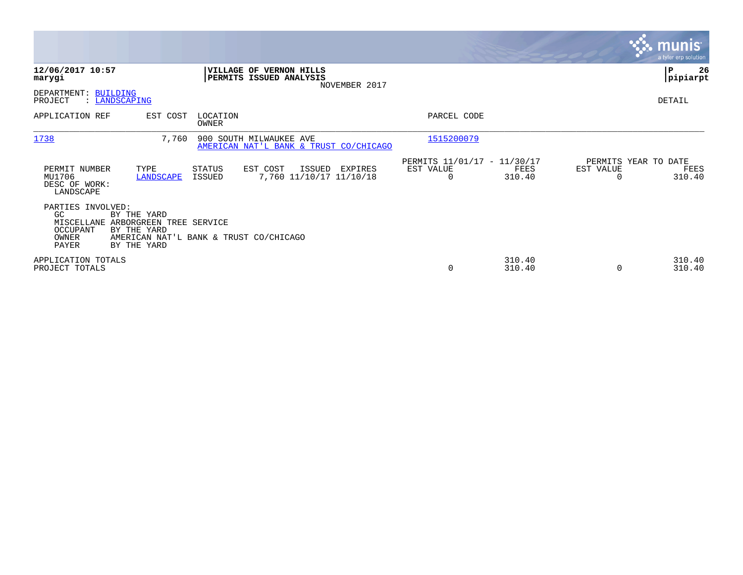|                                                                      |                                                                                                                |                   |                                                                   |                                                      |                  |                                   | <b>munis</b><br>a tyler erp solution |
|----------------------------------------------------------------------|----------------------------------------------------------------------------------------------------------------|-------------------|-------------------------------------------------------------------|------------------------------------------------------|------------------|-----------------------------------|--------------------------------------|
| 12/06/2017 10:57<br>marygi                                           |                                                                                                                |                   | <b>VILLAGE OF VERNON HILLS</b><br>PERMITS ISSUED ANALYSIS         |                                                      |                  |                                   | ∣P<br>26<br> pipiarpt                |
| DEPARTMENT: BUILDING<br>PROJECT                                      | : LANDSCAPING                                                                                                  |                   | NOVEMBER 2017                                                     |                                                      |                  |                                   | DETAIL                               |
| APPLICATION REF                                                      | EST COST                                                                                                       | LOCATION<br>OWNER |                                                                   | PARCEL CODE                                          |                  |                                   |                                      |
| 1738                                                                 | 7,760                                                                                                          |                   | 900 SOUTH MILWAUKEE AVE<br>AMERICAN NAT'L BANK & TRUST CO/CHICAGO | 1515200079                                           |                  |                                   |                                      |
| PERMIT NUMBER<br>MU1706<br>DESC OF WORK:<br>LANDSCAPE                | TYPE<br>LANDSCAPE                                                                                              | STATUS<br>ISSUED  | EST COST<br>ISSUED<br>EXPIRES<br>7,760 11/10/17 11/10/18          | PERMITS 11/01/17 - 11/30/17<br>EST VALUE<br>$\Omega$ | FEES<br>310.40   | PERMITS YEAR TO DATE<br>EST VALUE | FEES<br>310.40                       |
| PARTIES INVOLVED:<br>GC.<br>MISCELLANE<br>OCCUPANT<br>OWNER<br>PAYER | BY THE YARD<br>ARBORGREEN TREE SERVICE<br>BY THE YARD<br>AMERICAN NAT'L BANK & TRUST CO/CHICAGO<br>BY THE YARD |                   |                                                                   |                                                      |                  |                                   |                                      |
| APPLICATION TOTALS<br>PROJECT TOTALS                                 |                                                                                                                |                   |                                                                   | $\mathbf 0$                                          | 310.40<br>310.40 |                                   | 310.40<br>310.40                     |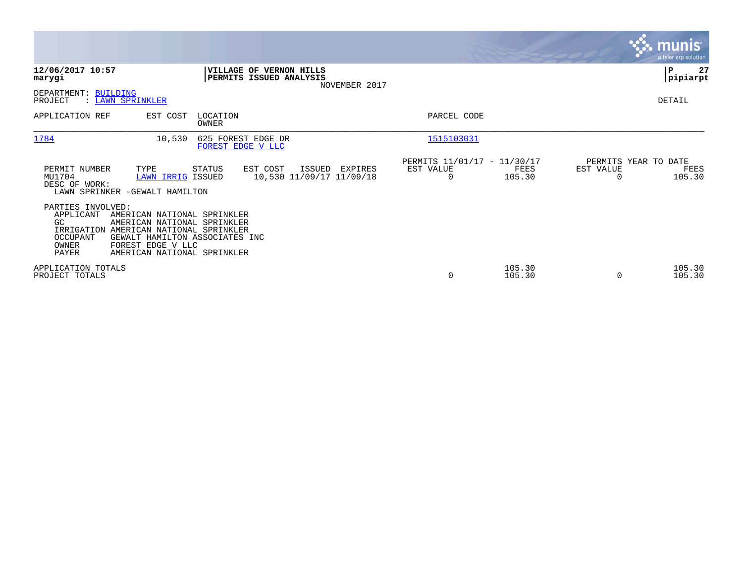|                                                                                                        |                                                                                                                                                            |                                               |                                                      |                  |                                   | <b>munis</b><br>a tyler erp solution |
|--------------------------------------------------------------------------------------------------------|------------------------------------------------------------------------------------------------------------------------------------------------------------|-----------------------------------------------|------------------------------------------------------|------------------|-----------------------------------|--------------------------------------|
| 12/06/2017 10:57<br>marygi                                                                             | VILLAGE OF VERNON HILLS<br>PERMITS ISSUED ANALYSIS                                                                                                         | NOVEMBER 2017                                 |                                                      |                  |                                   | 27<br> P<br> pipiarpt                |
| DEPARTMENT: BUILDING<br>PROJECT<br>: LAWN SPRINKLER                                                    |                                                                                                                                                            |                                               |                                                      |                  |                                   | DETAIL                               |
| EST COST<br>APPLICATION REF                                                                            | LOCATION<br>OWNER                                                                                                                                          |                                               | PARCEL CODE                                          |                  |                                   |                                      |
| 1784                                                                                                   | 625 FOREST EDGE DR<br>10,530<br>FOREST EDGE V LLC                                                                                                          |                                               | 1515103031                                           |                  |                                   |                                      |
| PERMIT NUMBER<br>TYPE<br>MU1704<br>DESC OF WORK:<br>LAWN SPRINKER -GEWALT HAMILTON                     | STATUS<br>EST COST<br>LAWN IRRIG ISSUED                                                                                                                    | ISSUED<br>EXPIRES<br>10,530 11/09/17 11/09/18 | PERMITS 11/01/17 - 11/30/17<br>EST VALUE<br>$\Omega$ | FEES<br>105.30   | PERMITS YEAR TO DATE<br>EST VALUE | FEES<br>105.30                       |
| PARTIES INVOLVED:<br>APPLICANT<br>GC.<br>IRRIGATION<br>OCCUPANT<br>FOREST EDGE V LLC<br>OWNER<br>PAYER | AMERICAN NATIONAL SPRINKLER<br>AMERICAN NATIONAL SPRINKLER<br>AMERICAN NATIONAL SPRINKLER<br>GEWALT HAMILTON ASSOCIATES INC<br>AMERICAN NATIONAL SPRINKLER |                                               |                                                      |                  |                                   |                                      |
| APPLICATION TOTALS<br>PROJECT TOTALS                                                                   |                                                                                                                                                            |                                               | 0                                                    | 105.30<br>105.30 | $\Omega$                          | 105.30<br>105.30                     |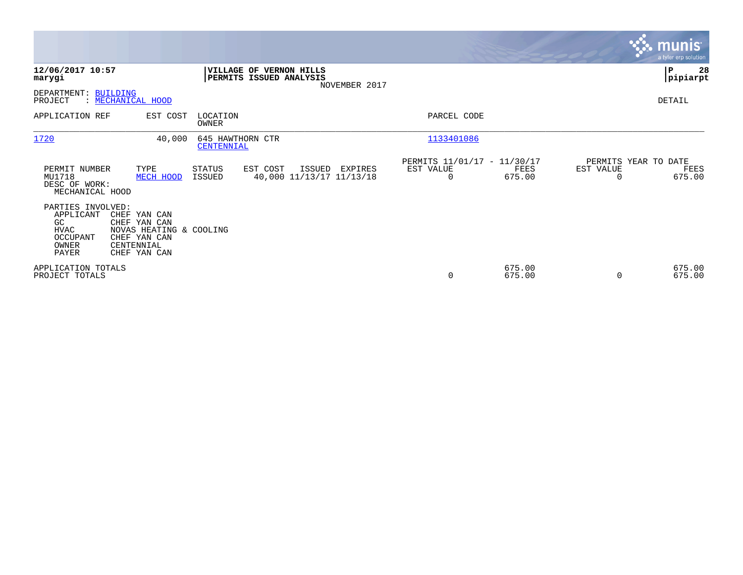|                                                                                   |                                                                                                       |                                |                                                    |               |                                                      |                  |           | <b>munis</b><br>a tyler erp solution   |
|-----------------------------------------------------------------------------------|-------------------------------------------------------------------------------------------------------|--------------------------------|----------------------------------------------------|---------------|------------------------------------------------------|------------------|-----------|----------------------------------------|
| 12/06/2017 10:57<br>marygi                                                        |                                                                                                       |                                | VILLAGE OF VERNON HILLS<br>PERMITS ISSUED ANALYSIS | NOVEMBER 2017 |                                                      |                  |           | 28<br>∣₽<br> pipiarpt                  |
| DEPARTMENT: BUILDING<br>PROJECT                                                   | : MECHANICAL HOOD                                                                                     |                                |                                                    |               |                                                      |                  |           | DETAIL                                 |
| APPLICATION REF                                                                   | EST COST                                                                                              | LOCATION<br><b>OWNER</b>       |                                                    |               | PARCEL CODE                                          |                  |           |                                        |
| 1720                                                                              | 40,000                                                                                                | 645 HAWTHORN CTR<br>CENTENNIAL |                                                    |               | 1133401086                                           |                  |           |                                        |
| PERMIT NUMBER<br>MU1718<br>DESC OF WORK:<br>MECHANICAL HOOD                       | TYPE<br>MECH HOOD                                                                                     | STATUS<br>ISSUED               | EST COST<br>ISSUED<br>40,000 11/13/17 11/13/18     | EXPIRES       | PERMITS 11/01/17 - 11/30/17<br>EST VALUE<br>$\Omega$ | FEES<br>675.00   | EST VALUE | PERMITS YEAR TO DATE<br>FEES<br>675.00 |
| PARTIES INVOLVED:<br>APPLICANT<br>GC<br><b>HVAC</b><br>OCCUPANT<br>OWNER<br>PAYER | CHEF YAN CAN<br>CHEF YAN CAN<br>NOVAS HEATING & COOLING<br>CHEF YAN CAN<br>CENTENNIAL<br>CHEF YAN CAN |                                |                                                    |               |                                                      |                  |           |                                        |
| APPLICATION TOTALS<br>PROJECT TOTALS                                              |                                                                                                       |                                |                                                    |               | 0                                                    | 675.00<br>675.00 | $\Omega$  | 675.00<br>675.00                       |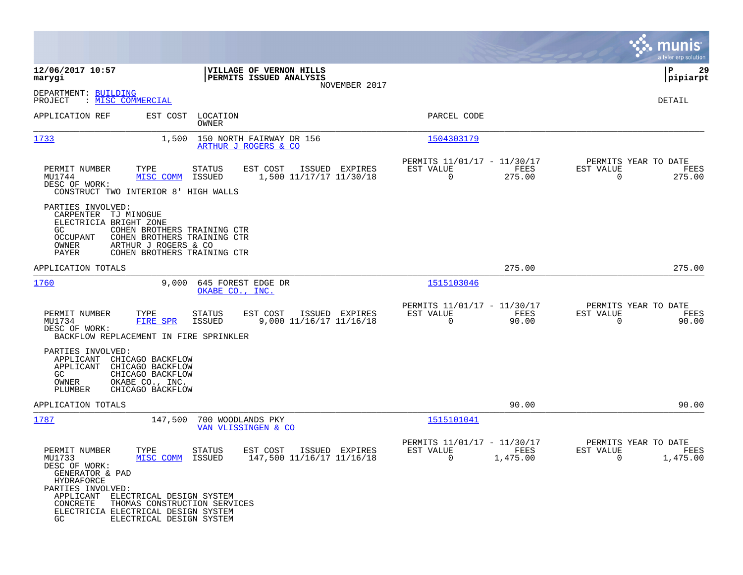|                                                                                                                                                                                                                                                                                                                                                                          |                                                                                              | munis<br>a tyler erp solution                                                     |
|--------------------------------------------------------------------------------------------------------------------------------------------------------------------------------------------------------------------------------------------------------------------------------------------------------------------------------------------------------------------------|----------------------------------------------------------------------------------------------|-----------------------------------------------------------------------------------|
| 12/06/2017 10:57<br>VILLAGE OF VERNON HILLS<br><b>PERMITS ISSUED ANALYSIS</b><br>marygi                                                                                                                                                                                                                                                                                  |                                                                                              | 29<br>ΙP<br> pipiarpt                                                             |
| NOVEMBER 2017<br>DEPARTMENT: BUILDING<br>PROJECT<br>: <u>MISC COMMERCIAL</u>                                                                                                                                                                                                                                                                                             |                                                                                              | DETAIL                                                                            |
| APPLICATION REF<br>EST COST LOCATION<br>OWNER                                                                                                                                                                                                                                                                                                                            | PARCEL CODE                                                                                  |                                                                                   |
| 1733<br>1,500<br>150 NORTH FAIRWAY DR 156<br>ARTHUR J ROGERS & CO                                                                                                                                                                                                                                                                                                        | 1504303179                                                                                   |                                                                                   |
| TYPE<br>PERMIT NUMBER<br><b>STATUS</b><br>EST COST<br>ISSUED EXPIRES<br>MISC COMM<br>1,500 11/17/17 11/30/18<br>MU1744<br>ISSUED<br>DESC OF WORK:<br>CONSTRUCT TWO INTERIOR 8' HIGH WALLS                                                                                                                                                                                | PERMITS 11/01/17 - 11/30/17<br>EST VALUE<br>FEES<br>$\Omega$<br>275.00                       | PERMITS YEAR TO DATE<br>EST VALUE<br>FEES<br>$\Omega$<br>275.00                   |
| PARTIES INVOLVED:<br>CARPENTER TJ MINOGUE<br>ELECTRICIA BRIGHT ZONE<br>GC<br>COHEN BROTHERS TRAINING CTR<br>OCCUPANT<br>COHEN BROTHERS TRAINING CTR<br>OWNER<br>ARTHUR J ROGERS & CO<br>PAYER<br>COHEN BROTHERS TRAINING CTR                                                                                                                                             |                                                                                              |                                                                                   |
| APPLICATION TOTALS                                                                                                                                                                                                                                                                                                                                                       | 275.00                                                                                       | 275.00                                                                            |
| 1760<br>9,000 645 FOREST EDGE DR<br>OKABE CO., INC.                                                                                                                                                                                                                                                                                                                      | 1515103046                                                                                   |                                                                                   |
| PERMIT NUMBER<br>TYPE<br><b>STATUS</b><br>EST COST<br>ISSUED EXPIRES<br>MU1734<br>FIRE SPR<br>ISSUED<br>9,000 11/16/17 11/16/18<br>DESC OF WORK:<br>BACKFLOW REPLACEMENT IN FIRE SPRINKLER                                                                                                                                                                               | PERMITS 11/01/17 - 11/30/17<br>EST VALUE<br><b>EXERCITE: PEES</b><br>$\overline{0}$<br>90.00 | PERMITS YEAR TO DATE<br>EST VALUE<br>FEES<br>$\overline{0}$<br>90.00              |
| PARTIES INVOLVED:<br>APPLICANT<br>CHICAGO BACKFLOW<br>APPLICANT<br>CHICAGO BACKFLOW<br>GC<br>CHICAGO BACKFLOW<br>OWNER<br>OKABE CO., INC.<br>PLUMBER<br>CHICAGO BACKFLOW                                                                                                                                                                                                 |                                                                                              |                                                                                   |
| APPLICATION TOTALS                                                                                                                                                                                                                                                                                                                                                       | 90.00                                                                                        | 90.00                                                                             |
| 1787<br>147,500 700 WOODLANDS PKY<br>VAN VLISSINGEN & CO                                                                                                                                                                                                                                                                                                                 | 1515101041                                                                                   |                                                                                   |
| PERMIT NUMBER<br>TYPE<br><b>STATUS</b><br>EST COST<br>ISSUED EXPIRES<br>147,500 11/16/17 11/16/18<br>MU1733<br>MISC COMM ISSUED<br>DESC OF WORK:<br>GENERATOR & PAD<br><b>HYDRAFORCE</b><br>PARTIES INVOLVED:<br>APPLICANT ELECTRICAL DESIGN SYSTEM<br>CONCRETE<br>THOMAS CONSTRUCTION SERVICES<br>ELECTRICIA ELECTRICAL DESIGN SYSTEM<br>GC<br>ELECTRICAL DESIGN SYSTEM | PERMITS 11/01/17 - 11/30/17<br>EST VALUE<br>FEES<br>1,475.00<br>$\overline{0}$               | PERMITS YEAR TO DATE<br>EST VALUE<br>FEES<br>1,475.00<br>$\overline{\phantom{0}}$ |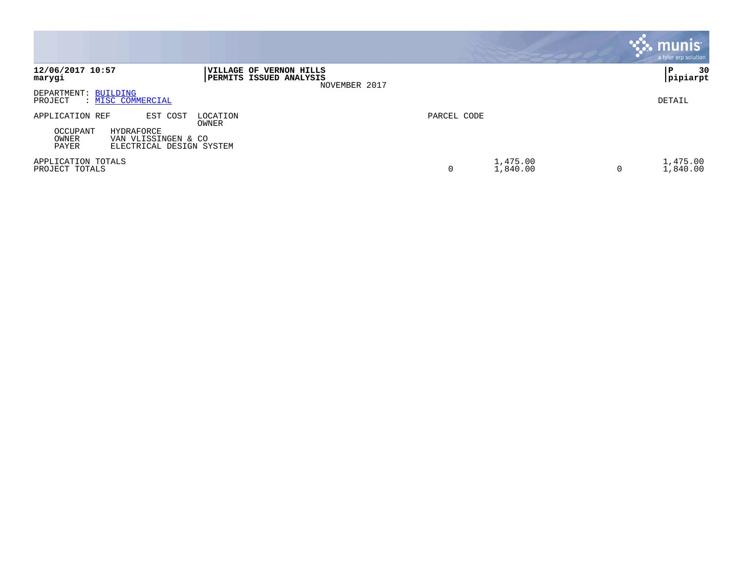|                                                                                                                            |                                                                     |             |                      |   | munis<br>a tyler erp solution |
|----------------------------------------------------------------------------------------------------------------------------|---------------------------------------------------------------------|-------------|----------------------|---|-------------------------------|
| 12/06/2017 10:57<br>marygi                                                                                                 | VILLAGE OF VERNON HILLS<br>PERMITS ISSUED ANALYSIS<br>NOVEMBER 2017 |             |                      |   | 30<br>P<br> pipiarpt          |
| DEPARTMENT: BUILDING<br>PROJECT<br>: MISC COMMERCIAL                                                                       |                                                                     |             |                      |   | DETAIL                        |
| APPLICATION REF<br>EST COST<br>OCCUPANT<br>HYDRAFORCE<br>OWNER<br>VAN VLISSINGEN & CO<br>PAYER<br>ELECTRICAL DESIGN SYSTEM | LOCATION<br>OWNER                                                   | PARCEL CODE |                      |   |                               |
| APPLICATION TOTALS<br>PROJECT TOTALS                                                                                       |                                                                     | 0           | 1,475.00<br>1,840.00 | 0 | 1,475.00<br>1,840.00          |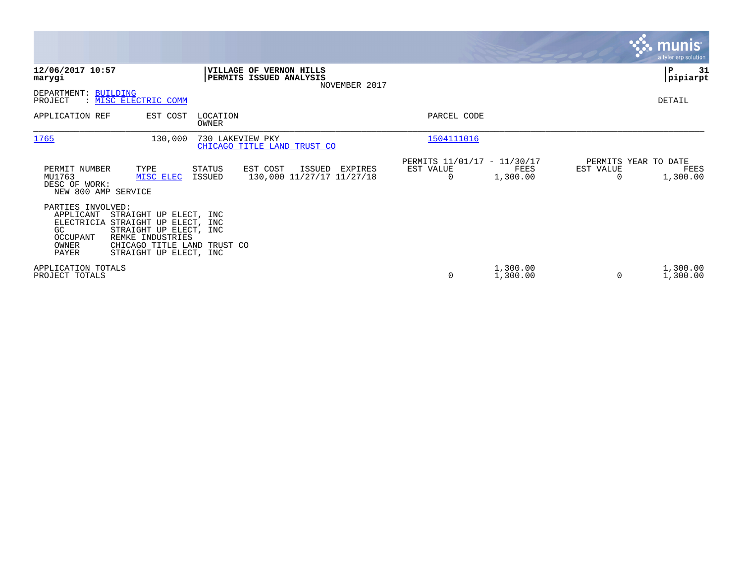|                                                                                                          |                                                                                                                               |                                                                            |                       |                                                 |           | <b>munis</b><br>a tyler erp solution     |
|----------------------------------------------------------------------------------------------------------|-------------------------------------------------------------------------------------------------------------------------------|----------------------------------------------------------------------------|-----------------------|-------------------------------------------------|-----------|------------------------------------------|
| 12/06/2017 10:57<br>marygi                                                                               |                                                                                                                               | <b>VILLAGE OF VERNON HILLS</b><br>PERMITS ISSUED ANALYSIS<br>NOVEMBER 2017 |                       |                                                 |           | P<br>31<br> pipiarpt                     |
| DEPARTMENT: BUILDING<br>: MISC ELECTRIC COMM<br>PROJECT                                                  |                                                                                                                               |                                                                            |                       |                                                 |           | DETAIL                                   |
| APPLICATION REF                                                                                          | EST COST<br>LOCATION<br>OWNER                                                                                                 |                                                                            | PARCEL CODE           |                                                 |           |                                          |
| 1765                                                                                                     | 130,000<br>730 LAKEVIEW PKY                                                                                                   | CHICAGO TITLE LAND TRUST CO                                                | 1504111016            |                                                 |           |                                          |
| PERMIT NUMBER<br>TYPE<br>MU1763<br>DESC OF WORK:<br>NEW 800 AMP SERVICE                                  | STATUS<br>ISSUED<br>MISC ELEC                                                                                                 | EST COST<br>ISSUED<br>EXPIRES<br>130,000 11/27/17 11/27/18                 | EST VALUE<br>$\Omega$ | PERMITS 11/01/17 - 11/30/17<br>FEES<br>1,300.00 | EST VALUE | PERMITS YEAR TO DATE<br>FEES<br>1,300.00 |
| PARTIES INVOLVED:<br>APPLICANT<br>ELECTRICIA STRAIGHT UP ELECT, INC<br>GC.<br>OCCUPANT<br>OWNER<br>PAYER | STRAIGHT UP ELECT, INC<br>STRAIGHT UP ELECT, INC<br>REMKE INDUSTRIES<br>CHICAGO TITLE LAND TRUST CO<br>STRAIGHT UP ELECT, INC |                                                                            |                       |                                                 |           |                                          |
| APPLICATION TOTALS<br>PROJECT TOTALS                                                                     |                                                                                                                               |                                                                            | 0                     | 1,300.00<br>1,300.00                            | $\Omega$  | 1,300.00<br>1,300.00                     |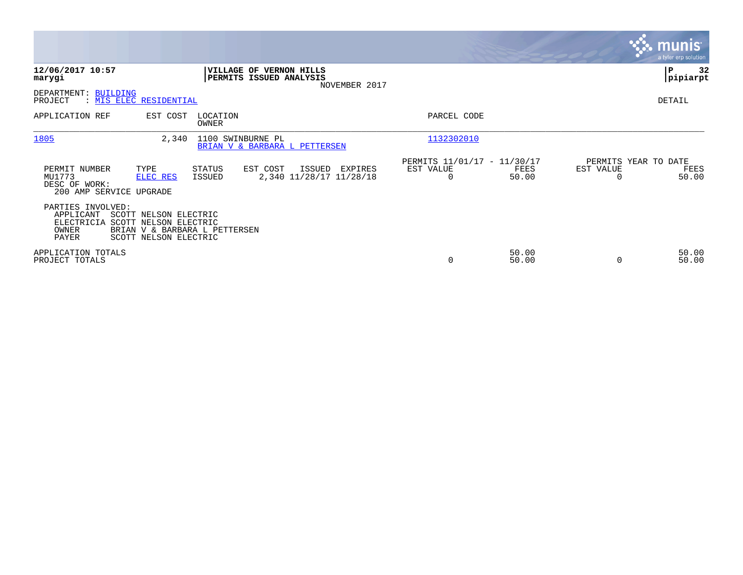|                                                                                                                                           |                                                                                            |                                               |                |                                   | <b>munis</b><br>a tyler erp solution |
|-------------------------------------------------------------------------------------------------------------------------------------------|--------------------------------------------------------------------------------------------|-----------------------------------------------|----------------|-----------------------------------|--------------------------------------|
| 12/06/2017 10:57<br>marygi                                                                                                                | <b>VILLAGE OF VERNON HILLS</b><br>PERMITS ISSUED ANALYSIS<br>NOVEMBER 2017                 |                                               |                |                                   | ∣P<br>32<br> pipiarpt                |
| DEPARTMENT: BUILDING<br>PROJECT<br>: MIS ELEC RESIDENTIAL                                                                                 |                                                                                            |                                               |                |                                   | DETAIL                               |
| APPLICATION REF<br>EST COST                                                                                                               | LOCATION<br>OWNER                                                                          | PARCEL CODE                                   |                |                                   |                                      |
| 1805                                                                                                                                      | 2,340<br>1100 SWINBURNE PL<br>BRIAN V & BARBARA L PETTERSEN                                | 1132302010                                    |                |                                   |                                      |
| PERMIT NUMBER<br>TYPE<br>MU1773<br>ELEC RES<br>DESC OF WORK:<br>200 AMP SERVICE UPGRADE                                                   | EST COST<br><b>STATUS</b><br>ISSUED<br>EXPIRES<br>2,340 11/28/17 11/28/18<br><b>ISSUED</b> | PERMITS 11/01/17 - 11/30/17<br>EST VALUE<br>0 | FEES<br>50.00  | PERMITS YEAR TO DATE<br>EST VALUE | FEES<br>50.00                        |
| PARTIES INVOLVED:<br>APPLICANT<br>SCOTT NELSON ELECTRIC<br>ELECTRICIA<br>SCOTT NELSON ELECTRIC<br>OWNER<br>PAYER<br>SCOTT NELSON ELECTRIC | BRIAN V & BARBARA L PETTERSEN                                                              |                                               |                |                                   |                                      |
| APPLICATION TOTALS<br>PROJECT TOTALS                                                                                                      |                                                                                            | 0                                             | 50.00<br>50.00 |                                   | 50.00<br>50.00                       |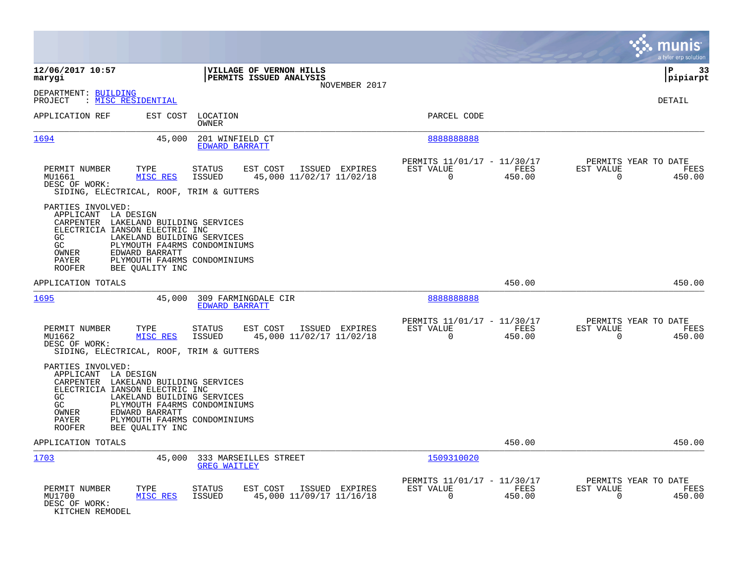|                                                                                                                                                                    |                                                                 |                                                              |                                                    |                |                                                         |                |                                               | munis<br>a tyler erp solution |
|--------------------------------------------------------------------------------------------------------------------------------------------------------------------|-----------------------------------------------------------------|--------------------------------------------------------------|----------------------------------------------------|----------------|---------------------------------------------------------|----------------|-----------------------------------------------|-------------------------------|
| 12/06/2017 10:57<br>marygi                                                                                                                                         |                                                                 |                                                              | VILLAGE OF VERNON HILLS<br>PERMITS ISSUED ANALYSIS | NOVEMBER 2017  |                                                         |                |                                               | ΙP<br>33<br> pipiarpt         |
| DEPARTMENT: BUILDING<br>PROJECT                                                                                                                                    | : MISC RESIDENTIAL                                              |                                                              |                                                    |                |                                                         |                |                                               | DETAIL                        |
| APPLICATION REF                                                                                                                                                    | EST COST                                                        | LOCATION<br>OWNER                                            |                                                    |                | PARCEL CODE                                             |                |                                               |                               |
| 1694                                                                                                                                                               | 45,000                                                          | 201 WINFIELD CT<br>EDWARD BARRATT                            |                                                    |                | 888888888                                               |                |                                               |                               |
| PERMIT NUMBER<br>MU1661<br>DESC OF WORK:<br>SIDING, ELECTRICAL, ROOF, TRIM & GUTTERS                                                                               | TYPE<br>MISC RES                                                | <b>STATUS</b><br><b>ISSUED</b>                               | EST COST<br>45,000 11/02/17 11/02/18               | ISSUED EXPIRES | PERMITS 11/01/17 - 11/30/17<br>EST VALUE<br>$\Omega$    | FEES<br>450.00 | PERMITS YEAR TO DATE<br>EST VALUE<br>$\Omega$ | FEES<br>450.00                |
| PARTIES INVOLVED:<br>APPLICANT LA DESIGN<br>CARPENTER LAKELAND BUILDING SERVICES<br>ELECTRICIA IANSON ELECTRIC INC<br>GC.<br>GC<br>OWNER<br>PAYER<br><b>ROOFER</b> | LAKELAND BUILDING SERVICES<br>EDWARD BARRATT<br>BEE OUALITY INC | PLYMOUTH FA4RMS CONDOMINIUMS<br>PLYMOUTH FA4RMS CONDOMINIUMS |                                                    |                |                                                         |                |                                               |                               |
| APPLICATION TOTALS                                                                                                                                                 |                                                                 |                                                              |                                                    |                |                                                         | 450.00         |                                               | 450.00                        |
| 1695                                                                                                                                                               | 45,000                                                          | 309 FARMINGDALE CIR<br><b>EDWARD BARRATT</b>                 |                                                    |                | 888888888                                               |                |                                               |                               |
| PERMIT NUMBER<br>MU1662<br>DESC OF WORK:<br>SIDING, ELECTRICAL, ROOF, TRIM & GUTTERS                                                                               | TYPE<br>MISC RES                                                | <b>STATUS</b><br><b>ISSUED</b>                               | EST COST<br>45,000 11/02/17 11/02/18               | ISSUED EXPIRES | PERMITS 11/01/17 - 11/30/17<br>EST VALUE<br>$\mathbf 0$ | FEES<br>450.00 | PERMITS YEAR TO DATE<br>EST VALUE<br>$\Omega$ | FEES<br>450.00                |
| PARTIES INVOLVED:<br>APPLICANT LA DESIGN<br>CARPENTER LAKELAND BUILDING SERVICES<br>ELECTRICIA IANSON ELECTRIC INC<br>GC<br>GC<br>OWNER<br>PAYER<br><b>ROOFER</b>  | LAKELAND BUILDING SERVICES<br>EDWARD BARRATT<br>BEE QUALITY INC | PLYMOUTH FA4RMS CONDOMINIUMS<br>PLYMOUTH FA4RMS CONDOMINIUMS |                                                    |                |                                                         |                |                                               |                               |
| APPLICATION TOTALS                                                                                                                                                 |                                                                 |                                                              |                                                    |                |                                                         | 450.00         |                                               | 450.00                        |
| 1703                                                                                                                                                               | 45,000                                                          | 333 MARSEILLES STREET<br><b>GREG WAITLEY</b>                 |                                                    |                | 1509310020                                              |                |                                               |                               |
| PERMIT NUMBER<br>MU1700<br>DESC OF WORK:<br>KITCHEN REMODEL                                                                                                        | TYPE<br>MISC RES                                                | <b>STATUS</b><br>ISSUED                                      | EST COST<br>45,000 11/09/17 11/16/18               | ISSUED EXPIRES | PERMITS 11/01/17 - 11/30/17<br>EST VALUE<br>$\Omega$    | FEES<br>450.00 | PERMITS YEAR TO DATE<br>EST VALUE<br>$\Omega$ | FEES<br>450.00                |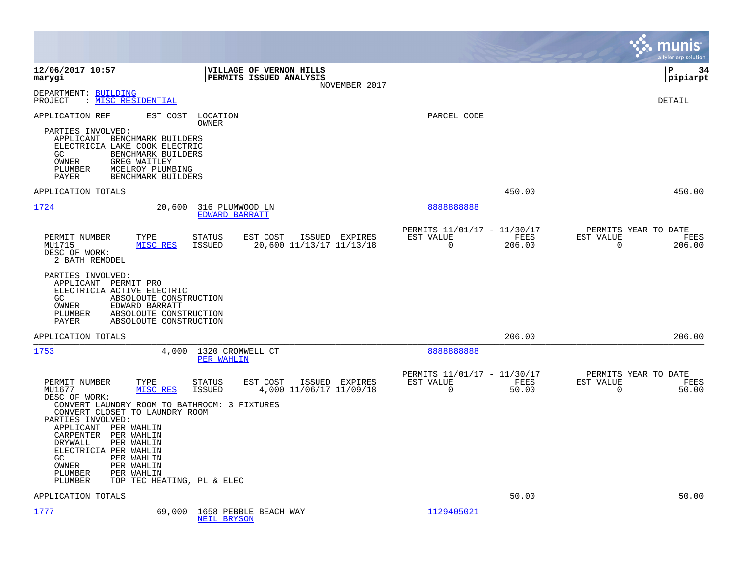|                                                                                                                                                                                                                                                                                                                                                                                     |                                                                                          |                                                                 | munis<br>a tyler erp solution                                     |
|-------------------------------------------------------------------------------------------------------------------------------------------------------------------------------------------------------------------------------------------------------------------------------------------------------------------------------------------------------------------------------------|------------------------------------------------------------------------------------------|-----------------------------------------------------------------|-------------------------------------------------------------------|
| 12/06/2017 10:57<br>marygi                                                                                                                                                                                                                                                                                                                                                          | VILLAGE OF VERNON HILLS<br>PERMITS ISSUED ANALYSIS<br>NOVEMBER 2017                      |                                                                 | İΡ<br>34<br> pipiarpt                                             |
| DEPARTMENT: BUILDING<br>: MISC RESIDENTIAL<br>PROJECT                                                                                                                                                                                                                                                                                                                               |                                                                                          |                                                                 | <b>DETAIL</b>                                                     |
| APPLICATION REF<br>EST COST<br>PARTIES INVOLVED:<br>APPLICANT BENCHMARK BUILDERS<br>ELECTRICIA LAKE COOK ELECTRIC<br>GC.<br>BENCHMARK BUILDERS<br>OWNER<br>GREG WAITLEY<br>MCELROY PLUMBING<br>PLUMBER<br>PAYER<br>BENCHMARK BUILDERS                                                                                                                                               | LOCATION<br>OWNER                                                                        | PARCEL CODE                                                     |                                                                   |
| APPLICATION TOTALS                                                                                                                                                                                                                                                                                                                                                                  |                                                                                          | 450.00                                                          | 450.00                                                            |
| 1724<br>20,600                                                                                                                                                                                                                                                                                                                                                                      | 316 PLUMWOOD LN<br>EDWARD BARRATT                                                        | 8888888888                                                      |                                                                   |
| PERMIT NUMBER<br>TYPE<br>MU1715<br>MISC RES<br>DESC OF WORK:<br>2 BATH REMODEL<br>PARTIES INVOLVED:<br>APPLICANT PERMIT PRO<br>ELECTRICIA ACTIVE ELECTRIC<br>GC<br>ABSOLOUTE CONSTRUCTION<br>OWNER<br>EDWARD BARRATT<br>ABSOLOUTE CONSTRUCTION<br>PLUMBER                                                                                                                           | EST COST<br>ISSUED EXPIRES<br><b>STATUS</b><br><b>ISSUED</b><br>20,600 11/13/17 11/13/18 | PERMITS 11/01/17 - 11/30/17<br>EST VALUE<br>FEES<br>0<br>206.00 | PERMITS YEAR TO DATE<br>EST VALUE<br>FEES<br>$\Omega$<br>206.00   |
| PAYER<br>ABSOLOUTE CONSTRUCTION<br>APPLICATION TOTALS                                                                                                                                                                                                                                                                                                                               |                                                                                          | 206.00                                                          | 206.00                                                            |
| 1753<br>4,000                                                                                                                                                                                                                                                                                                                                                                       | 1320 CROMWELL CT<br>PER WAHLIN                                                           | 888888888                                                       |                                                                   |
| PERMIT NUMBER<br>TYPE<br>MU1677<br>MISC RES<br>DESC OF WORK:<br>CONVERT LAUNDRY ROOM TO BATHROOM: 3 FIXTURES<br>CONVERT CLOSET TO LAUNDRY ROOM<br>PARTIES INVOLVED:<br>APPLICANT PER WAHLIN<br>CARPENTER PER WAHLIN<br>DRYWALL<br>PER WAHLIN<br>ELECTRICIA PER WAHLIN<br>GC.<br>PER WAHLIN<br>OWNER<br>PER WAHLIN<br>PLUMBER<br>PER WAHLIN<br>PLUMBER<br>TOP TEC HEATING, PL & ELEC | ISSUED EXPIRES<br><b>STATUS</b><br>EST COST<br><b>ISSUED</b><br>4,000 11/06/17 11/09/18  | PERMITS 11/01/17 - 11/30/17<br>EST VALUE<br>FEES<br>0<br>50.00  | PERMITS YEAR TO DATE<br>EST VALUE<br>FEES<br>$\mathbf 0$<br>50.00 |
| APPLICATION TOTALS                                                                                                                                                                                                                                                                                                                                                                  |                                                                                          | 50.00                                                           | 50.00                                                             |
| 1777<br>69,000                                                                                                                                                                                                                                                                                                                                                                      | 1658 PEBBLE BEACH WAY<br><b>NEIL BRYSON</b>                                              | 1129405021                                                      |                                                                   |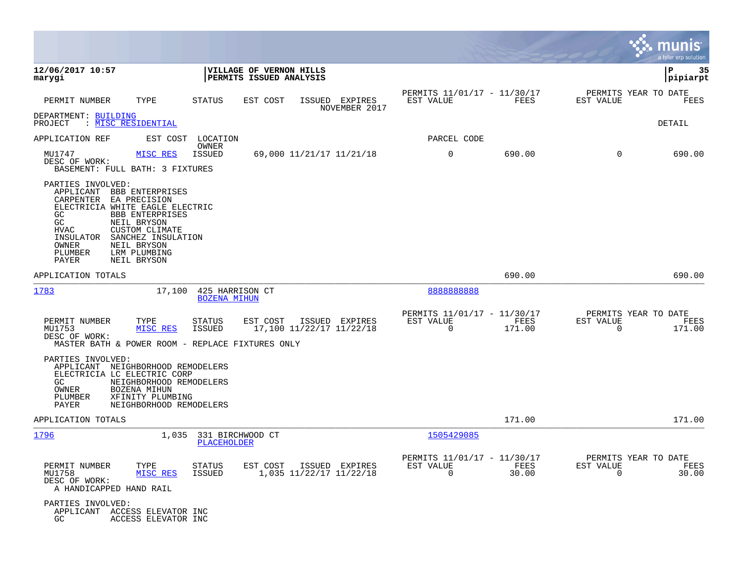|                                                                                                                                                                                                                                                                                                                           |                                                    |                                                        |                                                      |                |                                               | munis<br>a tyler erp solution |
|---------------------------------------------------------------------------------------------------------------------------------------------------------------------------------------------------------------------------------------------------------------------------------------------------------------------------|----------------------------------------------------|--------------------------------------------------------|------------------------------------------------------|----------------|-----------------------------------------------|-------------------------------|
| 12/06/2017 10:57<br>marygi                                                                                                                                                                                                                                                                                                |                                                    | VILLAGE OF VERNON HILLS<br>PERMITS ISSUED ANALYSIS     |                                                      |                |                                               | l P<br>35<br> pipiarpt        |
| PERMIT NUMBER<br>TYPE                                                                                                                                                                                                                                                                                                     | <b>STATUS</b>                                      | ISSUED EXPIRES<br>EST COST<br>NOVEMBER 2017            | PERMITS 11/01/17 - 11/30/17<br>EST VALUE             | FEES           | PERMITS YEAR TO DATE<br>EST VALUE             | FEES                          |
| DEPARTMENT: BUILDING<br>PROJECT<br>: MISC RESIDENTIAL                                                                                                                                                                                                                                                                     |                                                    |                                                        |                                                      |                |                                               | DETAIL                        |
| APPLICATION REF                                                                                                                                                                                                                                                                                                           | EST COST LOCATION<br>OWNER                         |                                                        | PARCEL CODE                                          |                |                                               |                               |
| MU1747<br>DESC OF WORK:<br>BASEMENT: FULL BATH: 3 FIXTURES                                                                                                                                                                                                                                                                | MISC RES<br><b>ISSUED</b>                          | 69,000 11/21/17 11/21/18                               | 0                                                    | 690.00         | 0                                             | 690.00                        |
| PARTIES INVOLVED:<br>APPLICANT BBB ENTERPRISES<br>CARPENTER<br>EA PRECISION<br>ELECTRICIA WHITE EAGLE ELECTRIC<br>GC<br><b>BBB ENTERPRISES</b><br>GC<br>NEIL BRYSON<br><b>CUSTOM CLIMATE</b><br><b>HVAC</b><br>SANCHEZ INSULATION<br>INSULATOR<br>OWNER<br>NEIL BRYSON<br>LRM PLUMBING<br>PLUMBER<br>PAYER<br>NEIL BRYSON |                                                    |                                                        |                                                      |                |                                               |                               |
| APPLICATION TOTALS                                                                                                                                                                                                                                                                                                        |                                                    |                                                        |                                                      | 690.00         |                                               | 690.00                        |
| 1783                                                                                                                                                                                                                                                                                                                      | 17,100<br>425 HARRISON CT<br><b>BOZENA MIHUN</b>   |                                                        | 888888888                                            |                |                                               |                               |
| PERMIT NUMBER<br>TYPE<br>MU1753<br>MISC RES<br>DESC OF WORK:<br>MASTER BATH & POWER ROOM - REPLACE FIXTURES ONLY                                                                                                                                                                                                          | <b>STATUS</b><br><b>ISSUED</b>                     | EST COST<br>ISSUED EXPIRES<br>17,100 11/22/17 11/22/18 | PERMITS 11/01/17 - 11/30/17<br>EST VALUE<br>$\Omega$ | FEES<br>171.00 | PERMITS YEAR TO DATE<br>EST VALUE<br>$\Omega$ | FEES<br>171.00                |
| PARTIES INVOLVED:<br>APPLICANT NEIGHBORHOOD REMODELERS<br>ELECTRICIA LC ELECTRIC CORP<br>GC<br>OWNER<br>BOZENA MIHUN<br>XFINITY PLUMBING<br>PLUMBER<br>PAYER                                                                                                                                                              | NEIGHBORHOOD REMODELERS<br>NEIGHBORHOOD REMODELERS |                                                        |                                                      |                |                                               |                               |
| APPLICATION TOTALS                                                                                                                                                                                                                                                                                                        |                                                    |                                                        |                                                      | 171.00         |                                               | 171.00                        |
| 1796                                                                                                                                                                                                                                                                                                                      | 1,035<br>331 BIRCHWOOD CT<br><b>PLACEHOLDER</b>    |                                                        | 1505429085                                           |                |                                               |                               |
| PERMIT NUMBER<br>TYPE<br>MU1758<br>MISC RES<br>DESC OF WORK:<br>A HANDICAPPED HAND RAIL                                                                                                                                                                                                                                   | <b>STATUS</b><br><b>ISSUED</b>                     | EST COST<br>ISSUED EXPIRES<br>1,035 11/22/17 11/22/18  | PERMITS 11/01/17 - 11/30/17<br>EST VALUE<br>$\Omega$ | FEES<br>30.00  | PERMITS YEAR TO DATE<br>EST VALUE<br>$\Omega$ | FEES<br>30.00                 |
| PARTIES INVOLVED:<br>APPLICANT ACCESS ELEVATOR INC<br>GC                                                                                                                                                                                                                                                                  | ACCESS ELEVATOR INC                                |                                                        |                                                      |                |                                               |                               |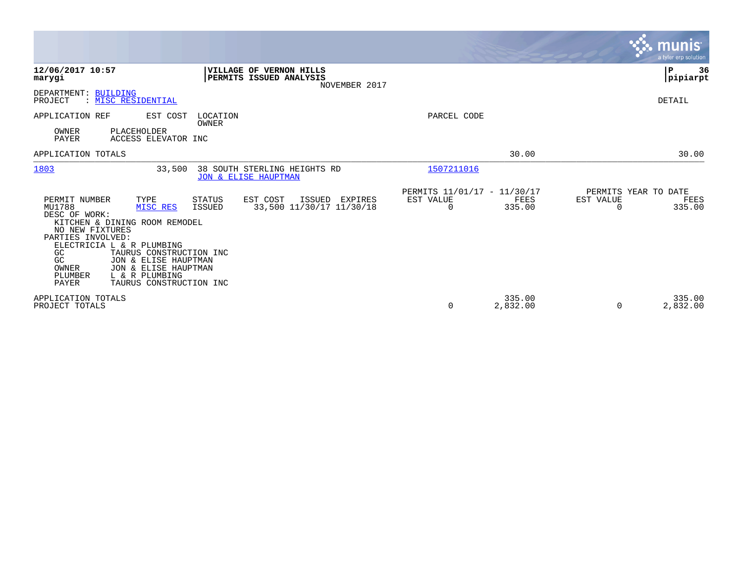|                                                                                                                                                                                                                                                                                                                                        |                                                                               |                                               |                    |                                        | <b>munis</b><br>a tyler erp solution |
|----------------------------------------------------------------------------------------------------------------------------------------------------------------------------------------------------------------------------------------------------------------------------------------------------------------------------------------|-------------------------------------------------------------------------------|-----------------------------------------------|--------------------|----------------------------------------|--------------------------------------|
| 12/06/2017 10:57<br>marygi                                                                                                                                                                                                                                                                                                             | VILLAGE OF VERNON HILLS<br>PERMITS ISSUED ANALYSIS<br>NOVEMBER 2017           |                                               |                    |                                        | l P<br>36<br> pipiarpt               |
| DEPARTMENT: BUILDING<br>: MISC RESIDENTIAL<br>PROJECT                                                                                                                                                                                                                                                                                  |                                                                               |                                               |                    |                                        | <b>DETAIL</b>                        |
| APPLICATION REF<br>EST COST<br>OWNER<br>PLACEHOLDER<br>PAYER<br>ACCESS ELEVATOR INC                                                                                                                                                                                                                                                    | LOCATION<br>OWNER                                                             | PARCEL CODE                                   |                    |                                        |                                      |
| APPLICATION TOTALS                                                                                                                                                                                                                                                                                                                     |                                                                               |                                               | 30.00              |                                        | 30.00                                |
| 1803<br>33,500                                                                                                                                                                                                                                                                                                                         | 38 SOUTH STERLING HEIGHTS RD<br>JON & ELISE HAUPTMAN                          | 1507211016                                    |                    |                                        |                                      |
| PERMIT NUMBER<br>TYPE<br>MU1788<br>MISC RES<br>DESC OF WORK:<br>KITCHEN & DINING ROOM REMODEL<br>NO NEW FIXTURES<br>PARTIES INVOLVED:<br>ELECTRICIA L & R PLUMBING<br>GC<br>TAURUS CONSTRUCTION INC<br>JON & ELISE HAUPTMAN<br>GC<br>& ELISE HAUPTMAN<br>OWNER<br>JON<br>L & R PLUMBING<br>PLUMBER<br>PAYER<br>TAURUS CONSTRUCTION INC | EST COST<br>STATUS<br>ISSUED<br>EXPIRES<br>33,500 11/30/17 11/30/18<br>ISSUED | PERMITS 11/01/17 - 11/30/17<br>EST VALUE<br>0 | FEES<br>335.00     | PERMITS YEAR TO DATE<br>EST VALUE<br>0 | FEES<br>335.00                       |
| APPLICATION TOTALS<br>PROJECT TOTALS                                                                                                                                                                                                                                                                                                   |                                                                               | $\mathbf 0$                                   | 335.00<br>2,832.00 | 0                                      | 335.00<br>2,832.00                   |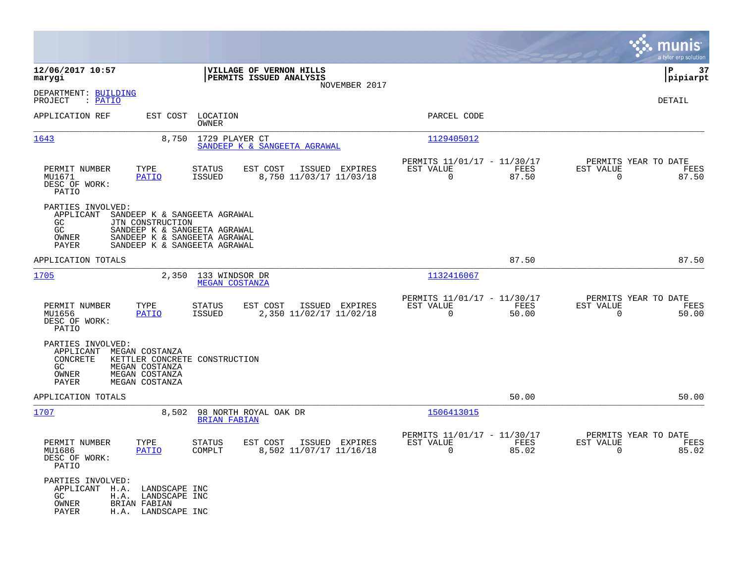|                                                                    |                                                                           |                                                                                                                              |                                                    |                |                                                         |               |                                                  | munis<br>a tyler erp solution |
|--------------------------------------------------------------------|---------------------------------------------------------------------------|------------------------------------------------------------------------------------------------------------------------------|----------------------------------------------------|----------------|---------------------------------------------------------|---------------|--------------------------------------------------|-------------------------------|
| 12/06/2017 10:57<br>marygi                                         |                                                                           |                                                                                                                              | VILLAGE OF VERNON HILLS<br>PERMITS ISSUED ANALYSIS | NOVEMBER 2017  |                                                         |               |                                                  | P<br>37<br> pipiarpt          |
| DEPARTMENT: BUILDING<br>PROJECT<br>: PATIO                         |                                                                           |                                                                                                                              |                                                    |                |                                                         |               |                                                  | DETAIL                        |
| APPLICATION REF                                                    | EST COST                                                                  | LOCATION<br><b>OWNER</b>                                                                                                     |                                                    |                | PARCEL CODE                                             |               |                                                  |                               |
| 1643                                                               | 8,750                                                                     | 1729 PLAYER CT                                                                                                               | SANDEEP K & SANGEETA AGRAWAL                       |                | 1129405012                                              |               |                                                  |                               |
| PERMIT NUMBER<br>MU1671<br>DESC OF WORK:<br>PATIO                  | TYPE<br><b>PATIO</b>                                                      | <b>STATUS</b><br><b>ISSUED</b>                                                                                               | EST COST<br>8,750 11/03/17 11/03/18                | ISSUED EXPIRES | PERMITS 11/01/17 - 11/30/17<br>EST VALUE<br>$\mathbf 0$ | FEES<br>87.50 | PERMITS YEAR TO DATE<br>EST VALUE<br>$\mathbf 0$ | FEES<br>87.50                 |
| PARTIES INVOLVED:<br>APPLICANT<br>GC<br>GC<br>OWNER<br>PAYER       | JTN CONSTRUCTION                                                          | SANDEEP K & SANGEETA AGRAWAL<br>SANDEEP K & SANGEETA AGRAWAL<br>SANDEEP K & SANGEETA AGRAWAL<br>SANDEEP K & SANGEETA AGRAWAL |                                                    |                |                                                         |               |                                                  |                               |
| APPLICATION TOTALS                                                 |                                                                           |                                                                                                                              |                                                    |                |                                                         | 87.50         |                                                  | 87.50                         |
| 1705                                                               | 2,350                                                                     | 133 WINDSOR DR<br><b>MEGAN COSTANZA</b>                                                                                      |                                                    |                | 1132416067                                              |               |                                                  |                               |
| PERMIT NUMBER<br>MU1656<br>DESC OF WORK:<br>PATIO                  | TYPE<br>PATIO                                                             | STATUS<br><b>ISSUED</b>                                                                                                      | EST COST<br>2,350 11/02/17 11/02/18                | ISSUED EXPIRES | PERMITS 11/01/17 - 11/30/17<br>EST VALUE<br>0           | FEES<br>50.00 | PERMITS YEAR TO DATE<br>EST VALUE<br>0           | FEES<br>50.00                 |
| PARTIES INVOLVED:<br>APPLICANT<br>CONCRETE<br>GC<br>OWNER<br>PAYER | MEGAN COSTANZA<br>MEGAN COSTANZA<br>MEGAN COSTANZA<br>MEGAN COSTANZA      | KETTLER CONCRETE CONSTRUCTION                                                                                                |                                                    |                |                                                         |               |                                                  |                               |
| APPLICATION TOTALS                                                 |                                                                           |                                                                                                                              |                                                    |                |                                                         | 50.00         |                                                  | 50.00                         |
| 1707                                                               | 8,502                                                                     | <b>BRIAN FABIAN</b>                                                                                                          | 98 NORTH ROYAL OAK DR                              |                | 1506413015                                              |               |                                                  |                               |
| PERMIT NUMBER<br>MU1686<br>DESC OF WORK:<br>PATIO                  | TYPE<br>PATIO                                                             | <b>STATUS</b><br>COMPLT                                                                                                      | EST COST<br>8,502 11/07/17 11/16/18                | ISSUED EXPIRES | PERMITS 11/01/17 - 11/30/17<br>EST VALUE<br>$\mathbf 0$ | FEES<br>85.02 | PERMITS YEAR TO DATE<br>EST VALUE<br>$\mathbf 0$ | FEES<br>85.02                 |
| PARTIES INVOLVED:<br>APPLICANT H.A.<br>GC.<br>OWNER<br>PAYER       | LANDSCAPE INC<br>H.A. LANDSCAPE INC<br>BRIAN FABIAN<br>H.A. LANDSCAPE INC |                                                                                                                              |                                                    |                |                                                         |               |                                                  |                               |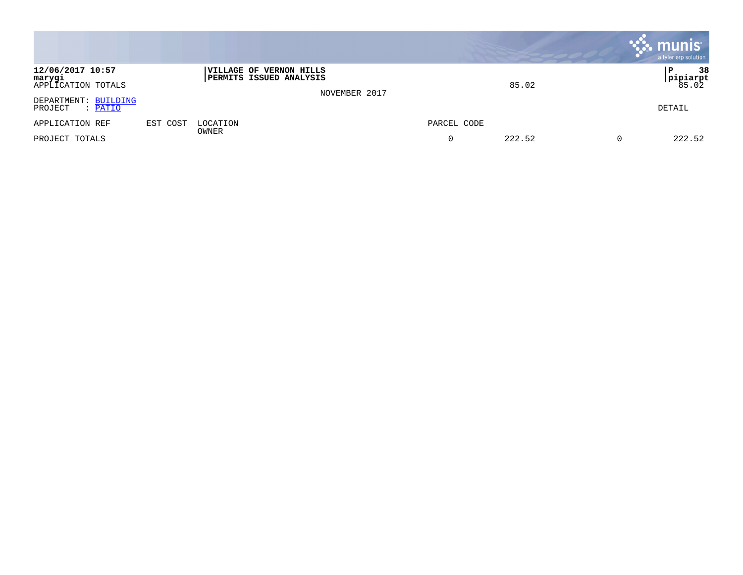|                                                  |          |                                                                  |               |             |        | $\mathbf{\ddot{.}}\mathbf{.}$ munis<br>a tyler erp solution |
|--------------------------------------------------|----------|------------------------------------------------------------------|---------------|-------------|--------|-------------------------------------------------------------|
| 12/06/2017 10:57<br>marygi<br>APPLICATION TOTALS |          | <b>VILLAGE OF VERNON HILLS</b><br><b>PERMITS ISSUED ANALYSIS</b> | NOVEMBER 2017 |             | 85.02  | 38<br>P<br> pipiarpt<br>85.02                               |
| DEPARTMENT: BUILDING<br>PROJECT<br>$:$ PATIO     |          |                                                                  |               |             |        | DETAIL                                                      |
| APPLICATION REF                                  | EST COST | LOCATION<br>OWNER                                                |               | PARCEL CODE |        |                                                             |
| PROJECT TOTALS                                   |          |                                                                  |               | $\Omega$    | 222.52 | 222.52                                                      |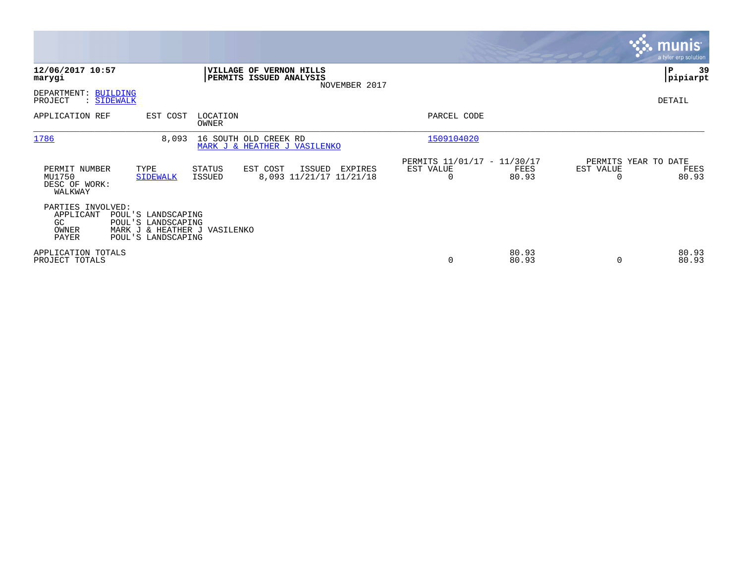|                                                                                                                                                          |                                              |                                                      |                            | <b>munis</b><br>a tyler erp solution  |
|----------------------------------------------------------------------------------------------------------------------------------------------------------|----------------------------------------------|------------------------------------------------------|----------------------------|---------------------------------------|
| 12/06/2017 10:57<br><b>VILLAGE OF VERNON HILLS</b><br>PERMITS ISSUED ANALYSIS<br>marygi                                                                  | NOVEMBER 2017                                |                                                      |                            | 39<br> P<br> pipiarpt                 |
| DEPARTMENT: BUILDING<br>PROJECT<br>: SIDEWALK                                                                                                            |                                              |                                                      |                            | DETAIL                                |
| APPLICATION REF<br>EST COST<br>LOCATION<br>OWNER                                                                                                         |                                              | PARCEL CODE                                          |                            |                                       |
| 1786<br>8,093<br>16 SOUTH OLD CREEK RD<br>MARK J & HEATHER J VASILENKO                                                                                   |                                              | 1509104020                                           |                            |                                       |
| PERMIT NUMBER<br>TYPE<br>STATUS<br>EST COST<br>MU1750<br>ISSUED<br><b>SIDEWALK</b><br>DESC OF WORK:<br>WALKWAY                                           | ISSUED<br>EXPIRES<br>8,093 11/21/17 11/21/18 | PERMITS 11/01/17 - 11/30/17<br>EST VALUE<br>$\Omega$ | EST VALUE<br>FEES<br>80.93 | PERMITS YEAR TO DATE<br>FEES<br>80.93 |
| PARTIES INVOLVED:<br>APPLICANT<br>POUL'S LANDSCAPING<br>GC<br>POUL'S LANDSCAPING<br>OWNER<br>MARK J & HEATHER J VASILENKO<br>PAYER<br>POUL'S LANDSCAPING |                                              |                                                      |                            |                                       |
| APPLICATION TOTALS<br>PROJECT TOTALS                                                                                                                     |                                              | 0                                                    | 80.93<br>80.93             | 80.93<br>80.93                        |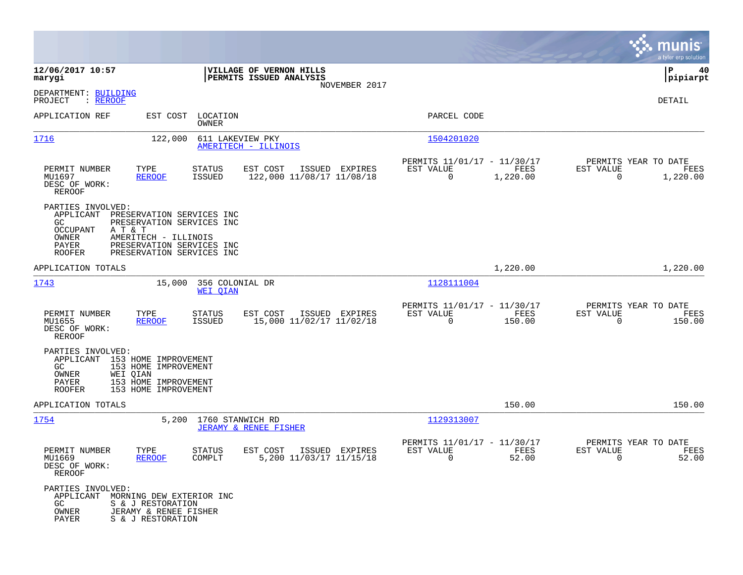|                                                                                              |                                                                                                                                                     |                                    |                                                    |                |                                                            |                  |                                                     | munis<br>a tyler erp solution |
|----------------------------------------------------------------------------------------------|-----------------------------------------------------------------------------------------------------------------------------------------------------|------------------------------------|----------------------------------------------------|----------------|------------------------------------------------------------|------------------|-----------------------------------------------------|-------------------------------|
| 12/06/2017 10:57<br>marygi                                                                   |                                                                                                                                                     |                                    | VILLAGE OF VERNON HILLS<br>PERMITS ISSUED ANALYSIS |                |                                                            |                  |                                                     | ΙP<br>40<br> pipiarpt         |
| DEPARTMENT: BUILDING<br>: <u>REROOF</u><br>PROJECT                                           |                                                                                                                                                     |                                    |                                                    | NOVEMBER 2017  |                                                            |                  |                                                     | DETAIL                        |
| APPLICATION REF                                                                              |                                                                                                                                                     | EST COST LOCATION<br>OWNER         |                                                    |                | PARCEL CODE                                                |                  |                                                     |                               |
| <u> 1716</u>                                                                                 | 122,000                                                                                                                                             | 611 LAKEVIEW PKY                   | AMERITECH - ILLINOIS                               |                | 1504201020                                                 |                  |                                                     |                               |
| PERMIT NUMBER<br>MU1697<br>DESC OF WORK:<br>REROOF                                           | TYPE<br><u>REROOF</u>                                                                                                                               | STATUS<br>ISSUED                   | EST COST<br>122,000 11/08/17 11/08/18              | ISSUED EXPIRES | PERMITS 11/01/17 - 11/30/17<br>EST VALUE<br>$\mathbf 0$    | FEES<br>1,220.00 | PERMITS YEAR TO DATE<br>EST VALUE<br>0              | FEES<br>1,220.00              |
| PARTIES INVOLVED:<br>APPLICANT<br>GC<br>OCCUPANT<br>OWNER<br>PAYER<br><b>ROOFER</b>          | PRESERVATION SERVICES INC<br>PRESERVATION SERVICES INC<br>A T & T<br>AMERITECH - ILLINOIS<br>PRESERVATION SERVICES INC<br>PRESERVATION SERVICES INC |                                    |                                                    |                |                                                            |                  |                                                     |                               |
| APPLICATION TOTALS                                                                           |                                                                                                                                                     |                                    |                                                    |                |                                                            | 1,220.00         |                                                     | 1,220.00                      |
| 1743                                                                                         | 15,000                                                                                                                                              | 356 COLONIAL DR<br><b>WEI OIAN</b> |                                                    |                | 1128111004                                                 |                  |                                                     |                               |
| PERMIT NUMBER<br>MU1655<br>DESC OF WORK:<br>REROOF                                           | TYPE<br>REROOF                                                                                                                                      | STATUS<br>ISSUED                   | EST COST<br>15,000 11/02/17 11/02/18               | ISSUED EXPIRES | PERMITS 11/01/17 - 11/30/17<br>EST VALUE<br>0              | FEES<br>150.00   | PERMITS YEAR TO DATE<br>EST VALUE<br>0              | FEES<br>150.00                |
| PARTIES INVOLVED:<br>APPLICANT 153 HOME IMPROVEMENT<br>GC<br>OWNER<br>PAYER<br><b>ROOFER</b> | 153 HOME IMPROVEMENT<br>WEI QIAN<br>153 HOME IMPROVEMENT<br>153 HOME IMPROVEMENT                                                                    |                                    |                                                    |                |                                                            |                  |                                                     |                               |
| APPLICATION TOTALS                                                                           |                                                                                                                                                     |                                    |                                                    |                |                                                            | 150.00           |                                                     | 150.00                        |
| <u> 1754</u>                                                                                 | 5,200                                                                                                                                               | 1760 STANWICH RD                   | <b>JERAMY &amp; RENEE FISHER</b>                   |                | 1129313007                                                 |                  |                                                     |                               |
| PERMIT NUMBER<br>MU1669<br>DESC OF WORK:<br>REROOF                                           | TYPE<br><b>REROOF</b>                                                                                                                               | <b>STATUS</b><br>COMPLT            | EST COST<br>5,200 11/03/17 11/15/18                | ISSUED EXPIRES | PERMITS 11/01/17 - 11/30/17<br>EST VALUE<br>$\overline{0}$ | FEES<br>52.00    | PERMITS YEAR TO DATE<br>EST VALUE<br>$\overline{0}$ | FEES<br>52.00                 |
| PARTIES INVOLVED:<br>APPLICANT<br>GC<br>OWNER<br>PAYER                                       | MORNING DEW EXTERIOR INC<br>S & J RESTORATION<br>JERAMY & RENEE FISHER<br>S & J RESTORATION                                                         |                                    |                                                    |                |                                                            |                  |                                                     |                               |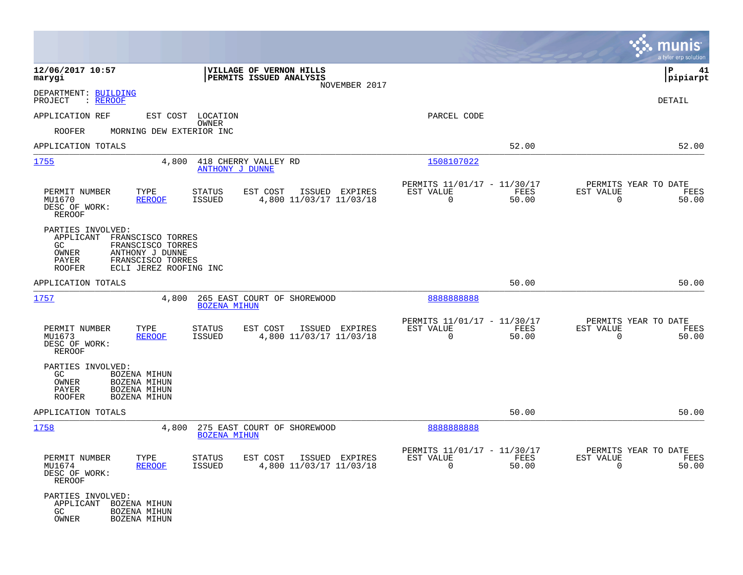|                                                                                                                                                                                     |                                                                                         |                                                         | munis<br>a tyler erp solution                                                      |
|-------------------------------------------------------------------------------------------------------------------------------------------------------------------------------------|-----------------------------------------------------------------------------------------|---------------------------------------------------------|------------------------------------------------------------------------------------|
| 12/06/2017 10:57<br>marygi                                                                                                                                                          | <b>VILLAGE OF VERNON HILLS</b><br>PERMITS ISSUED ANALYSIS<br>NOVEMBER 2017              |                                                         | lР<br>41<br> pipiarpt                                                              |
| DEPARTMENT: BUILDING<br>: <u>REROOF</u><br>PROJECT                                                                                                                                  |                                                                                         |                                                         | <b>DETAIL</b>                                                                      |
| APPLICATION REF                                                                                                                                                                     | EST COST LOCATION                                                                       | PARCEL CODE                                             |                                                                                    |
| <b>ROOFER</b><br>MORNING DEW EXTERIOR INC                                                                                                                                           | OWNER                                                                                   |                                                         |                                                                                    |
| APPLICATION TOTALS                                                                                                                                                                  |                                                                                         |                                                         | 52.00<br>52.00                                                                     |
| <u> 1755</u><br>4,800                                                                                                                                                               | 418 CHERRY VALLEY RD<br>ANTHONY J DUNNE                                                 | 1508107022                                              |                                                                                    |
| TYPE<br>PERMIT NUMBER<br>MU1670<br><b>REROOF</b><br>DESC OF WORK:<br><b>REROOF</b>                                                                                                  | <b>STATUS</b><br>EST COST<br>ISSUED EXPIRES<br>4,800 11/03/17 11/03/18<br><b>ISSUED</b> | PERMITS 11/01/17 - 11/30/17<br>EST VALUE<br>$\Omega$    | PERMITS YEAR TO DATE<br>FEES<br>EST VALUE<br>FEES<br>50.00<br>$\mathbf 0$<br>50.00 |
| PARTIES INVOLVED:<br>APPLICANT<br>FRANSCISCO TORRES<br>FRANSCISCO TORRES<br>GC<br>OWNER<br>ANTHONY J DUNNE<br>FRANSCISCO TORRES<br>PAYER<br>ECLI JEREZ ROOFING INC<br><b>ROOFER</b> |                                                                                         |                                                         |                                                                                    |
| APPLICATION TOTALS                                                                                                                                                                  |                                                                                         |                                                         | 50.00<br>50.00                                                                     |
| 1757<br>4,800                                                                                                                                                                       | 265 EAST COURT OF SHOREWOOD<br><b>BOZENA MIHUN</b>                                      | 888888888                                               |                                                                                    |
| PERMIT NUMBER<br>TYPE<br>MU1673<br><b>REROOF</b><br>DESC OF WORK:<br>REROOF                                                                                                         | EST COST<br><b>STATUS</b><br>ISSUED EXPIRES<br>4,800 11/03/17 11/03/18<br><b>ISSUED</b> | PERMITS 11/01/17 - 11/30/17<br>EST VALUE<br>$\mathbf 0$ | PERMITS YEAR TO DATE<br>EST VALUE<br>FEES<br>FEES<br>50.00<br>$\mathbf 0$<br>50.00 |
| PARTIES INVOLVED:<br>GC<br>BOZENA MIHUN<br>OWNER<br>BOZENA MIHUN<br>BOZENA MIHUN<br>PAYER<br><b>ROOFER</b><br>BOZENA MIHUN                                                          |                                                                                         |                                                         |                                                                                    |
| APPLICATION TOTALS                                                                                                                                                                  |                                                                                         |                                                         | 50.00<br>50.00                                                                     |
| 1758<br>4,800                                                                                                                                                                       | 275 EAST COURT OF SHOREWOOD<br><b>BOZENA MIHUN</b>                                      | 8888888888                                              |                                                                                    |
| PERMIT NUMBER<br>TYPE<br>MU1674<br><b>REROOF</b><br>DESC OF WORK:<br>REROOF                                                                                                         | <b>STATUS</b><br>EST COST<br>ISSUED EXPIRES<br><b>ISSUED</b><br>4,800 11/03/17 11/03/18 | PERMITS 11/01/17 - 11/30/17<br>EST VALUE<br>$\mathbf 0$ | PERMITS YEAR TO DATE<br>EST VALUE<br>FEES<br>FEES<br>50.00<br>50.00<br>$\mathbf 0$ |
| PARTIES INVOLVED:<br>APPLICANT<br>BOZENA MIHUN<br>GC<br>BOZENA MIHUN<br>OWNER<br>BOZENA MIHUN                                                                                       |                                                                                         |                                                         |                                                                                    |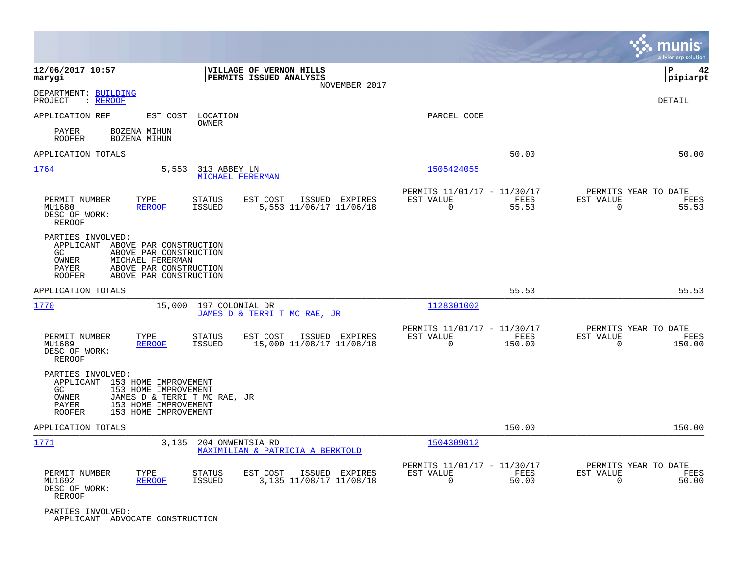|                                                                                                 |                                                                                                                              |                                  |                                                    |                |                                                         |                |                          | munis<br>a tyler erp solution          |
|-------------------------------------------------------------------------------------------------|------------------------------------------------------------------------------------------------------------------------------|----------------------------------|----------------------------------------------------|----------------|---------------------------------------------------------|----------------|--------------------------|----------------------------------------|
| 12/06/2017 10:57<br>marygi                                                                      |                                                                                                                              |                                  | VILLAGE OF VERNON HILLS<br>PERMITS ISSUED ANALYSIS | NOVEMBER 2017  |                                                         |                |                          | ΙP<br>42<br> pipiarpt                  |
| DEPARTMENT: BUILDING<br>PROJECT<br>: REROOF                                                     |                                                                                                                              |                                  |                                                    |                |                                                         |                |                          | DETAIL                                 |
| APPLICATION REF                                                                                 | EST COST                                                                                                                     | LOCATION<br>OWNER                |                                                    |                | PARCEL CODE                                             |                |                          |                                        |
| PAYER<br><b>ROOFER</b>                                                                          | BOZENA MIHUN<br>BOZENA MIHUN                                                                                                 |                                  |                                                    |                |                                                         |                |                          |                                        |
| APPLICATION TOTALS                                                                              |                                                                                                                              |                                  |                                                    |                |                                                         | 50.00          |                          | 50.00                                  |
| 1764                                                                                            | 5,553                                                                                                                        | 313 ABBEY LN<br>MICHAEL FERERMAN |                                                    |                | 1505424055                                              |                |                          |                                        |
| PERMIT NUMBER<br>MU1680<br>DESC OF WORK:<br><b>REROOF</b>                                       | TYPE<br><b>REROOF</b>                                                                                                        | <b>STATUS</b><br><b>ISSUED</b>   | EST COST<br>ISSUED<br>5,553 11/06/17 11/06/18      | EXPIRES        | PERMITS 11/01/17 - 11/30/17<br>EST VALUE<br>$\Omega$    | FEES<br>55.53  | EST VALUE<br>$\Omega$    | PERMITS YEAR TO DATE<br>FEES<br>55.53  |
| PARTIES INVOLVED:<br>APPLICANT ABOVE PAR CONSTRUCTION<br>GC.<br>OWNER<br>PAYER<br><b>ROOFER</b> | ABOVE PAR CONSTRUCTION<br>MICHAEL FERERMAN<br>ABOVE PAR CONSTRUCTION<br>ABOVE PAR CONSTRUCTION                               |                                  |                                                    |                |                                                         |                |                          |                                        |
| APPLICATION TOTALS                                                                              |                                                                                                                              |                                  |                                                    |                |                                                         | 55.53          |                          | 55.53                                  |
| 1770                                                                                            | 15,000                                                                                                                       | 197 COLONIAL DR                  | JAMES D & TERRI T MC RAE, JR                       |                | 1128301002                                              |                |                          |                                        |
| PERMIT NUMBER<br>MU1689<br>DESC OF WORK:<br>REROOF                                              | TYPE<br><b>REROOF</b>                                                                                                        | <b>STATUS</b><br><b>ISSUED</b>   | EST COST<br>15,000 11/08/17 11/08/18               | ISSUED EXPIRES | PERMITS 11/01/17 - 11/30/17<br>EST VALUE<br>$\Omega$    | FEES<br>150.00 | EST VALUE<br>$\Omega$    | PERMITS YEAR TO DATE<br>FEES<br>150.00 |
| PARTIES INVOLVED:<br>APPLICANT<br>GC.<br>OWNER<br>PAYER<br><b>ROOFER</b>                        | 153 HOME IMPROVEMENT<br>153 HOME IMPROVEMENT<br>JAMES D & TERRI T MC RAE, JR<br>153 HOME IMPROVEMENT<br>153 HOME IMPROVEMENT |                                  |                                                    |                |                                                         |                |                          |                                        |
| APPLICATION TOTALS                                                                              |                                                                                                                              |                                  |                                                    |                |                                                         | 150.00         |                          | 150.00                                 |
| 1771                                                                                            | 3,135                                                                                                                        | 204 ONWENTSIA RD                 | MAXIMILIAN & PATRICIA A BERKTOLD                   |                | 1504309012                                              |                |                          |                                        |
| PERMIT NUMBER<br>MU1692<br>DESC OF WORK:<br>REROOF                                              | TYPE<br><b>REROOF</b>                                                                                                        | <b>STATUS</b><br><b>ISSUED</b>   | EST COST<br>3,135 11/08/17 11/08/18                | ISSUED EXPIRES | PERMITS 11/01/17 - 11/30/17<br>EST VALUE<br>$\mathbf 0$ | FEES<br>50.00  | EST VALUE<br>$\mathbf 0$ | PERMITS YEAR TO DATE<br>FEES<br>50.00  |
| PARTIES INVOLVED:<br>APPLICANT ADVOCATE CONSTRUCTION                                            |                                                                                                                              |                                  |                                                    |                |                                                         |                |                          |                                        |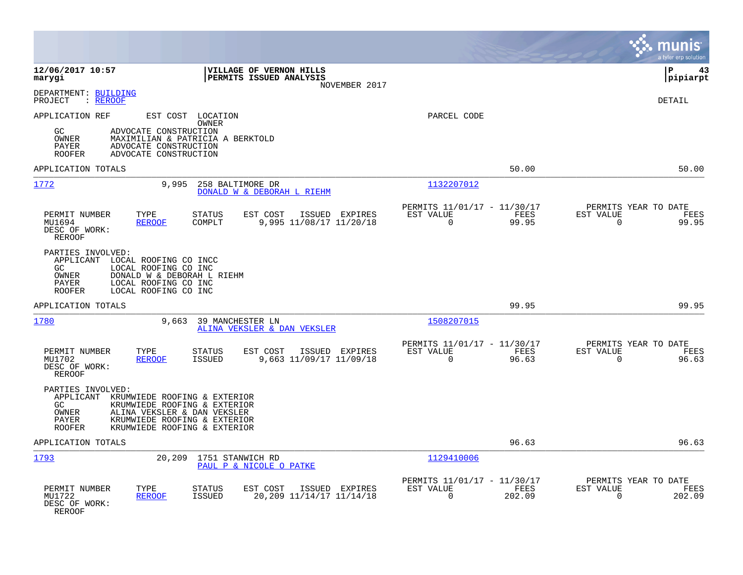|                                                                                                                                                                                                                                      |                                                                          | munis<br>a tyler erp solution                                     |
|--------------------------------------------------------------------------------------------------------------------------------------------------------------------------------------------------------------------------------------|--------------------------------------------------------------------------|-------------------------------------------------------------------|
| 12/06/2017 10:57<br>VILLAGE OF VERNON HILLS<br>PERMITS ISSUED ANALYSIS<br>marygi<br>NOVEMBER 2017                                                                                                                                    |                                                                          | l P<br>43<br> pipiarpt                                            |
| DEPARTMENT: BUILDING<br>PROJECT<br>: <u>REROOF</u>                                                                                                                                                                                   |                                                                          | <b>DETAIL</b>                                                     |
| APPLICATION REF<br>EST COST LOCATION<br>OWNER<br>GC<br>ADVOCATE CONSTRUCTION<br>OWNER<br>MAXIMILIAN & PATRICIA A BERKTOLD<br>ADVOCATE CONSTRUCTION<br>PAYER<br>ADVOCATE CONSTRUCTION<br><b>ROOFER</b>                                | PARCEL CODE                                                              |                                                                   |
| APPLICATION TOTALS                                                                                                                                                                                                                   | 50.00                                                                    | 50.00                                                             |
| 1772<br>9,995<br>258 BALTIMORE DR<br>DONALD W & DEBORAH L RIEHM                                                                                                                                                                      | 1132207012                                                               |                                                                   |
| PERMIT NUMBER<br>TYPE<br><b>STATUS</b><br>EST COST<br>ISSUED EXPIRES<br>MU1694<br><b>REROOF</b><br>COMPLT<br>9,995 11/08/17 11/20/18<br>DESC OF WORK:<br><b>REROOF</b>                                                               | PERMITS 11/01/17 - 11/30/17<br>EST VALUE<br>FEES<br>$\mathbf 0$<br>99.95 | PERMITS YEAR TO DATE<br>EST VALUE<br>FEES<br>99.95<br>$\mathbf 0$ |
| PARTIES INVOLVED:<br>APPLICANT LOCAL ROOFING CO INCC<br>GC<br>LOCAL ROOFING CO INC<br>DONALD W & DEBORAH L RIEHM<br><b>OWNER</b><br>LOCAL ROOFING CO INC<br>PAYER<br>LOCAL ROOFING CO INC<br><b>ROOFER</b>                           |                                                                          |                                                                   |
| APPLICATION TOTALS                                                                                                                                                                                                                   | 99.95                                                                    | 99.95                                                             |
| 1780<br>9,663<br>39 MANCHESTER LN<br>ALINA VEKSLER & DAN VEKSLER                                                                                                                                                                     | 1508207015                                                               |                                                                   |
| PERMIT NUMBER<br>TYPE<br><b>STATUS</b><br>EST COST<br>ISSUED EXPIRES<br>MU1702<br><b>REROOF</b><br><b>ISSUED</b><br>9,663 11/09/17 11/09/18<br>DESC OF WORK:<br><b>REROOF</b>                                                        | PERMITS 11/01/17 - 11/30/17<br>EST VALUE<br>FEES<br>$\mathbf 0$<br>96.63 | PERMITS YEAR TO DATE<br>EST VALUE<br>FEES<br>$\mathbf 0$<br>96.63 |
| PARTIES INVOLVED:<br>APPLICANT KRUMWIEDE ROOFING & EXTERIOR<br>GC.<br>KRUMWIEDE ROOFING & EXTERIOR<br>OWNER<br>ALINA VEKSLER & DAN VEKSLER<br>KRUMWIEDE ROOFING & EXTERIOR<br>PAYER<br><b>ROOFER</b><br>KRUMWIEDE ROOFING & EXTERIOR |                                                                          |                                                                   |
| APPLICATION TOTALS                                                                                                                                                                                                                   | 96.63                                                                    | 96.63                                                             |
| 1793<br>20,209<br>1751 STANWICH RD<br>PAUL P & NICOLE O PATKE                                                                                                                                                                        | 1129410006                                                               |                                                                   |
| PERMIT NUMBER<br>TYPE<br><b>STATUS</b><br>EST COST<br>ISSUED EXPIRES<br>MU1722<br>20,209 11/14/17 11/14/18<br><b>REROOF</b><br><b>ISSUED</b><br>DESC OF WORK:<br>REROOF                                                              | PERMITS 11/01/17 - 11/30/17<br>EST VALUE<br>FEES<br>$\Omega$<br>202.09   | PERMITS YEAR TO DATE<br>EST VALUE<br>FEES<br>202.09<br>0          |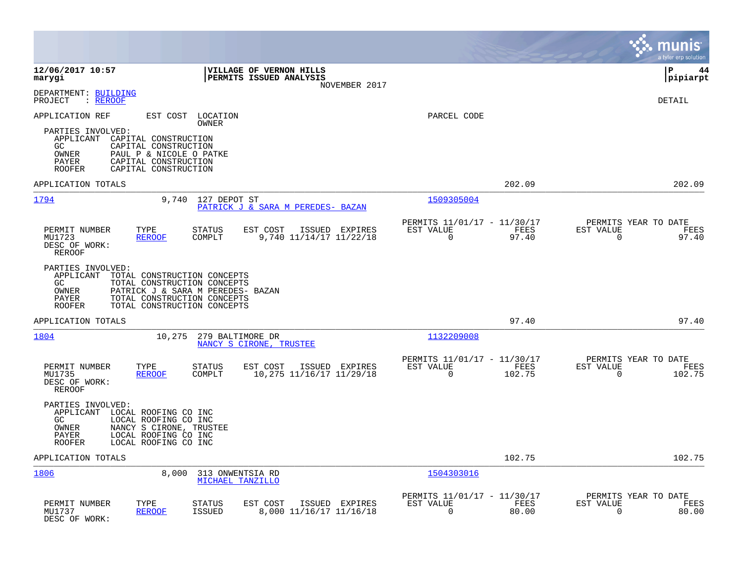|                                                                                                                                                                                                      |                                                                                         |                                                                          | munis<br>a tyler erp solution                                     |
|------------------------------------------------------------------------------------------------------------------------------------------------------------------------------------------------------|-----------------------------------------------------------------------------------------|--------------------------------------------------------------------------|-------------------------------------------------------------------|
| 12/06/2017 10:57<br>marygi                                                                                                                                                                           | VILLAGE OF VERNON HILLS<br>PERMITS ISSUED ANALYSIS<br>NOVEMBER 2017                     |                                                                          | l P<br>44<br>pipiarpt                                             |
| DEPARTMENT: BUILDING<br>PROJECT<br>: REROOF                                                                                                                                                          |                                                                                         |                                                                          | DETAIL                                                            |
| APPLICATION REF<br>EST COST<br>PARTIES INVOLVED:                                                                                                                                                     | LOCATION<br>OWNER                                                                       | PARCEL CODE                                                              |                                                                   |
| APPLICANT<br>CAPITAL CONSTRUCTION<br>GC.<br>CAPITAL CONSTRUCTION<br>OWNER<br>PAUL P & NICOLE O PATKE<br>CAPITAL CONSTRUCTION<br>PAYER<br>CAPITAL CONSTRUCTION<br><b>ROOFER</b>                       |                                                                                         |                                                                          |                                                                   |
| APPLICATION TOTALS                                                                                                                                                                                   |                                                                                         | 202.09                                                                   | 202.09                                                            |
| 1794<br>9,740                                                                                                                                                                                        | 127 DEPOT ST<br>PATRICK J & SARA M PEREDES- BAZAN                                       | 1509305004                                                               |                                                                   |
| PERMIT NUMBER<br>TYPE<br>MU1723<br><b>REROOF</b><br>DESC OF WORK:<br>REROOF                                                                                                                          | <b>STATUS</b><br>EST COST<br>ISSUED EXPIRES<br>COMPLT<br>9,740 11/14/17 11/22/18        | PERMITS 11/01/17 - 11/30/17<br>EST VALUE<br>FEES<br>$\mathbf 0$<br>97.40 | PERMITS YEAR TO DATE<br>EST VALUE<br>FEES<br>$\mathbf 0$<br>97.40 |
| PARTIES INVOLVED:<br>APPLICANT<br>TOTAL CONSTRUCTION CONCEPTS<br>GC.<br>TOTAL CONSTRUCTION CONCEPTS<br>OWNER<br>TOTAL CONSTRUCTION CONCEPTS<br>PAYER<br><b>ROOFER</b><br>TOTAL CONSTRUCTION CONCEPTS | PATRICK J & SARA M PEREDES- BAZAN                                                       |                                                                          |                                                                   |
| APPLICATION TOTALS                                                                                                                                                                                   |                                                                                         | 97.40                                                                    | 97.40                                                             |
| 1804<br>10,275                                                                                                                                                                                       | 279 BALTIMORE DR<br>NANCY S CIRONE, TRUSTEE                                             | 1132209008                                                               |                                                                   |
| PERMIT NUMBER<br>TYPE<br>MU1735<br><b>REROOF</b><br>DESC OF WORK:<br><b>REROOF</b>                                                                                                                   | <b>STATUS</b><br>EST COST<br>ISSUED EXPIRES<br>10,275 11/16/17 11/29/18<br>COMPLT       | PERMITS 11/01/17 - 11/30/17<br>EST VALUE<br>FEES<br>102.75<br>$\Omega$   | PERMITS YEAR TO DATE<br>EST VALUE<br>FEES<br>0<br>102.75          |
| PARTIES INVOLVED:<br>APPLICANT LOCAL ROOFING CO INC<br>GC<br>LOCAL ROOFING CO INC<br>NANCY S CIRONE, TRUSTEE<br>OWNER<br>PAYER<br>LOCAL ROOFING CO INC<br>LOCAL ROOFING CO INC<br><b>ROOFER</b>      |                                                                                         |                                                                          |                                                                   |
| APPLICATION TOTALS                                                                                                                                                                                   |                                                                                         | 102.75                                                                   | 102.75                                                            |
| 1806<br>8,000                                                                                                                                                                                        | 313 ONWENTSIA RD<br>MICHAEL TANZILLO                                                    | 1504303016                                                               |                                                                   |
| PERMIT NUMBER<br>TYPE<br><b>REROOF</b><br>MU1737<br>DESC OF WORK:                                                                                                                                    | <b>STATUS</b><br>EST COST<br>ISSUED EXPIRES<br><b>ISSUED</b><br>8,000 11/16/17 11/16/18 | PERMITS 11/01/17 - 11/30/17<br>EST VALUE<br>FEES<br>0<br>80.00           | PERMITS YEAR TO DATE<br>EST VALUE<br>FEES<br>80.00<br>0           |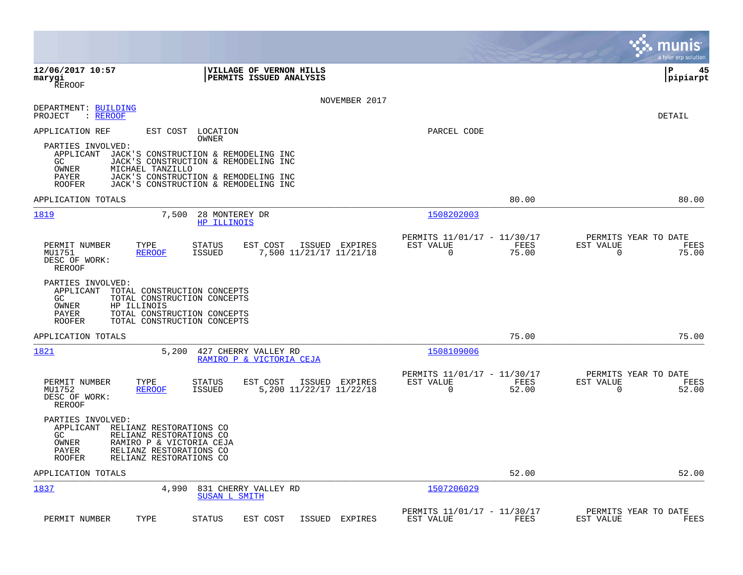|                                                                                                                                                                                                                     |                                                                          | munis<br>a tyler erp solution                                     |
|---------------------------------------------------------------------------------------------------------------------------------------------------------------------------------------------------------------------|--------------------------------------------------------------------------|-------------------------------------------------------------------|
| 12/06/2017 10:57<br>VILLAGE OF VERNON HILLS<br>PERMITS ISSUED ANALYSIS<br>marygi<br><b>REROOF</b>                                                                                                                   |                                                                          | ΙP<br>45<br> pipiarpt                                             |
| NOVEMBER 2017<br>DEPARTMENT: BUILDING<br>PROJECT<br>: REROOF                                                                                                                                                        |                                                                          | DETAIL                                                            |
| APPLICATION REF<br>EST COST LOCATION<br>OWNER                                                                                                                                                                       | PARCEL CODE                                                              |                                                                   |
| PARTIES INVOLVED:<br>JACK'S CONSTRUCTION & REMODELING INC<br>APPLICANT<br>GC<br>JACK'S CONSTRUCTION & REMODELING INC<br>OWNER<br>MICHAEL TANZILLO                                                                   |                                                                          |                                                                   |
| PAYER<br>JACK'S CONSTRUCTION & REMODELING INC<br>JACK'S CONSTRUCTION & REMODELING INC<br>ROOFER                                                                                                                     |                                                                          |                                                                   |
| APPLICATION TOTALS                                                                                                                                                                                                  | 80.00                                                                    | 80.00                                                             |
| 1819<br>7,500<br>28 MONTEREY DR<br>HP ILLINOIS                                                                                                                                                                      | 1508202003                                                               |                                                                   |
| PERMIT NUMBER<br>TYPE<br><b>STATUS</b><br>EST COST<br>ISSUED EXPIRES<br>MU1751<br><b>REROOF</b><br>ISSUED<br>7,500 11/21/17 11/21/18<br>DESC OF WORK:<br>REROOF                                                     | PERMITS 11/01/17 - 11/30/17<br>EST VALUE<br>FEES<br>$\mathbf 0$<br>75.00 | PERMITS YEAR TO DATE<br>EST VALUE<br>FEES<br>$\mathbf 0$<br>75.00 |
| PARTIES INVOLVED:<br>TOTAL CONSTRUCTION CONCEPTS<br>APPLICANT<br>GC.<br>TOTAL CONSTRUCTION CONCEPTS<br>OWNER<br>HP ILLINOIS<br>PAYER<br>TOTAL CONSTRUCTION CONCEPTS<br>TOTAL CONSTRUCTION CONCEPTS<br><b>ROOFER</b> |                                                                          |                                                                   |
| APPLICATION TOTALS                                                                                                                                                                                                  | 75.00                                                                    | 75.00                                                             |
| 1821<br>5,200<br>427 CHERRY VALLEY RD<br>RAMIRO P & VICTORIA CEJA                                                                                                                                                   | 1508109006                                                               |                                                                   |
| PERMIT NUMBER<br>TYPE<br>EST COST<br>ISSUED EXPIRES<br>STATUS<br>MU1752<br>5,200 11/22/17 11/22/18<br><b>REROOF</b><br><b>ISSUED</b><br>DESC OF WORK:<br><b>REROOF</b>                                              | PERMITS 11/01/17 - 11/30/17<br>EST VALUE<br>FEES<br>$\Omega$<br>52.00    | PERMITS YEAR TO DATE<br>EST VALUE<br>FEES<br>$\Omega$<br>52.00    |
| PARTIES INVOLVED:<br>APPLICANT RELIANZ RESTORATIONS CO<br>RELIANZ RESTORATIONS CO<br>GC.<br>OWNER<br>RAMIRO P & VICTORIA CEJA<br>RELIANZ RESTORATIONS CO<br>PAYER<br>RELIANZ RESTORATIONS CO<br>ROOFER              |                                                                          |                                                                   |
| APPLICATION TOTALS                                                                                                                                                                                                  | 52.00                                                                    | 52.00                                                             |
| 1837<br>4,990<br>831 CHERRY VALLEY RD<br><b>SUSAN L SMITH</b>                                                                                                                                                       | 1507206029                                                               |                                                                   |
| PERMIT NUMBER<br>TYPE<br><b>STATUS</b><br>EST COST<br>ISSUED<br>EXPIRES                                                                                                                                             | PERMITS 11/01/17 - 11/30/17<br>EST VALUE<br>FEES                         | PERMITS YEAR TO DATE<br>EST VALUE<br>FEES                         |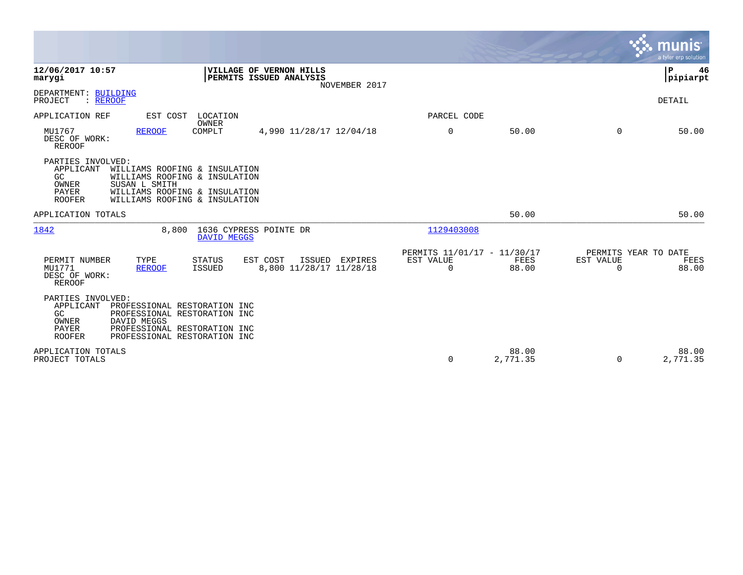|                                                                                          |                                                                                                                                  |                                                                     |                                                         |                      |                                               | munis<br>a tyler erp solution |
|------------------------------------------------------------------------------------------|----------------------------------------------------------------------------------------------------------------------------------|---------------------------------------------------------------------|---------------------------------------------------------|----------------------|-----------------------------------------------|-------------------------------|
| 12/06/2017 10:57<br>marygi                                                               |                                                                                                                                  | VILLAGE OF VERNON HILLS<br>PERMITS ISSUED ANALYSIS<br>NOVEMBER 2017 |                                                         |                      |                                               | P<br>46<br> pipiarpt          |
| DEPARTMENT: BUILDING<br>PROJECT<br>: REROOF                                              |                                                                                                                                  |                                                                     |                                                         |                      |                                               | DETAIL                        |
| APPLICATION REF                                                                          | EST COST<br>LOCATION                                                                                                             |                                                                     | PARCEL CODE                                             |                      |                                               |                               |
| MU1767<br>DESC OF WORK:<br><b>REROOF</b>                                                 | OWNER<br><b>REROOF</b><br>COMPLT                                                                                                 | 4,990 11/28/17 12/04/18                                             | $\mathbf 0$                                             | 50.00                | 0                                             | 50.00                         |
| PARTIES INVOLVED:<br>APPLICANT<br>GC<br>OWNER<br>SUSAN L SMITH<br>PAYER<br><b>ROOFER</b> | WILLIAMS ROOFING & INSULATION<br>WILLIAMS ROOFING & INSULATION<br>WILLIAMS ROOFING & INSULATION<br>WILLIAMS ROOFING & INSULATION |                                                                     |                                                         |                      |                                               |                               |
| APPLICATION TOTALS                                                                       |                                                                                                                                  |                                                                     |                                                         | 50.00                |                                               | 50.00                         |
| 1842                                                                                     | 8,800<br>DAVID MEGGS                                                                                                             | 1636 CYPRESS POINTE DR                                              | 1129403008                                              |                      |                                               |                               |
| PERMIT NUMBER<br>TYPE<br>MU1771<br>DESC OF WORK:<br><b>REROOF</b>                        | <b>STATUS</b><br><b>REROOF</b><br><b>ISSUED</b>                                                                                  | EST COST<br>ISSUED<br>EXPIRES<br>8,800 11/28/17 11/28/18            | PERMITS 11/01/17 - 11/30/17<br>EST VALUE<br>$\mathbf 0$ | <b>FEES</b><br>88.00 | PERMITS YEAR TO DATE<br>EST VALUE<br>$\Omega$ | FEES<br>88.00                 |
| PARTIES INVOLVED:<br>APPLICANT<br>GC<br>DAVID MEGGS<br>OWNER<br>PAYER<br><b>ROOFER</b>   | PROFESSIONAL RESTORATION INC<br>PROFESSIONAL RESTORATION INC<br>PROFESSIONAL RESTORATION INC<br>PROFESSIONAL RESTORATION INC     |                                                                     |                                                         |                      |                                               |                               |
| APPLICATION TOTALS<br>PROJECT TOTALS                                                     |                                                                                                                                  |                                                                     | 0                                                       | 88.00<br>2,771.35    | $\Omega$                                      | 88.00<br>2,771.35             |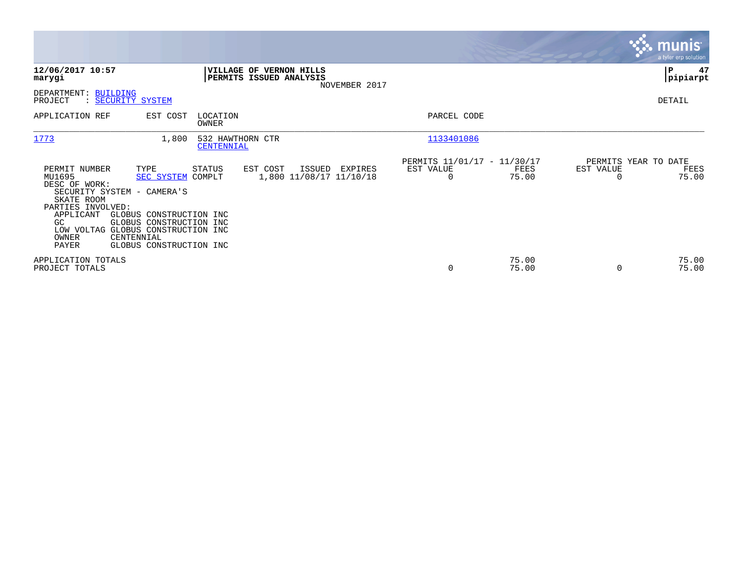|                                                                                                                                                                                                             |                                                                                                                 |                                                    |                                              |                                               |                |                                               | <b>munis</b><br>a tyler erp solution |
|-------------------------------------------------------------------------------------------------------------------------------------------------------------------------------------------------------------|-----------------------------------------------------------------------------------------------------------------|----------------------------------------------------|----------------------------------------------|-----------------------------------------------|----------------|-----------------------------------------------|--------------------------------------|
| 12/06/2017 10:57<br>marygi                                                                                                                                                                                  |                                                                                                                 | VILLAGE OF VERNON HILLS<br>PERMITS ISSUED ANALYSIS | NOVEMBER 2017                                |                                               |                |                                               | P<br>47<br> pipiarpt                 |
| DEPARTMENT: BUILDING<br>PROJECT<br>: SECURITY SYSTEM                                                                                                                                                        |                                                                                                                 |                                                    |                                              |                                               |                |                                               | DETAIL                               |
| APPLICATION REF                                                                                                                                                                                             | EST COST<br>OWNER                                                                                               | LOCATION                                           |                                              | PARCEL CODE                                   |                |                                               |                                      |
| 1773                                                                                                                                                                                                        | 1,800                                                                                                           | 532 HAWTHORN CTR<br>CENTENNIAL                     |                                              | 1133401086                                    |                |                                               |                                      |
| PERMIT NUMBER<br>TYPE<br>MU1695<br>DESC OF WORK:<br>SECURITY SYSTEM - CAMERA'S<br>SKATE ROOM<br>PARTIES INVOLVED:<br>APPLICANT<br>GC.<br>LOW VOLTAG GLOBUS CONSTRUCTION INC<br>OWNER<br>CENTENNIAL<br>PAYER | STATUS<br>SEC SYSTEM<br>COMPLT<br>GLOBUS CONSTRUCTION INC<br>GLOBUS CONSTRUCTION INC<br>GLOBUS CONSTRUCTION INC | EST COST                                           | ISSUED<br>EXPIRES<br>1,800 11/08/17 11/10/18 | PERMITS 11/01/17 - 11/30/17<br>EST VALUE<br>0 | FEES<br>75.00  | PERMITS YEAR TO DATE<br>EST VALUE<br>$\Omega$ | FEES<br>75.00                        |
| APPLICATION TOTALS<br>PROJECT TOTALS                                                                                                                                                                        |                                                                                                                 |                                                    |                                              | 0                                             | 75.00<br>75.00 | $\Omega$                                      | 75.00<br>75.00                       |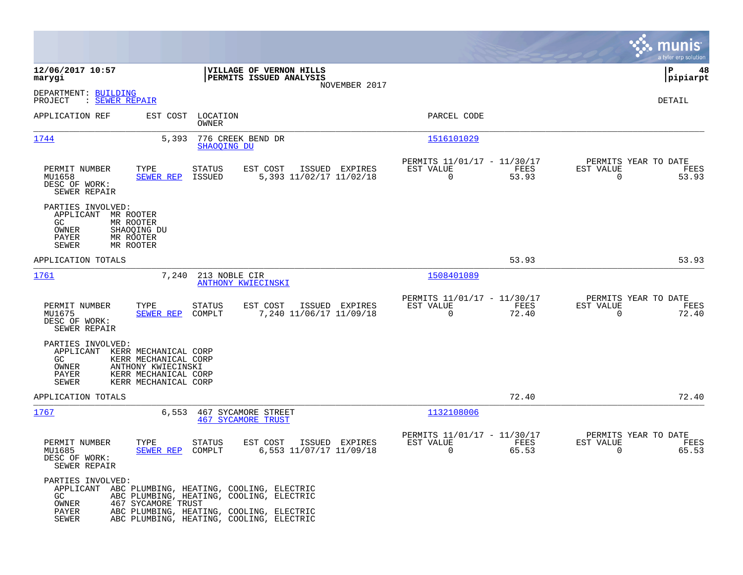|                                                                                                                                                                                     |                                                                                                                                                                                        |                                                                             | munis<br>a tyler erp solution                                     |
|-------------------------------------------------------------------------------------------------------------------------------------------------------------------------------------|----------------------------------------------------------------------------------------------------------------------------------------------------------------------------------------|-----------------------------------------------------------------------------|-------------------------------------------------------------------|
| 12/06/2017 10:57<br>marygi                                                                                                                                                          | VILLAGE OF VERNON HILLS<br>PERMITS ISSUED ANALYSIS                                                                                                                                     |                                                                             | ΙP<br>48<br> pipiarpt                                             |
| DEPARTMENT: BUILDING<br>: SEWER REPAIR<br>PROJECT                                                                                                                                   | NOVEMBER 2017                                                                                                                                                                          |                                                                             | DETAIL                                                            |
| APPLICATION REF                                                                                                                                                                     | EST COST<br>LOCATION<br>OWNER                                                                                                                                                          | PARCEL CODE                                                                 |                                                                   |
| 1744                                                                                                                                                                                | 776 CREEK BEND DR<br>5,393<br>SHAOQING DU                                                                                                                                              | 1516101029                                                                  |                                                                   |
| PERMIT NUMBER<br>TYPE<br>MU1658<br>SEWER REP<br>DESC OF WORK:<br>SEWER REPAIR                                                                                                       | EST COST<br><b>STATUS</b><br>ISSUED EXPIRES<br>ISSUED<br>5,393 11/02/17 11/02/18                                                                                                       | PERMITS 11/01/17 - 11/30/17<br>EST VALUE<br>FEES<br>$\Omega$<br>53.93       | PERMITS YEAR TO DATE<br>EST VALUE<br>FEES<br>$\mathbf 0$<br>53.93 |
| PARTIES INVOLVED:<br>APPLICANT MR ROOTER<br>GC<br>MR ROOTER<br>OWNER<br>SHAOQING DU<br>MR ROOTER<br>PAYER<br>MR ROOTER<br><b>SEWER</b>                                              |                                                                                                                                                                                        |                                                                             |                                                                   |
| APPLICATION TOTALS                                                                                                                                                                  |                                                                                                                                                                                        | 53.93                                                                       | 53.93                                                             |
| 1761                                                                                                                                                                                | 7,240<br>213 NOBLE CIR<br>ANTHONY KWIECINSKI                                                                                                                                           | 1508401089                                                                  |                                                                   |
| PERMIT NUMBER<br>TYPE<br>MU1675<br>SEWER REP<br>DESC OF WORK:<br>SEWER REPAIR                                                                                                       | <b>STATUS</b><br>EST COST<br>ISSUED EXPIRES<br>COMPLT<br>7,240 11/06/17 11/09/18                                                                                                       | PERMITS 11/01/17 - 11/30/17<br>EST VALUE<br>FEES<br>$\overline{0}$<br>72.40 | PERMITS YEAR TO DATE<br>EST VALUE<br>FEES<br>$\mathbf 0$<br>72.40 |
| PARTIES INVOLVED:<br>APPLICANT KERR MECHANICAL CORP<br>GC.<br>KERR MECHANICAL CORP<br>OWNER<br>ANTHONY KWIECINSKI<br>PAYER<br>KERR MECHANICAL CORP<br>SEWER<br>KERR MECHANICAL CORP |                                                                                                                                                                                        |                                                                             |                                                                   |
| APPLICATION TOTALS                                                                                                                                                                  |                                                                                                                                                                                        | 72.40                                                                       | 72.40                                                             |
| 1767                                                                                                                                                                                | 6,553<br>467 SYCAMORE STREET<br><b>467 SYCAMORE TRUST</b>                                                                                                                              | 1132108006                                                                  |                                                                   |
| PERMIT NUMBER<br>TYPE<br>MU1685<br><b>SEWER REP</b><br>DESC OF WORK:<br>SEWER REPAIR                                                                                                | <b>STATUS</b><br>EST COST<br>ISSUED EXPIRES<br>6,553 11/07/17 11/09/18<br>COMPLT                                                                                                       | PERMITS 11/01/17 - 11/30/17<br>EST VALUE<br>FEES<br>$\Omega$<br>65.53       | PERMITS YEAR TO DATE<br>EST VALUE<br>FEES<br>$\mathbf 0$<br>65.53 |
| PARTIES INVOLVED:<br>GC.<br>467 SYCAMORE TRUST<br>OWNER<br>PAYER<br><b>SEWER</b>                                                                                                    | APPLICANT ABC PLUMBING, HEATING, COOLING, ELECTRIC<br>ABC PLUMBING, HEATING, COOLING, ELECTRIC<br>ABC PLUMBING, HEATING, COOLING, ELECTRIC<br>ABC PLUMBING, HEATING, COOLING, ELECTRIC |                                                                             |                                                                   |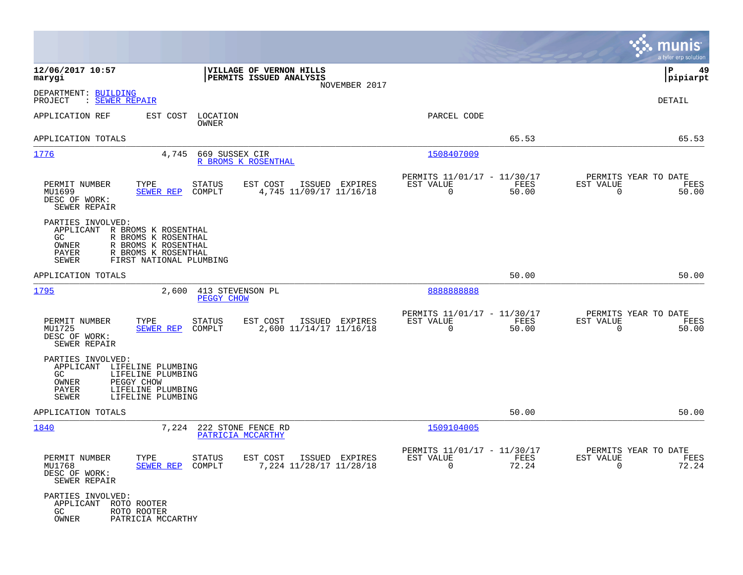|                                                                                                                                                                                                |                                                                     |                                                                          | munis<br>a tyler erp solution                                     |
|------------------------------------------------------------------------------------------------------------------------------------------------------------------------------------------------|---------------------------------------------------------------------|--------------------------------------------------------------------------|-------------------------------------------------------------------|
| 12/06/2017 10:57<br>marygi                                                                                                                                                                     | VILLAGE OF VERNON HILLS<br>PERMITS ISSUED ANALYSIS<br>NOVEMBER 2017 |                                                                          | ∣P<br>49<br> pipiarpt                                             |
| DEPARTMENT: BUILDING<br>PROJECT<br>: SEWER REPAIR                                                                                                                                              |                                                                     |                                                                          | <b>DETAIL</b>                                                     |
| APPLICATION REF<br>EST COST<br>LOCATION<br>OWNER                                                                                                                                               |                                                                     | PARCEL CODE                                                              |                                                                   |
| APPLICATION TOTALS                                                                                                                                                                             |                                                                     | 65.53                                                                    | 65.53                                                             |
| 1776<br>4,745<br>669 SUSSEX CIR                                                                                                                                                                | R BROMS K ROSENTHAL                                                 | 1508407009                                                               |                                                                   |
| PERMIT NUMBER<br>TYPE<br>STATUS<br>MU1699<br><b>SEWER REP</b><br>COMPLT<br>DESC OF WORK:<br>SEWER REPAIR                                                                                       | EST COST<br>ISSUED EXPIRES<br>4,745 11/09/17 11/16/18               | PERMITS 11/01/17 - 11/30/17<br>EST VALUE<br>FEES<br>$\mathbf 0$<br>50.00 | PERMITS YEAR TO DATE<br>EST VALUE<br>FEES<br>$\mathbf 0$<br>50.00 |
| PARTIES INVOLVED:<br>APPLICANT<br>R BROMS K ROSENTHAL<br>GC.<br>R BROMS K ROSENTHAL<br>OWNER<br>R BROMS K ROSENTHAL<br>R BROMS K ROSENTHAL<br>PAYER<br>FIRST NATIONAL PLUMBING<br><b>SEWER</b> |                                                                     |                                                                          |                                                                   |
| APPLICATION TOTALS                                                                                                                                                                             |                                                                     | 50.00                                                                    | 50.00                                                             |
| 1795<br>2,600<br>PEGGY CHOW                                                                                                                                                                    | 413 STEVENSON PL                                                    | 8888888888                                                               |                                                                   |
| PERMIT NUMBER<br>TYPE<br>STATUS<br>MU1725<br>COMPLT<br>SEWER REP<br>DESC OF WORK:<br>SEWER REPAIR                                                                                              | EST COST<br>ISSUED EXPIRES<br>2,600 11/14/17 11/16/18               | PERMITS 11/01/17 - 11/30/17<br>EST VALUE<br>0<br>50.00                   | PERMITS YEAR TO DATE<br>FEES<br>EST VALUE<br>FEES<br>0<br>50.00   |
| PARTIES INVOLVED:<br>APPLICANT<br>LIFELINE PLUMBING<br>GC.<br>LIFELINE PLUMBING<br>PEGGY CHOW<br>OWNER<br>LIFELINE PLUMBING<br>PAYER<br>SEWER<br>LIFELINE PLUMBING                             |                                                                     |                                                                          |                                                                   |
| APPLICATION TOTALS                                                                                                                                                                             |                                                                     | 50.00                                                                    | 50.00                                                             |
| 1840<br>7,224                                                                                                                                                                                  | 222 STONE FENCE RD<br>PATRICIA MCCARTHY                             | 1509104005                                                               |                                                                   |
| PERMIT NUMBER<br>TYPE<br>STATUS<br>MU1768<br>SEWER REP COMPLT<br>DESC OF WORK:<br>SEWER REPAIR                                                                                                 | EST COST ISSUED EXPIRES<br>7,224 11/28/17 11/28/18                  | PERMITS 11/01/17 - 11/30/17<br>FEES<br>EST VALUE<br>$\Omega$<br>72.24    | PERMITS YEAR TO DATE<br>EST VALUE<br>FEES<br>$\Omega$<br>72.24    |
| PARTIES INVOLVED:<br>APPLICANT ROTO ROOTER<br>GC<br>ROTO ROOTER<br>OWNER<br>PATRICIA MCCARTHY                                                                                                  |                                                                     |                                                                          |                                                                   |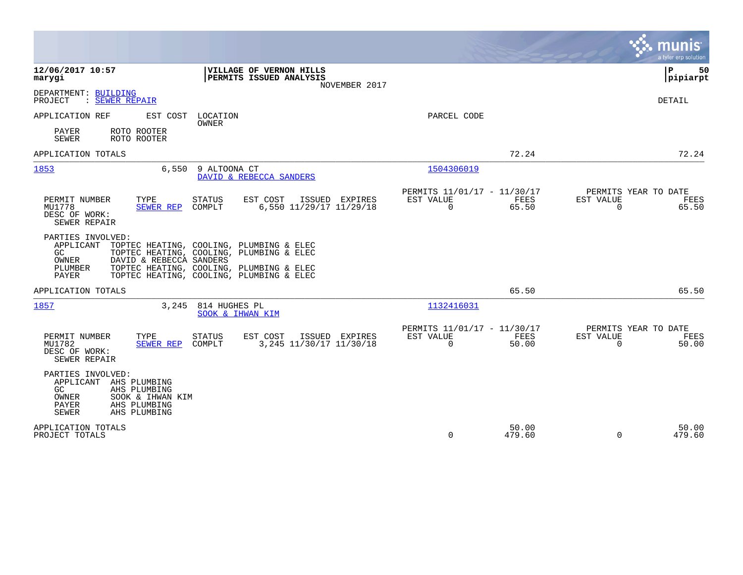|                                                                                                                                                          |                                                                                                                                                                              |                                                         |                 | munis<br>a tyler erp solution                                     |
|----------------------------------------------------------------------------------------------------------------------------------------------------------|------------------------------------------------------------------------------------------------------------------------------------------------------------------------------|---------------------------------------------------------|-----------------|-------------------------------------------------------------------|
| 12/06/2017 10:57<br>marygi                                                                                                                               | VILLAGE OF VERNON HILLS<br>PERMITS ISSUED ANALYSIS<br>NOVEMBER 2017                                                                                                          |                                                         |                 | Þ<br>50<br> pipiarpt                                              |
| DEPARTMENT: BUILDING<br>: SEWER REPAIR<br>PROJECT                                                                                                        |                                                                                                                                                                              |                                                         |                 | DETAIL                                                            |
| APPLICATION REF<br>EST COST                                                                                                                              | LOCATION<br><b>OWNER</b>                                                                                                                                                     | PARCEL CODE                                             |                 |                                                                   |
| PAYER<br>ROTO ROOTER<br><b>SEWER</b><br>ROTO ROOTER                                                                                                      |                                                                                                                                                                              |                                                         |                 |                                                                   |
| APPLICATION TOTALS                                                                                                                                       |                                                                                                                                                                              |                                                         | 72.24           | 72.24                                                             |
| 1853<br>6,550                                                                                                                                            | 9 ALTOONA CT<br>DAVID & REBECCA SANDERS                                                                                                                                      | 1504306019                                              |                 |                                                                   |
| PERMIT NUMBER<br>TYPE<br>MU1778<br>SEWER REP<br>DESC OF WORK:<br>SEWER REPAIR                                                                            | <b>STATUS</b><br>EST COST<br>ISSUED EXPIRES<br>COMPLT<br>6,550 11/29/17 11/29/18                                                                                             | PERMITS 11/01/17 - 11/30/17<br>EST VALUE<br>$\Omega$    | FEES<br>65.50   | PERMITS YEAR TO DATE<br>EST VALUE<br>FEES<br>$\mathbf 0$<br>65.50 |
| PARTIES INVOLVED:<br>APPLICANT<br>GC<br>OWNER<br>DAVID & REBECCA SANDERS<br>PLUMBER<br>PAYER                                                             | TOPTEC HEATING, COOLING, PLUMBING & ELEC<br>TOPTEC HEATING, COOLING, PLUMBING & ELEC<br>TOPTEC HEATING, COOLING, PLUMBING & ELEC<br>TOPTEC HEATING, COOLING, PLUMBING & ELEC |                                                         |                 |                                                                   |
| APPLICATION TOTALS                                                                                                                                       |                                                                                                                                                                              |                                                         | 65.50           | 65.50                                                             |
| 1857                                                                                                                                                     | 3,245 814 HUGHES PL<br>SOOK & IHWAN KIM                                                                                                                                      | 1132416031                                              |                 |                                                                   |
| TYPE<br>PERMIT NUMBER<br>MU1782<br><b>SEWER REP</b><br>DESC OF WORK:<br>SEWER REPAIR                                                                     | EST COST<br><b>STATUS</b><br>ISSUED EXPIRES<br>3, 245 11/30/17 11/30/18<br>COMPLT                                                                                            | PERMITS 11/01/17 - 11/30/17<br>EST VALUE<br>$\mathbf 0$ | FEES<br>50.00   | PERMITS YEAR TO DATE<br>EST VALUE<br>FEES<br>$\Omega$<br>50.00    |
| PARTIES INVOLVED:<br>APPLICANT AHS PLUMBING<br>GC.<br>AHS PLUMBING<br>OWNER<br>SOOK & IHWAN KIM<br>PAYER<br>AHS PLUMBING<br>AHS PLUMBING<br><b>SEWER</b> |                                                                                                                                                                              |                                                         |                 |                                                                   |
| APPLICATION TOTALS<br>PROJECT TOTALS                                                                                                                     |                                                                                                                                                                              | $\Omega$                                                | 50.00<br>479.60 | 50.00<br>$\Omega$<br>479.60                                       |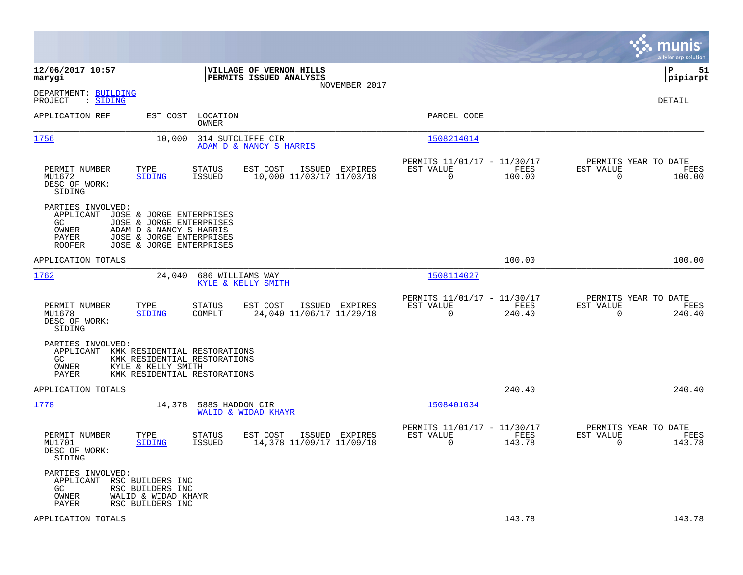|                                                                         |                                                                                                                                         |                         |                                                    |                |                                                            |                |                          | munis<br>a tyler erp solution          |
|-------------------------------------------------------------------------|-----------------------------------------------------------------------------------------------------------------------------------------|-------------------------|----------------------------------------------------|----------------|------------------------------------------------------------|----------------|--------------------------|----------------------------------------|
| 12/06/2017 10:57<br>marygi                                              |                                                                                                                                         |                         | VILLAGE OF VERNON HILLS<br>PERMITS ISSUED ANALYSIS | NOVEMBER 2017  |                                                            |                |                          | l P<br>51<br> pipiarpt                 |
| DEPARTMENT: BUILDING<br>: SIDING<br>PROJECT                             |                                                                                                                                         |                         |                                                    |                |                                                            |                |                          | DETAIL                                 |
| APPLICATION REF                                                         | EST COST                                                                                                                                | LOCATION<br>OWNER       |                                                    |                | PARCEL CODE                                                |                |                          |                                        |
| 1756                                                                    | 10,000                                                                                                                                  |                         | 314 SUTCLIFFE CIR<br>ADAM D & NANCY S HARRIS       |                | 1508214014                                                 |                |                          |                                        |
| PERMIT NUMBER<br>MU1672<br>DESC OF WORK:<br>SIDING                      | TYPE<br><b>SIDING</b>                                                                                                                   | STATUS<br>ISSUED        | EST COST<br>10,000 11/03/17 11/03/18               | ISSUED EXPIRES | PERMITS 11/01/17 - 11/30/17<br>EST VALUE<br>$\mathbf 0$    | FEES<br>100.00 | EST VALUE<br>$\mathbf 0$ | PERMITS YEAR TO DATE<br>FEES<br>100.00 |
| PARTIES INVOLVED:<br>APPLICANT<br>GC<br>OWNER<br>PAYER<br><b>ROOFER</b> | JOSE & JORGE ENTERPRISES<br>JOSE & JORGE ENTERPRISES<br>ADAM D & NANCY S HARRIS<br>JOSE & JORGE ENTERPRISES<br>JOSE & JORGE ENTERPRISES |                         |                                                    |                |                                                            |                |                          |                                        |
| APPLICATION TOTALS                                                      |                                                                                                                                         |                         |                                                    |                |                                                            | 100.00         |                          | 100.00                                 |
| 1762                                                                    | 24,040                                                                                                                                  |                         | 686 WILLIAMS WAY<br>KYLE & KELLY SMITH             |                | 1508114027                                                 |                |                          |                                        |
| PERMIT NUMBER<br>MU1678<br>DESC OF WORK:<br>SIDING                      | TYPE<br><b>SIDING</b>                                                                                                                   | STATUS<br>COMPLT        | EST COST<br>24,040 11/06/17 11/29/18               | ISSUED EXPIRES | PERMITS 11/01/17 - 11/30/17<br>EST VALUE<br>$\mathbf 0$    | FEES<br>240.40 | EST VALUE<br>$\mathbf 0$ | PERMITS YEAR TO DATE<br>FEES<br>240.40 |
| PARTIES INVOLVED:<br>APPLICANT<br>GC<br>OWNER<br>PAYER                  | KMK RESIDENTIAL RESTORATIONS<br>KMK RESIDENTIAL RESTORATIONS<br>KYLE & KELLY SMITH<br>KMK RESIDENTIAL RESTORATIONS                      |                         |                                                    |                |                                                            |                |                          |                                        |
| APPLICATION TOTALS                                                      |                                                                                                                                         |                         |                                                    |                |                                                            | 240.40         |                          | 240.40                                 |
| 1778                                                                    | 14,378                                                                                                                                  | 588S HADDON CIR         | WALID & WIDAD KHAYR                                |                | 1508401034                                                 |                |                          |                                        |
| PERMIT NUMBER<br>MU1701<br>DESC OF WORK:<br>SIDING                      | TYPE<br><b>SIDING</b>                                                                                                                   | STATUS<br><b>ISSUED</b> | EST COST<br>14,378 11/09/17 11/09/18               | ISSUED EXPIRES | PERMITS 11/01/17 - 11/30/17<br>EST VALUE<br>$\overline{0}$ | FEES<br>143.78 | EST VALUE<br>$\mathbf 0$ | PERMITS YEAR TO DATE<br>FEES<br>143.78 |
| PARTIES INVOLVED:<br>APPLICANT<br>GC<br>OWNER<br>PAYER                  | RSC BUILDERS INC<br>RSC BUILDERS INC<br>WALID & WIDAD KHAYR<br>RSC BUILDERS INC                                                         |                         |                                                    |                |                                                            |                |                          |                                        |
| APPLICATION TOTALS                                                      |                                                                                                                                         |                         |                                                    |                |                                                            | 143.78         |                          | 143.78                                 |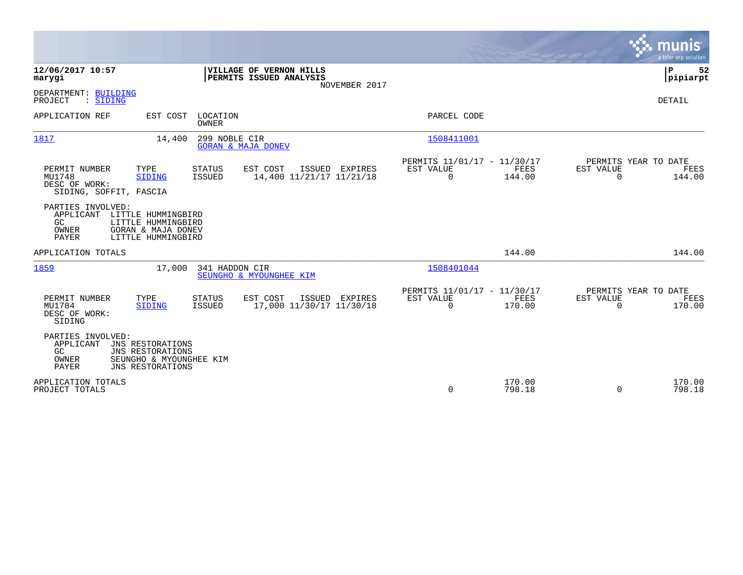|                                                                                                                                                           |                                                                     |                                                         |                                         | munis<br>a tyler erp solution          |
|-----------------------------------------------------------------------------------------------------------------------------------------------------------|---------------------------------------------------------------------|---------------------------------------------------------|-----------------------------------------|----------------------------------------|
| 12/06/2017 10:57<br>marygi                                                                                                                                | VILLAGE OF VERNON HILLS<br>PERMITS ISSUED ANALYSIS<br>NOVEMBER 2017 |                                                         |                                         | P<br>52<br> pipiarpt                   |
| DEPARTMENT: BUILDING<br>: SIDING<br>PROJECT                                                                                                               |                                                                     |                                                         |                                         | <b>DETAIL</b>                          |
| APPLICATION REF<br>EST COST                                                                                                                               | LOCATION<br><b>OWNER</b>                                            | PARCEL CODE                                             |                                         |                                        |
| 1817<br>14,400                                                                                                                                            | 299 NOBLE CIR<br><b>GORAN &amp; MAJA DONEV</b>                      | 1508411001                                              |                                         |                                        |
| PERMIT NUMBER<br>TYPE<br><b>STATUS</b><br>MU1748<br><b>ISSUED</b><br><b>SIDING</b><br>DESC OF WORK:<br>SIDING, SOFFIT, FASCIA                             | EST COST<br>ISSUED EXPIRES<br>14,400 11/21/17 11/21/18              | PERMITS 11/01/17 - 11/30/17<br>EST VALUE<br>$\mathbf 0$ | FEES<br>EST VALUE<br>144.00<br>$\Omega$ | PERMITS YEAR TO DATE<br>FEES<br>144.00 |
| PARTIES INVOLVED:<br>APPLICANT<br>LITTLE HUMMINGBIRD<br>GC<br>LITTLE HUMMINGBIRD<br><b>GORAN &amp; MAJA DONEV</b><br>OWNER<br>PAYER<br>LITTLE HUMMINGBIRD |                                                                     |                                                         |                                         |                                        |
| APPLICATION TOTALS                                                                                                                                        |                                                                     |                                                         | 144.00                                  | 144.00                                 |
| 1859<br>17,000                                                                                                                                            | 341 HADDON CIR<br>SEUNGHO & MYOUNGHEE KIM                           | 1508401044                                              |                                         |                                        |
| PERMIT NUMBER<br>TYPE<br><b>STATUS</b><br>MU1784<br>ISSUED<br><b>SIDING</b><br>DESC OF WORK:<br>SIDING                                                    | EST COST<br>ISSUED EXPIRES<br>17,000 11/30/17 11/30/18              | PERMITS 11/01/17 - 11/30/17<br>EST VALUE<br>$\Omega$    | FEES<br>EST VALUE<br>170.00<br>$\Omega$ | PERMITS YEAR TO DATE<br>FEES<br>170.00 |
| PARTIES INVOLVED:<br>APPLICANT<br>JNS RESTORATIONS<br>GC<br>JNS RESTORATIONS<br>OWNER<br>SEUNGHO & MYOUNGHEE KIM<br><b>PAYER</b><br>JNS RESTORATIONS      |                                                                     |                                                         |                                         |                                        |
| APPLICATION TOTALS<br>PROJECT TOTALS                                                                                                                      |                                                                     | 0                                                       | 170.00<br>798.18<br>$\Omega$            | 170.00<br>798.18                       |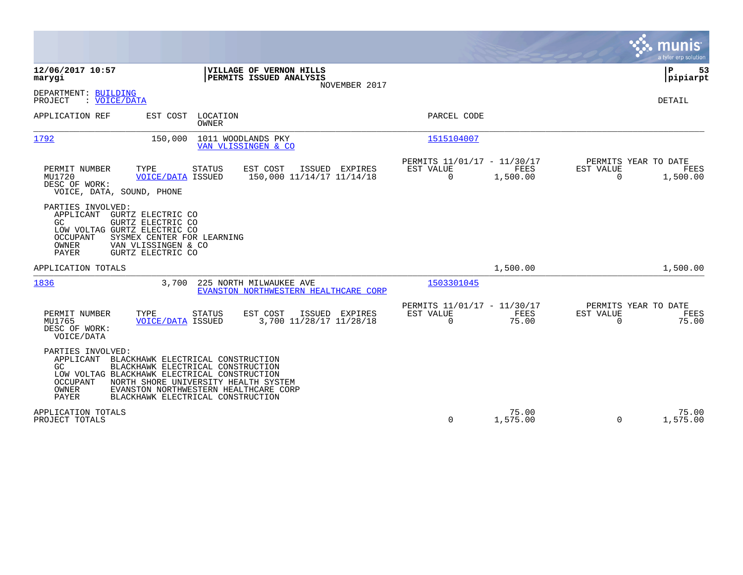|                                                                                                                                                                                                                         |                                                                                                                                                                                              |                                                                     | munis<br>a tyler erp solution                                                   |
|-------------------------------------------------------------------------------------------------------------------------------------------------------------------------------------------------------------------------|----------------------------------------------------------------------------------------------------------------------------------------------------------------------------------------------|---------------------------------------------------------------------|---------------------------------------------------------------------------------|
| 12/06/2017 10:57<br>marygi                                                                                                                                                                                              | VILLAGE OF VERNON HILLS<br>PERMITS ISSUED ANALYSIS<br>NOVEMBER 2017                                                                                                                          |                                                                     | ΙP<br>53<br> pipiarpt                                                           |
| DEPARTMENT: BUILDING<br>: VOICE/DATA<br>PROJECT                                                                                                                                                                         |                                                                                                                                                                                              |                                                                     | <b>DETAIL</b>                                                                   |
| APPLICATION REF<br>EST COST                                                                                                                                                                                             | LOCATION<br>OWNER                                                                                                                                                                            | PARCEL CODE                                                         |                                                                                 |
| 1792<br>150,000                                                                                                                                                                                                         | 1011 WOODLANDS PKY<br>VAN VLISSINGEN & CO                                                                                                                                                    | 1515104007                                                          |                                                                                 |
| PERMIT NUMBER<br>TYPE<br><b>VOICE/DATA ISSUED</b><br>MU1720<br>DESC OF WORK:<br>VOICE, DATA, SOUND, PHONE                                                                                                               | <b>STATUS</b><br>EST COST<br>ISSUED EXPIRES<br>150,000 11/14/17 11/14/18                                                                                                                     | PERMITS 11/01/17 - 11/30/17<br>EST VALUE<br>$\mathbf 0$<br>1,500.00 | PERMITS YEAR TO DATE<br>FEES<br>EST VALUE<br>FEES<br>$\mathbf 0$<br>1,500.00    |
| PARTIES INVOLVED:<br>APPLICANT<br>GURTZ ELECTRIC CO<br>GURTZ ELECTRIC CO<br>GC.<br>LOW VOLTAG GURTZ ELECTRIC CO<br>OCCUPANT<br>SYSMEX CENTER FOR LEARNING<br>OWNER<br>VAN VLISSINGEN & CO<br>PAYER<br>GURTZ ELECTRIC CO |                                                                                                                                                                                              |                                                                     |                                                                                 |
| APPLICATION TOTALS                                                                                                                                                                                                      |                                                                                                                                                                                              | 1,500.00                                                            | 1,500.00                                                                        |
| 1836<br>3,700                                                                                                                                                                                                           | 225 NORTH MILWAUKEE AVE<br>EVANSTON NORTHWESTERN HEALTHCARE CORP                                                                                                                             | 1503301045                                                          |                                                                                 |
| PERMIT NUMBER<br>TYPE<br><b>VOICE/DATA ISSUED</b><br>MU1765<br>DESC OF WORK:<br>VOICE/DATA                                                                                                                              | EST COST<br><b>STATUS</b><br>ISSUED EXPIRES<br>3,700 11/28/17 11/28/18                                                                                                                       | PERMITS 11/01/17 - 11/30/17<br>EST VALUE<br>$\Omega$                | PERMITS YEAR TO DATE<br>FEES<br>EST VALUE<br>FEES<br>75.00<br>75.00<br>$\Omega$ |
| PARTIES INVOLVED:<br>APPLICANT<br>GC.<br>LOW VOLTAG BLACKHAWK ELECTRICAL CONSTRUCTION<br>OCCUPANT<br>OWNER<br>PAYER                                                                                                     | BLACKHAWK ELECTRICAL CONSTRUCTION<br>BLACKHAWK ELECTRICAL CONSTRUCTION<br>NORTH SHORE UNIVERSITY HEALTH SYSTEM<br>EVANSTON NORTHWESTERN HEALTHCARE CORP<br>BLACKHAWK ELECTRICAL CONSTRUCTION |                                                                     |                                                                                 |
| APPLICATION TOTALS<br>PROJECT TOTALS                                                                                                                                                                                    |                                                                                                                                                                                              | $\Omega$<br>1,575.00                                                | 75.00<br>75.00<br>$\Omega$<br>1,575.00                                          |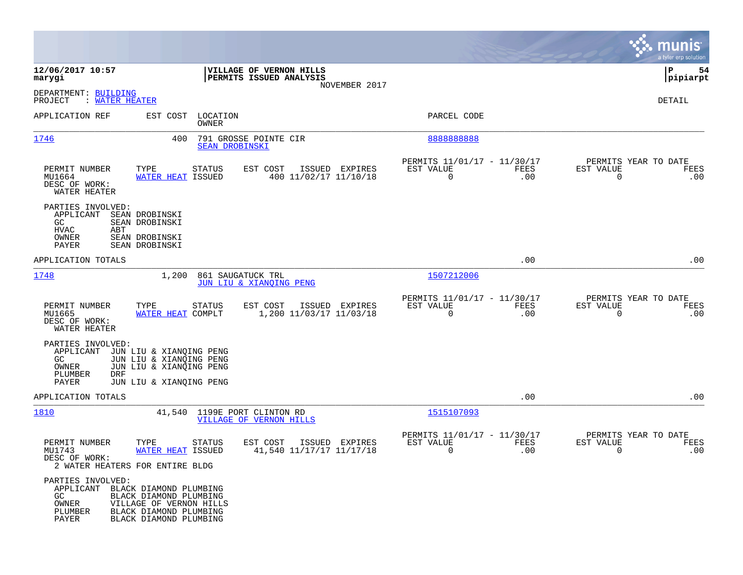|                                                                                                                                                                                                   |                                                                        |                                                                               | munis<br>a tyler erp solution                                   |
|---------------------------------------------------------------------------------------------------------------------------------------------------------------------------------------------------|------------------------------------------------------------------------|-------------------------------------------------------------------------------|-----------------------------------------------------------------|
| 12/06/2017 10:57<br>marygi                                                                                                                                                                        | VILLAGE OF VERNON HILLS<br>PERMITS ISSUED ANALYSIS                     |                                                                               | ΙP<br>54<br> pipiarpt                                           |
| DEPARTMENT: BUILDING<br>: WATER HEATER<br>PROJECT                                                                                                                                                 | NOVEMBER 2017                                                          |                                                                               | DETAIL                                                          |
| APPLICATION REF<br>EST COST                                                                                                                                                                       | LOCATION<br>OWNER                                                      | PARCEL CODE                                                                   |                                                                 |
| 1746<br>400                                                                                                                                                                                       | 791 GROSSE POINTE CIR<br><b>SEAN DROBINSKI</b>                         | 8888888888                                                                    |                                                                 |
| PERMIT NUMBER<br>TYPE<br>MU1664<br><b>WATER HEAT ISSUED</b><br>DESC OF WORK:<br>WATER HEATER                                                                                                      | <b>STATUS</b><br>ISSUED EXPIRES<br>EST COST<br>400 11/02/17 11/10/18   | PERMITS 11/01/17 - 11/30/17<br>EST VALUE<br>FEES<br>$\overline{0}$<br>.00     | PERMITS YEAR TO DATE<br>EST VALUE<br>FEES<br>$\mathbf 0$<br>.00 |
| PARTIES INVOLVED:<br>APPLICANT<br>SEAN DROBINSKI<br>SEAN DROBINSKI<br>GC.<br>HVAC<br>ABT<br>OWNER<br>SEAN DROBINSKI<br>PAYER<br>SEAN DROBINSKI                                                    |                                                                        |                                                                               |                                                                 |
| APPLICATION TOTALS                                                                                                                                                                                |                                                                        | .00                                                                           | .00                                                             |
| 1748<br>1,200                                                                                                                                                                                     | 861 SAUGATUCK TRL<br>JUN LIU & XIANOING PENG                           | 1507212006                                                                    |                                                                 |
| PERMIT NUMBER<br>TYPE<br>MU1665<br>WATER HEAT COMPLT<br>DESC OF WORK:<br>WATER HEATER                                                                                                             | <b>STATUS</b><br>EST COST<br>ISSUED EXPIRES<br>1,200 11/03/17 11/03/18 | PERMITS 11/01/17 - 11/30/17<br>EST VALUE<br><b>FEES</b><br>$\mathbf 0$<br>.00 | PERMITS YEAR TO DATE<br>EST VALUE<br>FEES<br>$\mathbf 0$<br>.00 |
| PARTIES INVOLVED:<br>APPLICANT<br>JUN LIU & XIANQING PENG<br>JUN LIU & XIANQING PENG<br>GC.<br>JUN LIU & XIANQING PENG<br>OWNER<br>PLUMBER<br>DRF<br>PAYER<br>JUN LIU & XIANQING PENG             |                                                                        |                                                                               |                                                                 |
| APPLICATION TOTALS                                                                                                                                                                                |                                                                        | .00                                                                           | .00                                                             |
| 1810                                                                                                                                                                                              | 41,540 1199E PORT CLINTON RD<br><b>VILLAGE OF VERNON HILLS</b>         | 1515107093                                                                    |                                                                 |
| PERMIT NUMBER<br>TYPE<br>MU1743<br>WATER HEAT ISSUED<br>DESC OF WORK:<br>2 WATER HEATERS FOR ENTIRE BLDG                                                                                          | EST COST<br>STATUS<br>ISSUED EXPIRES<br>41,540 11/17/17 11/17/18       | PERMITS 11/01/17 - 11/30/17<br>EST VALUE<br>FEES<br>0<br>.00                  | PERMITS YEAR TO DATE<br>EST VALUE<br>FEES<br>0<br>.00           |
| PARTIES INVOLVED:<br>APPLICANT BLACK DIAMOND PLUMBING<br>BLACK DIAMOND PLUMBING<br>GC<br>OWNER<br>VILLAGE OF VERNON HILLS<br>PLUMBER<br>BLACK DIAMOND PLUMBING<br>PAYER<br>BLACK DIAMOND PLUMBING |                                                                        |                                                                               |                                                                 |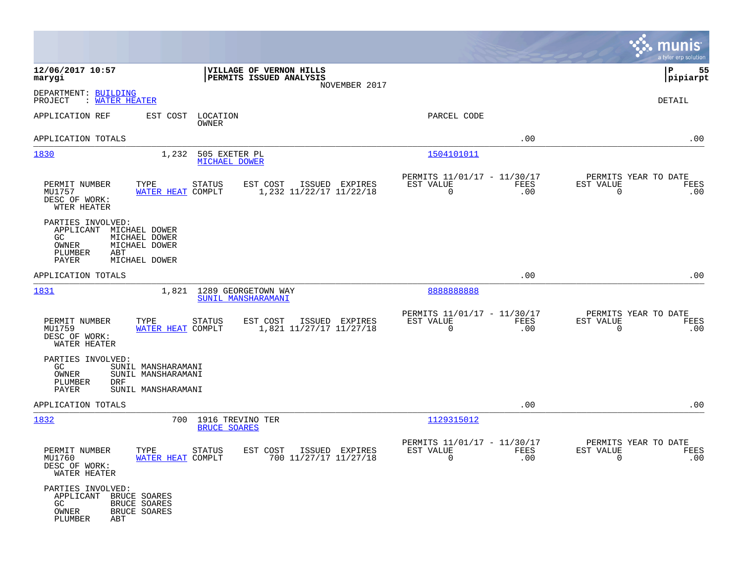|                                                                                                                                               |                                                                        |                                                         |             | munis<br>a tyler erp solution                                      |
|-----------------------------------------------------------------------------------------------------------------------------------------------|------------------------------------------------------------------------|---------------------------------------------------------|-------------|--------------------------------------------------------------------|
| 12/06/2017 10:57<br>marygi                                                                                                                    | VILLAGE OF VERNON HILLS<br>PERMITS ISSUED ANALYSIS<br>NOVEMBER 2017    |                                                         |             | 55<br>IΡ<br> pipiarpt                                              |
| DEPARTMENT: BUILDING<br>PROJECT<br>: WATER HEATER                                                                                             |                                                                        |                                                         |             | DETAIL                                                             |
| APPLICATION REF<br>EST COST                                                                                                                   | LOCATION<br>OWNER                                                      | PARCEL CODE                                             |             |                                                                    |
| APPLICATION TOTALS                                                                                                                            |                                                                        |                                                         | .00         | .00                                                                |
| 1830<br>1,232                                                                                                                                 | 505 EXETER PL<br><b>MICHAEL DOWER</b>                                  | 1504101011                                              |             |                                                                    |
| PERMIT NUMBER<br>TYPE<br>MU1757<br>WATER HEAT COMPLT<br>DESC OF WORK:<br>WTER HEATER                                                          | <b>STATUS</b><br>EST COST<br>ISSUED EXPIRES<br>1,232 11/22/17 11/22/18 | PERMITS 11/01/17 - 11/30/17<br>EST VALUE<br>0           | FEES<br>.00 | PERMITS YEAR TO DATE<br>EST VALUE<br>FEES<br>0<br>.00              |
| PARTIES INVOLVED:<br>APPLICANT<br>MICHAEL DOWER<br>MICHAEL DOWER<br>GC.<br>MICHAEL DOWER<br>OWNER<br>PLUMBER<br>ABT<br>PAYER<br>MICHAEL DOWER |                                                                        |                                                         |             |                                                                    |
| APPLICATION TOTALS                                                                                                                            |                                                                        |                                                         | .00         | .00                                                                |
| 1831<br>1,821                                                                                                                                 | 1289 GEORGETOWN WAY<br>SUNIL MANSHARAMANI                              | 8888888888                                              |             |                                                                    |
| PERMIT NUMBER<br>TYPE<br>MU1759<br>WATER HEAT COMPLT<br>DESC OF WORK:<br>WATER HEATER                                                         | <b>STATUS</b><br>EST COST<br>ISSUED EXPIRES<br>1,821 11/27/17 11/27/18 | PERMITS 11/01/17 - 11/30/17<br>EST VALUE<br>$\mathbf 0$ | FEES<br>.00 | PERMITS YEAR TO DATE<br>EST VALUE<br>FEES<br>$\mathbf 0$<br>.00    |
| PARTIES INVOLVED:<br>GC<br>SUNIL MANSHARAMANI<br>OWNER<br>SUNIL MANSHARAMANI<br>PLUMBER<br>DRF<br>PAYER<br>SUNIL MANSHARAMANI                 |                                                                        |                                                         |             |                                                                    |
| APPLICATION TOTALS                                                                                                                            |                                                                        |                                                         | .00         | .00                                                                |
| 1832                                                                                                                                          | 700 1916 TREVINO TER<br><b>BRUCE SOARES</b>                            | 1129315012                                              |             |                                                                    |
| PERMIT NUMBER<br>TYPE<br>MU1760<br>WATER HEAT COMPLT<br>DESC OF WORK:<br>WATER HEATER                                                         | <b>STATUS</b><br>EST COST<br>ISSUED EXPIRES<br>700 11/27/17 11/27/18   | PERMITS 11/01/17 - 11/30/17<br>EST VALUE                | FEES<br>.00 | PERMITS YEAR TO DATE<br>EST VALUE<br>FEES<br>.00<br>$\overline{0}$ |
| PARTIES INVOLVED:<br>APPLICANT BRUCE SOARES<br>BRUCE SOARES<br>GC<br>OWNER<br>BRUCE SOARES<br>PLUMBER<br>ABT                                  |                                                                        |                                                         |             |                                                                    |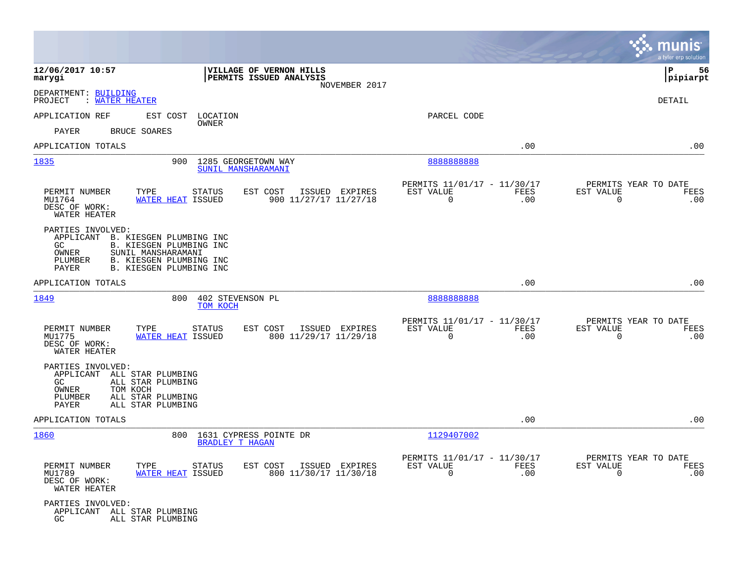|                                                                                                                                                                                                     |                                                                                           |                                                                            | munis<br>a tyler erp solution                                      |
|-----------------------------------------------------------------------------------------------------------------------------------------------------------------------------------------------------|-------------------------------------------------------------------------------------------|----------------------------------------------------------------------------|--------------------------------------------------------------------|
| 12/06/2017 10:57<br>marygi                                                                                                                                                                          | VILLAGE OF VERNON HILLS<br>PERMITS ISSUED ANALYSIS<br>NOVEMBER 2017                       |                                                                            | ΙP<br>56<br> pipiarpt                                              |
| DEPARTMENT: BUILDING<br>PROJECT<br>: WATER HEATER                                                                                                                                                   |                                                                                           |                                                                            | DETAIL                                                             |
| APPLICATION REF<br>EST COST                                                                                                                                                                         | LOCATION                                                                                  | PARCEL CODE                                                                |                                                                    |
| <b>BRUCE SOARES</b><br>PAYER                                                                                                                                                                        | OWNER                                                                                     |                                                                            |                                                                    |
| APPLICATION TOTALS                                                                                                                                                                                  |                                                                                           | .00                                                                        | .00                                                                |
| 1835                                                                                                                                                                                                | 900<br>1285 GEORGETOWN WAY<br>SUNIL MANSHARAMANI                                          | 888888888                                                                  |                                                                    |
| PERMIT NUMBER<br>TYPE<br>MU1764<br>DESC OF WORK:<br>WATER HEATER                                                                                                                                    | STATUS<br>EST COST<br>ISSUED EXPIRES<br><b>WATER HEAT ISSUED</b><br>900 11/27/17 11/27/18 | PERMITS 11/01/17 - 11/30/17<br>EST VALUE<br>FEES<br>$\mathbf 0$<br>.00     | PERMITS YEAR TO DATE<br>EST VALUE<br>FEES<br>$\overline{0}$<br>.00 |
| PARTIES INVOLVED:<br>APPLICANT<br>B. KIESGEN PLUMBING INC<br>B. KIESGEN PLUMBING INC<br>GC<br>SUNIL MANSHARAMANI<br>OWNER<br>B. KIESGEN PLUMBING INC<br>PLUMBER<br>B. KIESGEN PLUMBING INC<br>PAYER |                                                                                           |                                                                            |                                                                    |
| APPLICATION TOTALS                                                                                                                                                                                  |                                                                                           | .00                                                                        | .00                                                                |
| 1849                                                                                                                                                                                                | 800<br>402 STEVENSON PL<br>TOM KOCH                                                       | 888888888                                                                  |                                                                    |
| PERMIT NUMBER<br>TYPE<br>MU1775<br>DESC OF WORK:<br>WATER HEATER                                                                                                                                    | EST COST<br>ISSUED EXPIRES<br><b>STATUS</b><br>WATER HEAT ISSUED<br>800 11/29/17 11/29/18 | PERMITS 11/01/17 - 11/30/17<br>EST VALUE<br><b>FEES</b><br>$\Omega$<br>.00 | PERMITS YEAR TO DATE<br>EST VALUE<br>FEES<br>$\overline{0}$<br>.00 |
| PARTIES INVOLVED:<br>APPLICANT<br>ALL STAR PLUMBING<br>ALL STAR PLUMBING<br>GC.<br>TOM KOCH<br>OWNER<br>ALL STAR PLUMBING<br>PLUMBER<br>ALL STAR PLUMBING<br>PAYER                                  |                                                                                           |                                                                            |                                                                    |
| APPLICATION TOTALS                                                                                                                                                                                  |                                                                                           | .00                                                                        | .00                                                                |
| 1860                                                                                                                                                                                                | 800<br>1631 CYPRESS POINTE DR<br><b>BRADLEY T HAGAN</b>                                   | 1129407002                                                                 |                                                                    |
| PERMIT NUMBER<br>TYPE<br>MU1789<br>DESC OF WORK:<br>WATER HEATER                                                                                                                                    | EST COST<br>ISSUED EXPIRES<br>STATUS<br><b>WATER HEAT ISSUED</b><br>800 11/30/17 11/30/18 | PERMITS 11/01/17 - 11/30/17<br>EST VALUE<br>FEES<br>$\mathbf 0$<br>.00     | PERMITS YEAR TO DATE<br>EST VALUE<br>FEES<br>.00<br>$\mathsf{O}$   |
| PARTIES INVOLVED:<br>APPLICANT ALL STAR PLUMBING<br>GC<br>ALL STAR PLUMBING                                                                                                                         |                                                                                           |                                                                            |                                                                    |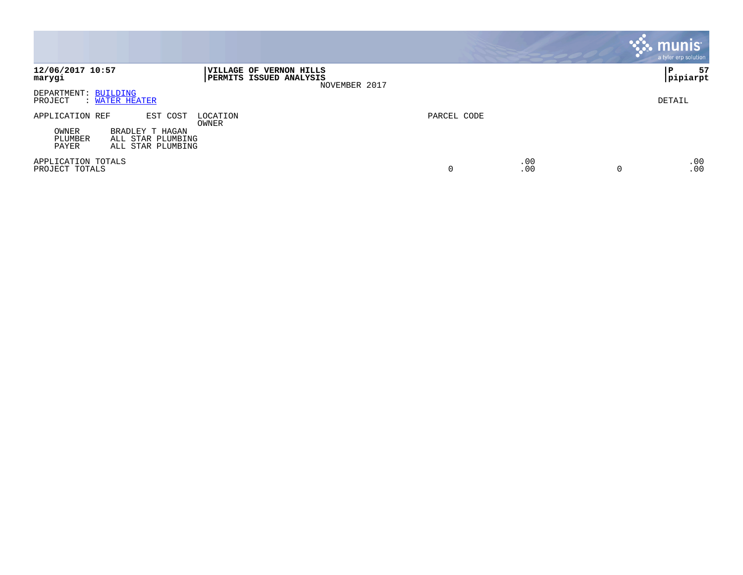|                                                                                                                       |                                                                            |             |            | <b>munis</b><br>a tyler erp solution |
|-----------------------------------------------------------------------------------------------------------------------|----------------------------------------------------------------------------|-------------|------------|--------------------------------------|
| 12/06/2017 10:57<br>marygi                                                                                            | VILLAGE OF VERNON HILLS<br><b>PERMITS ISSUED ANALYSIS</b><br>NOVEMBER 2017 |             |            | 57<br>P<br> pipiarpt                 |
| DEPARTMENT: BUILDING<br>PROJECT<br>: WATER HEATER                                                                     |                                                                            |             |            | DETAIL                               |
| EST COST<br>APPLICATION REF<br>OWNER<br>BRADLEY T HAGAN<br>PLUMBER<br>ALL STAR PLUMBING<br>ALL STAR PLUMBING<br>PAYER | LOCATION<br>OWNER                                                          | PARCEL CODE |            |                                      |
| APPLICATION TOTALS<br>PROJECT TOTALS                                                                                  |                                                                            | 0           | .00<br>.00 | .00<br>.00<br>$\Omega$               |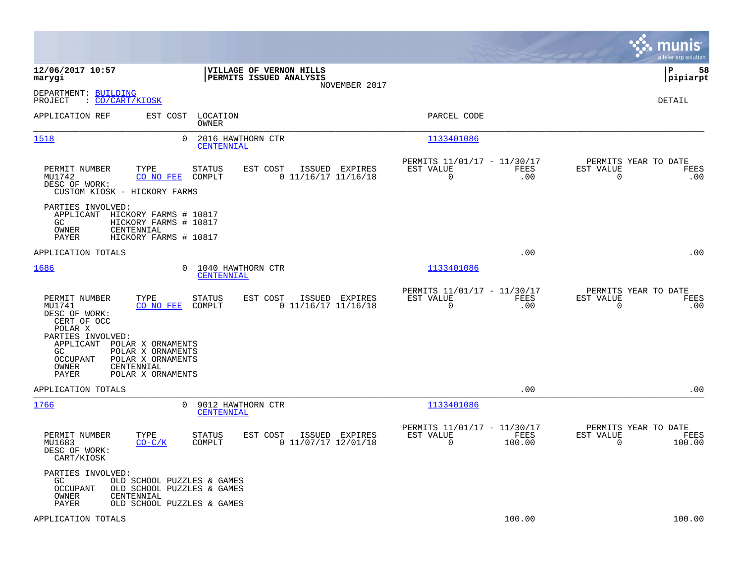|                                                                                                                                                                                                                                 |                                                                                        |                                                                        | munis<br>a tyler erp solution                                      |
|---------------------------------------------------------------------------------------------------------------------------------------------------------------------------------------------------------------------------------|----------------------------------------------------------------------------------------|------------------------------------------------------------------------|--------------------------------------------------------------------|
| 12/06/2017 10:57<br>marygi                                                                                                                                                                                                      | VILLAGE OF VERNON HILLS<br>PERMITS ISSUED ANALYSIS<br>NOVEMBER 2017                    |                                                                        | lР<br>58<br> pipiarpt                                              |
| DEPARTMENT: BUILDING<br>: CO/CART/KIOSK<br>PROJECT                                                                                                                                                                              |                                                                                        |                                                                        | DETAIL                                                             |
| APPLICATION REF<br>EST COST                                                                                                                                                                                                     | LOCATION<br><b>OWNER</b>                                                               | PARCEL CODE                                                            |                                                                    |
| 1518                                                                                                                                                                                                                            | $\mathbf 0$<br>2016 HAWTHORN CTR<br>CENTENNIAL                                         | 1133401086                                                             |                                                                    |
| PERMIT NUMBER<br>TYPE<br>MU1742<br>CO NO FEE<br>DESC OF WORK:<br>CUSTOM KIOSK - HICKORY FARMS                                                                                                                                   | <b>STATUS</b><br>EST COST<br>ISSUED EXPIRES<br>COMPLT<br>$0$ 11/16/17 11/16/18         | PERMITS 11/01/17 - 11/30/17<br>EST VALUE<br>FEES<br>.00<br>0           | PERMITS YEAR TO DATE<br>EST VALUE<br>FEES<br>0<br>.00              |
| PARTIES INVOLVED:<br>APPLICANT HICKORY FARMS # 10817<br>GC.<br>HICKORY FARMS # 10817<br>OWNER<br>CENTENNIAL<br>HICKORY FARMS # 10817<br>PAYER                                                                                   |                                                                                        |                                                                        |                                                                    |
| APPLICATION TOTALS                                                                                                                                                                                                              |                                                                                        | .00                                                                    | .00                                                                |
| 1686                                                                                                                                                                                                                            | 1040 HAWTHORN CTR<br>0<br>CENTENNIAL                                                   | 1133401086                                                             |                                                                    |
| PERMIT NUMBER<br>TYPE<br>MU1741<br>CO NO FEE<br>DESC OF WORK:<br>CERT OF OCC<br>POLAR X<br>PARTIES INVOLVED:<br>APPLICANT POLAR X ORNAMENTS<br>POLAR X ORNAMENTS<br>GC.<br>POLAR X ORNAMENTS<br>OCCUPANT<br>OWNER<br>CENTENNIAL | <b>STATUS</b><br>EST COST<br>ISSUED EXPIRES<br>COMPLT<br>$0$ 11/16/17 11/16/18         | PERMITS 11/01/17 - 11/30/17<br>EST VALUE<br>FEES<br>0<br>.00           | PERMITS YEAR TO DATE<br>EST VALUE<br>FEES<br>$\mathbf 0$<br>.00    |
| POLAR X ORNAMENTS<br>PAYER<br>APPLICATION TOTALS                                                                                                                                                                                |                                                                                        | .00                                                                    | .00                                                                |
| 1766                                                                                                                                                                                                                            | $\Omega$<br>9012 HAWTHORN CTR<br>CENTENNIAL                                            | 1133401086                                                             |                                                                    |
| PERMIT NUMBER<br>TYPE<br>MU1683<br>$CO-C/K$<br>DESC OF WORK:<br>CART/KIOSK                                                                                                                                                      | <b>STATUS</b><br>EST COST<br>ISSUED EXPIRES<br>$0$ 11/07/17 12/01/18<br>COMPLT         | PERMITS 11/01/17 - 11/30/17<br>EST VALUE<br>FEES<br>$\Omega$<br>100.00 | PERMITS YEAR TO DATE<br>EST VALUE<br>FEES<br>$\mathbf 0$<br>100.00 |
| PARTIES INVOLVED:<br>GC.<br>OCCUPANT<br>OWNER<br>CENTENNIAL<br>PAYER                                                                                                                                                            | OLD SCHOOL PUZZLES & GAMES<br>OLD SCHOOL PUZZLES & GAMES<br>OLD SCHOOL PUZZLES & GAMES |                                                                        |                                                                    |
| APPLICATION TOTALS                                                                                                                                                                                                              |                                                                                        | 100.00                                                                 | 100.00                                                             |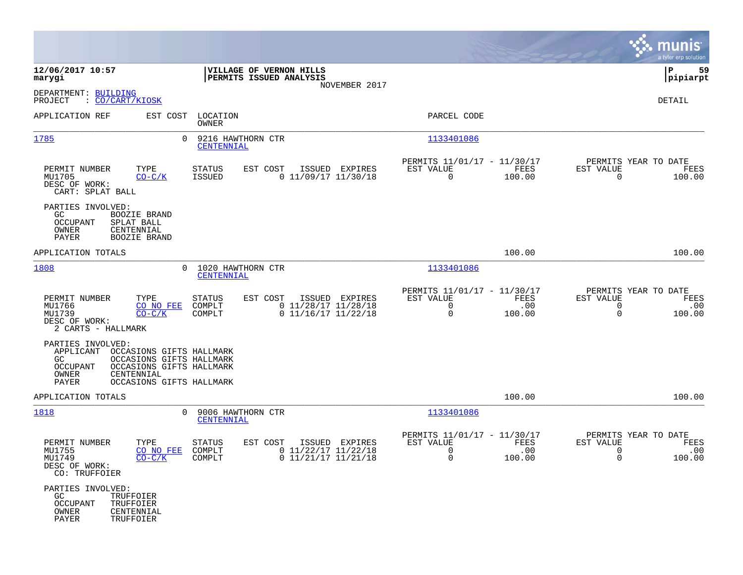|                                                                                                                                                                                                   |                                                                                          |                                                                                |                       | munis<br>a tyler erp solution                                                         |
|---------------------------------------------------------------------------------------------------------------------------------------------------------------------------------------------------|------------------------------------------------------------------------------------------|--------------------------------------------------------------------------------|-----------------------|---------------------------------------------------------------------------------------|
| 12/06/2017 10:57<br>marygi                                                                                                                                                                        | VILLAGE OF VERNON HILLS<br>PERMITS ISSUED ANALYSIS                                       |                                                                                |                       | 59<br>l P<br> pipiarpt                                                                |
| DEPARTMENT: BUILDING<br>: <u>CO/CART/KIOSK</u><br>PROJECT                                                                                                                                         |                                                                                          | NOVEMBER 2017                                                                  |                       | DETAIL                                                                                |
| APPLICATION REF<br>EST COST                                                                                                                                                                       | LOCATION<br>OWNER                                                                        | PARCEL CODE                                                                    |                       |                                                                                       |
| 1785                                                                                                                                                                                              | $\Omega$<br>9216 HAWTHORN CTR<br>CENTENNIAL                                              | 1133401086                                                                     |                       |                                                                                       |
| PERMIT NUMBER<br>TYPE<br>MU1705<br>$CO-C/K$<br>DESC OF WORK:<br>CART: SPLAT BALL                                                                                                                  | STATUS<br>EST COST<br>$0$ 11/09/17 11/30/18<br>ISSUED                                    | PERMITS 11/01/17 - 11/30/17<br>ISSUED EXPIRES<br>EST VALUE<br>$\overline{0}$   | FEES<br>100.00        | PERMITS YEAR TO DATE<br>EST VALUE<br>FEES<br>$\Omega$<br>100.00                       |
| PARTIES INVOLVED:<br>GC.<br><b>BOOZIE BRAND</b><br><b>OCCUPANT</b><br>SPLAT BALL<br>OWNER<br>CENTENNIAL<br>PAYER<br><b>BOOZIE BRAND</b>                                                           |                                                                                          |                                                                                |                       |                                                                                       |
| APPLICATION TOTALS                                                                                                                                                                                |                                                                                          |                                                                                | 100.00                | 100.00                                                                                |
| 1808                                                                                                                                                                                              | 0 1020 HAWTHORN CTR<br>CENTENNIAL                                                        | 1133401086                                                                     |                       |                                                                                       |
| PERMIT NUMBER<br>TYPE<br>MU1766<br>CO NO FEE<br>MU1739<br>$CO-C/K$<br>DESC OF WORK:<br>2 CARTS - HALLMARK                                                                                         | STATUS<br>EST COST<br>COMPLT<br>$0$ 11/28/17 11/28/18<br>COMPLT<br>$0$ 11/16/17 11/22/18 | PERMITS 11/01/17 - 11/30/17<br>EST VALUE<br>ISSUED EXPIRES<br>0<br>$\mathbf 0$ | FEES<br>.00<br>100.00 | PERMITS YEAR TO DATE<br>EST VALUE<br>FEES<br>$\mathbf 0$<br>.00<br>$\Omega$<br>100.00 |
| PARTIES INVOLVED:<br>APPLICANT<br>OCCASIONS GIFTS HALLMARK<br>OCCASIONS GIFTS HALLMARK<br>GC.<br>OCCUPANT<br>OCCASIONS GIFTS HALLMARK<br>OWNER<br>CENTENNIAL<br>PAYER<br>OCCASIONS GIFTS HALLMARK |                                                                                          |                                                                                |                       |                                                                                       |
| APPLICATION TOTALS                                                                                                                                                                                |                                                                                          |                                                                                | 100.00                | 100.00                                                                                |
| 1818                                                                                                                                                                                              | $\overline{0}$<br>9006 HAWTHORN CTR<br>CENTENNIAL                                        | 1133401086                                                                     |                       |                                                                                       |
| PERMIT NUMBER<br>TYPE<br>MU1755<br>CO NO FEE<br>MU1749<br>$CO-C/K$<br>DESC OF WORK:<br>CO: TRUFFOIER                                                                                              | STATUS<br>EST COST<br>$0$ 11/22/17 11/22/18<br>COMPLT<br>COMPLT<br>$0$ 11/21/17 11/21/18 | PERMITS 11/01/17 - 11/30/17<br>ISSUED EXPIRES<br>EST VALUE<br>0<br>0           | FEES<br>.00<br>100.00 | PERMITS YEAR TO DATE<br>EST VALUE<br>FEES<br>$\mathbf 0$<br>.00<br>100.00<br>0        |
| PARTIES INVOLVED:<br>GC<br>TRUFFOIER<br><b>OCCUPANT</b><br>TRUFFOIER<br>OWNER<br>CENTENNIAL<br>PAYER<br>TRUFFOIER                                                                                 |                                                                                          |                                                                                |                       |                                                                                       |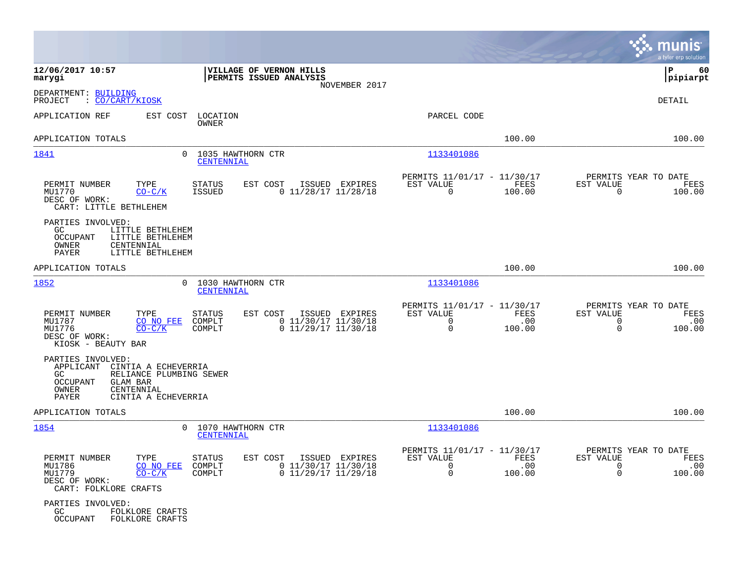|                                                                                                                                                                                                                                                                                                    |                                                                                       | munis<br>a tyler erp solution                                                         |
|----------------------------------------------------------------------------------------------------------------------------------------------------------------------------------------------------------------------------------------------------------------------------------------------------|---------------------------------------------------------------------------------------|---------------------------------------------------------------------------------------|
| 12/06/2017 10:57<br>VILLAGE OF VERNON HILLS<br>PERMITS ISSUED ANALYSIS<br>marygi<br>NOVEMBER 2017                                                                                                                                                                                                  |                                                                                       | P<br>60<br> pipiarpt                                                                  |
| DEPARTMENT: BUILDING<br>PROJECT<br>: <u>CO/CART/KIOSK</u>                                                                                                                                                                                                                                          |                                                                                       | DETAIL                                                                                |
| APPLICATION REF<br>EST COST<br>LOCATION<br>OWNER                                                                                                                                                                                                                                                   | PARCEL CODE                                                                           |                                                                                       |
| APPLICATION TOTALS                                                                                                                                                                                                                                                                                 | 100.00                                                                                | 100.00                                                                                |
| 0 1035 HAWTHORN CTR<br>1841<br>CENTENNIAL                                                                                                                                                                                                                                                          | 1133401086                                                                            |                                                                                       |
| TYPE<br>EST COST<br>ISSUED EXPIRES<br>PERMIT NUMBER<br>STATUS<br>$0$ 11/28/17 11/28/18<br>MU1770<br>$CO-C/K$<br>ISSUED<br>DESC OF WORK:<br>CART: LITTLE BETHLEHEM                                                                                                                                  | PERMITS 11/01/17 - 11/30/17<br>EST VALUE<br>FEES<br>$\mathbf 0$<br>100.00             | PERMITS YEAR TO DATE<br>EST VALUE<br>FEES<br>$\mathbf 0$<br>100.00                    |
| PARTIES INVOLVED:<br>GC.<br>LITTLE BETHLEHEM<br><b>OCCUPANT</b><br>LITTLE BETHLEHEM<br>OWNER<br>CENTENNIAL<br><b>PAYER</b><br>LITTLE BETHLEHEM                                                                                                                                                     |                                                                                       |                                                                                       |
| APPLICATION TOTALS                                                                                                                                                                                                                                                                                 | 100.00                                                                                | 100.00                                                                                |
| 1852<br>1030 HAWTHORN CTR<br>$\Omega$<br>CENTENNIAL                                                                                                                                                                                                                                                | 1133401086                                                                            |                                                                                       |
| TYPE<br><b>STATUS</b><br>EST COST<br>ISSUED EXPIRES<br>PERMIT NUMBER<br>$0$ 11/30/17 11/30/18<br>MU1787<br>COMPLT<br>CO NO FEE<br>COMPLT<br>$0$ 11/29/17 11/30/18<br>MU1776<br>$CO-C/K$<br>DESC OF WORK:<br>KIOSK - BEAUTY BAR                                                                     | PERMITS 11/01/17 - 11/30/17<br>EST VALUE<br>FEES<br>0<br>.00<br>$\mathbf 0$<br>100.00 | PERMITS YEAR TO DATE<br>EST VALUE<br>FEES<br>0<br>.00<br>$\mathbf 0$<br>100.00        |
| PARTIES INVOLVED:<br>APPLICANT<br>CINTIA A ECHEVERRIA<br>RELIANCE PLUMBING SEWER<br>GC<br>OCCUPANT<br>GLAM BAR<br>OWNER<br>CENTENNIAL<br>PAYER<br>CINTIA A ECHEVERRIA                                                                                                                              |                                                                                       |                                                                                       |
| APPLICATION TOTALS                                                                                                                                                                                                                                                                                 | 100.00                                                                                | 100.00                                                                                |
| 1854<br>1070 HAWTHORN CTR<br>$\Omega$<br>CENTENNIAL                                                                                                                                                                                                                                                | 1133401086                                                                            |                                                                                       |
| PERMIT NUMBER<br>STATUS<br>EST COST ISSUED EXPIRES<br>TYPE<br>$0$ 11/30/17 11/30/18<br>MU1786<br>CO NO FEE<br>COMPLT<br>MU1779<br>$CO-C/K$<br>COMPLT<br>0 11/29/17 11/29/18<br>DESC OF WORK:<br>CART: FOLKLORE CRAFTS<br>PARTIES INVOLVED:<br>GC<br>FOLKLORE CRAFTS<br>OCCUPANT<br>FOLKLORE CRAFTS | PERMITS 11/01/17 - 11/30/17<br>FEES<br>EST VALUE<br>.00<br>0<br>$\mathbf 0$<br>100.00 | PERMITS YEAR TO DATE<br>EST VALUE<br>FEES<br>.00<br>$\Omega$<br>$\mathbf 0$<br>100.00 |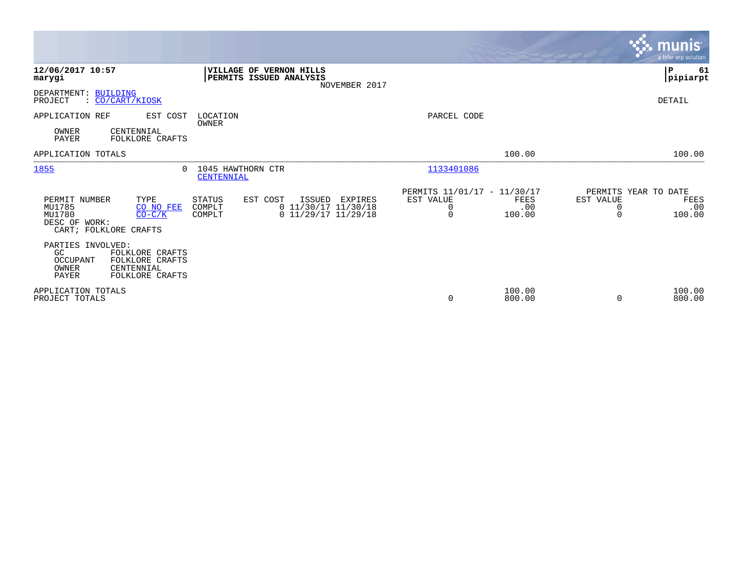|                                                                                                                                     |                                                                                                               |                                                                                    | <b>munis</b><br>a tyler erp solution                                        |
|-------------------------------------------------------------------------------------------------------------------------------------|---------------------------------------------------------------------------------------------------------------|------------------------------------------------------------------------------------|-----------------------------------------------------------------------------|
| 12/06/2017 10:57<br>marygi                                                                                                          | VILLAGE OF VERNON HILLS<br>PERMITS ISSUED ANALYSIS<br>NOVEMBER 2017                                           |                                                                                    | P<br>61<br> pipiarpt                                                        |
| DEPARTMENT: BUILDING<br>: CO/CART/KIOSK<br>PROJECT                                                                                  |                                                                                                               |                                                                                    | DETAIL                                                                      |
| APPLICATION REF<br>EST COST<br>OWNER<br>CENTENNIAL<br>PAYER<br>FOLKLORE CRAFTS                                                      | LOCATION<br>OWNER                                                                                             | PARCEL CODE                                                                        |                                                                             |
| APPLICATION TOTALS                                                                                                                  |                                                                                                               | 100.00                                                                             | 100.00                                                                      |
| 1855<br>0                                                                                                                           | 1045 HAWTHORN CTR<br>CENTENNIAL                                                                               | 1133401086                                                                         |                                                                             |
| PERMIT NUMBER<br>TYPE<br>MU1785<br>CO NO FEE<br>MU1780<br>$CO-C/K$<br>DESC OF WORK:<br>CART; FOLKLORE CRAFTS                        | STATUS<br>EST COST<br>ISSUED<br>EXPIRES<br>$0$ 11/30/17 11/30/18<br>COMPLT<br>$0$ 11/29/17 11/29/18<br>COMPLT | PERMITS 11/01/17 - 11/30/17<br>EST VALUE<br>FEES<br>.00<br>0<br>$\Omega$<br>100.00 | PERMITS YEAR TO DATE<br>EST VALUE<br>FEES<br>.00<br>0<br>100.00<br>$\Omega$ |
| PARTIES INVOLVED:<br>GC<br>FOLKLORE CRAFTS<br>OCCUPANT<br>FOLKLORE CRAFTS<br>OWNER<br>CENTENNIAL<br><b>PAYER</b><br>FOLKLORE CRAFTS |                                                                                                               |                                                                                    |                                                                             |
| APPLICATION TOTALS<br>PROJECT TOTALS                                                                                                |                                                                                                               | 100.00<br>800.00<br>0                                                              | 100.00<br>800.00<br>0                                                       |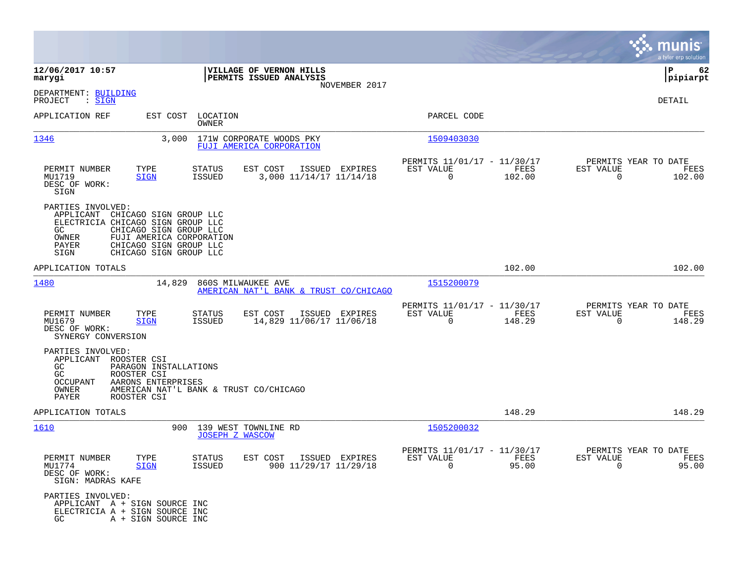|                                                                                                                                                                                                                                          |                                                                                  |                                                                           | munis<br>a tyler erp solution                                         |
|------------------------------------------------------------------------------------------------------------------------------------------------------------------------------------------------------------------------------------------|----------------------------------------------------------------------------------|---------------------------------------------------------------------------|-----------------------------------------------------------------------|
| 12/06/2017 10:57<br>marygi                                                                                                                                                                                                               | VILLAGE OF VERNON HILLS<br>PERMITS ISSUED ANALYSIS                               |                                                                           | ΙP<br>62<br> pipiarpt                                                 |
| DEPARTMENT: BUILDING<br>PROJECT<br>: SIGN                                                                                                                                                                                                | NOVEMBER 2017                                                                    |                                                                           | DETAIL                                                                |
| APPLICATION REF                                                                                                                                                                                                                          | EST COST LOCATION<br>OWNER                                                       | PARCEL CODE                                                               |                                                                       |
| 1346<br>3,000                                                                                                                                                                                                                            | 171W CORPORATE WOODS PKY<br>FUJI AMERICA CORPORATION                             | 1509403030                                                                |                                                                       |
| TYPE<br>PERMIT NUMBER<br>MU1719<br><b>SIGN</b><br>DESC OF WORK:<br>SIGN                                                                                                                                                                  | EST COST<br><b>STATUS</b><br>ISSUED EXPIRES<br>ISSUED<br>3,000 11/14/17 11/14/18 | PERMITS 11/01/17 - 11/30/17<br>EST VALUE<br>FEES<br>$\mathbf 0$<br>102.00 | PERMITS YEAR TO DATE<br>EST VALUE<br>FEES<br>$\overline{0}$<br>102.00 |
| PARTIES INVOLVED:<br>CHICAGO SIGN GROUP LLC<br>APPLICANT<br>ELECTRICIA CHICAGO SIGN GROUP LLC<br>GC.<br>CHICAGO SIGN GROUP LLC<br>OWNER<br>FUJI AMERICA CORPORATION<br>PAYER<br>CHICAGO SIGN GROUP LLC<br>SIGN<br>CHICAGO SIGN GROUP LLC |                                                                                  |                                                                           |                                                                       |
| APPLICATION TOTALS                                                                                                                                                                                                                       |                                                                                  | 102.00                                                                    | 102.00                                                                |
| 1480<br>14,829                                                                                                                                                                                                                           | 860S MILWAUKEE AVE<br><u>AMERICAN NAT'L BANK &amp; TRUST CO/CHICAGO</u>          | 1515200079                                                                |                                                                       |
| PERMIT NUMBER<br>TYPE<br>MU1679<br><b>SIGN</b><br>DESC OF WORK:<br>SYNERGY CONVERSION                                                                                                                                                    | EST COST<br>ISSUED EXPIRES<br>STATUS<br>14,829 11/06/17 11/06/18<br>ISSUED       | PERMITS 11/01/17 - 11/30/17<br>EST VALUE<br>FEES<br>$\mathbf 0$<br>148.29 | PERMITS YEAR TO DATE<br>EST VALUE<br>FEES<br>148.29<br>$\Omega$       |
| PARTIES INVOLVED:<br>APPLICANT<br>ROOSTER CSI<br>PARAGON INSTALLATIONS<br>GC.<br>GC<br>ROOSTER CSI<br>OCCUPANT<br>AARONS ENTERPRISES<br>OWNER<br>PAYER<br>ROOSTER CSI                                                                    | AMERICAN NAT'L BANK & TRUST CO/CHICAGO                                           |                                                                           |                                                                       |
| APPLICATION TOTALS                                                                                                                                                                                                                       |                                                                                  | 148.29                                                                    | 148.29                                                                |
| 1610                                                                                                                                                                                                                                     | 900<br>139 WEST TOWNLINE RD<br><b>JOSEPH Z WASCOW</b>                            | 1505200032                                                                |                                                                       |
| PERMIT NUMBER<br>TYPE<br>MU1774<br>SIGN<br>DESC OF WORK:<br>SIGN: MADRAS KAFE                                                                                                                                                            | STATUS<br>EST COST ISSUED EXPIRES<br>900 11/29/17 11/29/18<br>ISSUED             | PERMITS 11/01/17 - 11/30/17<br>EST VALUE<br>FEES<br>$\Omega$<br>95.00     | PERMITS YEAR TO DATE<br>EST VALUE<br>FEES<br>$\Omega$<br>95.00        |
| PARTIES INVOLVED:<br>APPLICANT A + SIGN SOURCE INC<br>ELECTRICIA A + SIGN SOURCE INC<br>A + SIGN SOURCE INC<br>GC                                                                                                                        |                                                                                  |                                                                           |                                                                       |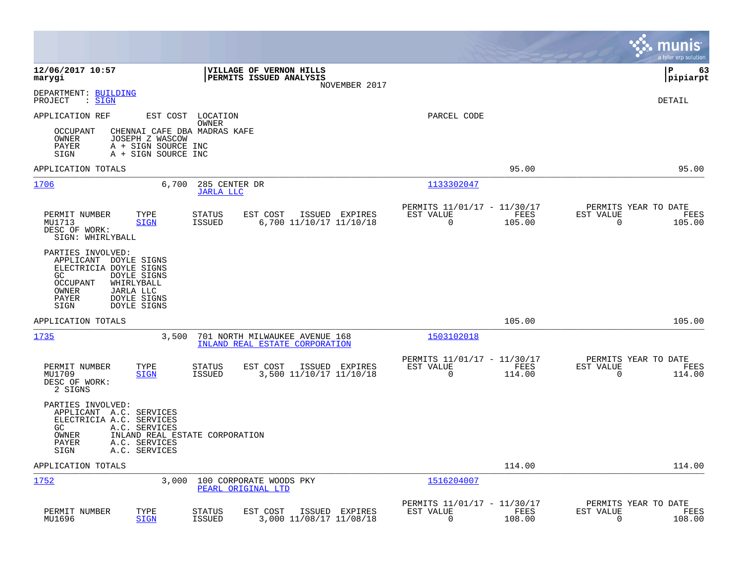|                                                                                                                                                                                                |                                                                                         |                                                                           | munis<br>a tyler erp solution                                      |
|------------------------------------------------------------------------------------------------------------------------------------------------------------------------------------------------|-----------------------------------------------------------------------------------------|---------------------------------------------------------------------------|--------------------------------------------------------------------|
| 12/06/2017 10:57<br>marygi                                                                                                                                                                     | <b>VILLAGE OF VERNON HILLS</b><br><b>PERMITS ISSUED ANALYSIS</b><br>NOVEMBER 2017       |                                                                           | l P<br>63<br> pipiarpt                                             |
| DEPARTMENT: BUILDING<br>PROJECT<br>: SIGN                                                                                                                                                      |                                                                                         |                                                                           | <b>DETAIL</b>                                                      |
| APPLICATION REF<br>CHENNAI CAFE DBA MADRAS KAFE<br>OCCUPANT<br>OWNER<br>JOSEPH Z WASCOW<br>PAYER<br>A + SIGN SOURCE INC<br>A + SIGN SOURCE INC<br>SIGN                                         | EST COST LOCATION<br>OWNER                                                              | PARCEL CODE                                                               |                                                                    |
| APPLICATION TOTALS                                                                                                                                                                             |                                                                                         | 95.00                                                                     | 95.00                                                              |
| 1706<br>6,700                                                                                                                                                                                  | 285 CENTER DR<br><b>JARLA LLC</b>                                                       | 1133302047                                                                |                                                                    |
| PERMIT NUMBER<br>TYPE<br>MU1713<br><b>SIGN</b><br>DESC OF WORK:<br>SIGN: WHIRLYBALL                                                                                                            | ISSUED EXPIRES<br><b>STATUS</b><br>EST COST<br>6,700 11/10/17 11/10/18<br><b>ISSUED</b> | PERMITS 11/01/17 - 11/30/17<br>EST VALUE<br>FEES<br>$\mathbf 0$<br>105.00 | PERMITS YEAR TO DATE<br>EST VALUE<br>FEES<br>$\mathbf 0$<br>105.00 |
| PARTIES INVOLVED:<br>APPLICANT DOYLE SIGNS<br>ELECTRICIA DOYLE SIGNS<br>DOYLE SIGNS<br>GC<br>OCCUPANT<br>WHIRLYBALL<br>OWNER<br>JARLA LLC<br>DOYLE SIGNS<br>PAYER<br>SIGN<br>DOYLE SIGNS       |                                                                                         |                                                                           |                                                                    |
| APPLICATION TOTALS                                                                                                                                                                             |                                                                                         | 105.00                                                                    | 105.00                                                             |
| 1735<br>3,500                                                                                                                                                                                  | 701 NORTH MILWAUKEE AVENUE 168<br>INLAND REAL ESTATE CORPORATION                        | 1503102018                                                                |                                                                    |
| PERMIT NUMBER<br>TYPE<br>MU1709<br><b>SIGN</b><br>DESC OF WORK:<br>2 SIGNS                                                                                                                     | <b>STATUS</b><br>EST COST<br>ISSUED EXPIRES<br><b>ISSUED</b><br>3,500 11/10/17 11/10/18 | PERMITS 11/01/17 - 11/30/17<br>EST VALUE<br>FEES<br>$\mathbf 0$<br>114.00 | PERMITS YEAR TO DATE<br>EST VALUE<br>FEES<br>$\mathbf 0$<br>114.00 |
| PARTIES INVOLVED:<br>APPLICANT A.C. SERVICES<br>ELECTRICIA A.C. SERVICES<br>GC.<br>A.C. SERVICES<br>OWNER<br>INLAND REAL ESTATE CORPORATION<br>PAYER<br>A.C. SERVICES<br>SIGN<br>A.C. SERVICES |                                                                                         |                                                                           |                                                                    |
| APPLICATION TOTALS                                                                                                                                                                             |                                                                                         | 114.00                                                                    | 114.00                                                             |
| 1752<br>3,000                                                                                                                                                                                  | 100 CORPORATE WOODS PKY<br>PEARL ORIGINAL LTD                                           | 1516204007                                                                |                                                                    |
| PERMIT NUMBER<br>TYPE<br>MU1696<br><b>SIGN</b>                                                                                                                                                 | EST COST<br><b>STATUS</b><br>ISSUED EXPIRES<br><b>ISSUED</b><br>3,000 11/08/17 11/08/18 | PERMITS 11/01/17 - 11/30/17<br>EST VALUE<br>FEES<br>0<br>108.00           | PERMITS YEAR TO DATE<br>EST VALUE<br>FEES<br>0<br>108.00           |